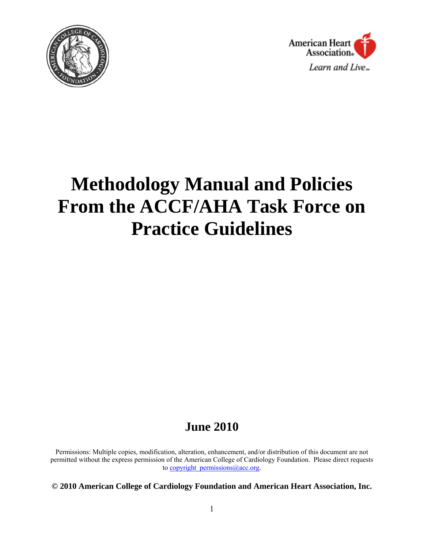



# **Methodology Manual and Policies From the ACCF/AHA Task Force on Practice Guidelines**

# **June 2010**

Permissions: Multiple copies, modification, alteration, enhancement, and/or distribution of this document are not permitted without the express permission of the American College of Cardiology Foundation. Please direct requests to copyright permissions  $@$  acc.org.

**© 2010 American College of Cardiology Foundation and American Heart Association, Inc.**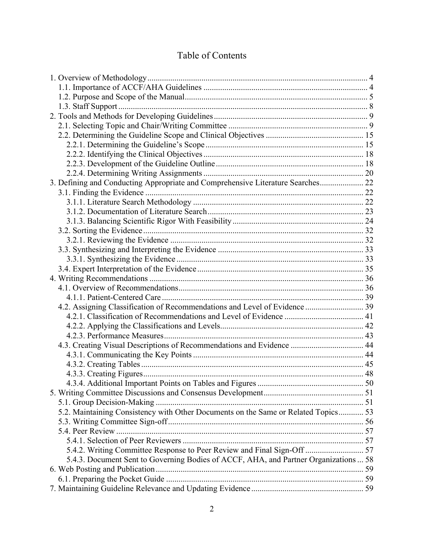# Table of Contents

| 3. Defining and Conducting Appropriate and Comprehensive Literature Searches 22      |  |
|--------------------------------------------------------------------------------------|--|
|                                                                                      |  |
|                                                                                      |  |
|                                                                                      |  |
|                                                                                      |  |
|                                                                                      |  |
|                                                                                      |  |
|                                                                                      |  |
|                                                                                      |  |
|                                                                                      |  |
|                                                                                      |  |
|                                                                                      |  |
|                                                                                      |  |
|                                                                                      |  |
|                                                                                      |  |
|                                                                                      |  |
|                                                                                      |  |
| 4.3. Creating Visual Descriptions of Recommendations and Evidence  44                |  |
|                                                                                      |  |
|                                                                                      |  |
|                                                                                      |  |
|                                                                                      |  |
|                                                                                      |  |
|                                                                                      |  |
| 5.2. Maintaining Consistency with Other Documents on the Same or Related Topics 53   |  |
|                                                                                      |  |
|                                                                                      |  |
|                                                                                      |  |
| 5.4.2. Writing Committee Response to Peer Review and Final Sign-Off  57              |  |
| 5.4.3. Document Sent to Governing Bodies of ACCF, AHA, and Partner Organizations  58 |  |
|                                                                                      |  |
|                                                                                      |  |
|                                                                                      |  |
|                                                                                      |  |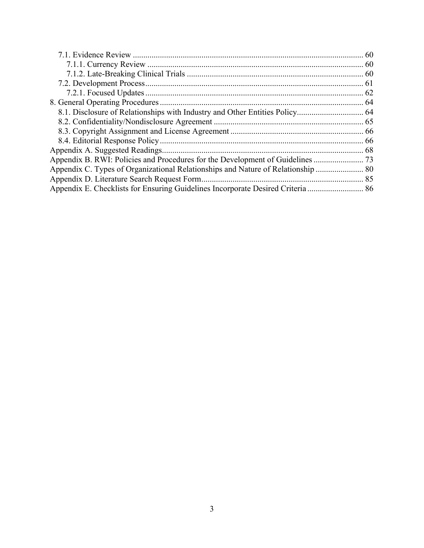| Appendix B. RWI: Policies and Procedures for the Development of Guidelines |  |
|----------------------------------------------------------------------------|--|
|                                                                            |  |
|                                                                            |  |
|                                                                            |  |
|                                                                            |  |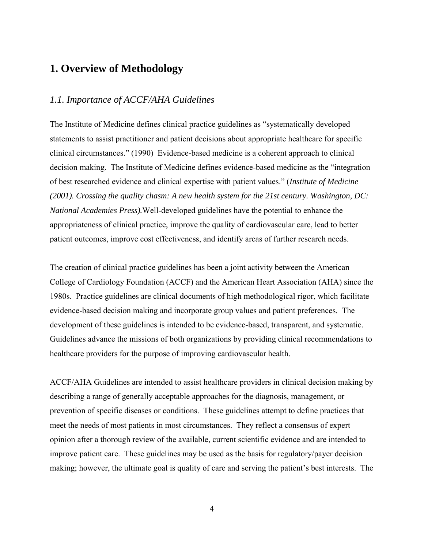# **1. Overview of Methodology**

# *1.1. Importance of ACCF/AHA Guidelines*

The Institute of Medicine defines clinical practice guidelines as "systematically developed statements to assist practitioner and patient decisions about appropriate healthcare for specific clinical circumstances." (1990) Evidence-based medicine is a coherent approach to clinical decision making. The Institute of Medicine defines evidence-based medicine as the "integration of best researched evidence and clinical expertise with patient values." (*Institute of Medicine (2001). Crossing the quality chasm: A new health system for the 21st century. Washington, DC: National Academies Press).*Well-developed guidelines have the potential to enhance the appropriateness of clinical practice, improve the quality of cardiovascular care, lead to better patient outcomes, improve cost effectiveness, and identify areas of further research needs.

The creation of clinical practice guidelines has been a joint activity between the American College of Cardiology Foundation (ACCF) and the American Heart Association (AHA) since the 1980s. Practice guidelines are clinical documents of high methodological rigor, which facilitate evidence-based decision making and incorporate group values and patient preferences. The development of these guidelines is intended to be evidence-based, transparent, and systematic. Guidelines advance the missions of both organizations by providing clinical recommendations to healthcare providers for the purpose of improving cardiovascular health.

ACCF/AHA Guidelines are intended to assist healthcare providers in clinical decision making by describing a range of generally acceptable approaches for the diagnosis, management, or prevention of specific diseases or conditions. These guidelines attempt to define practices that meet the needs of most patients in most circumstances. They reflect a consensus of expert opinion after a thorough review of the available, current scientific evidence and are intended to improve patient care. These guidelines may be used as the basis for regulatory/payer decision making; however, the ultimate goal is quality of care and serving the patient's best interests. The

4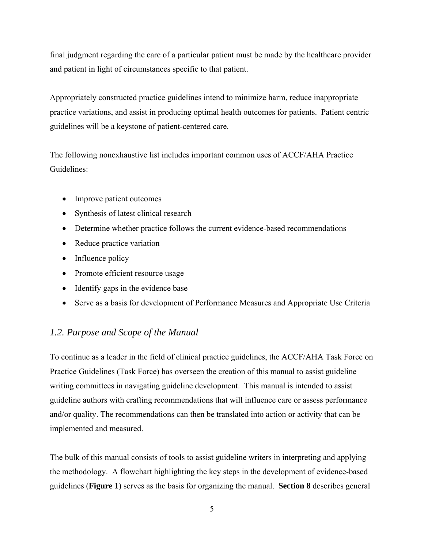final judgment regarding the care of a particular patient must be made by the healthcare provider and patient in light of circumstances specific to that patient.

Appropriately constructed practice guidelines intend to minimize harm, reduce inappropriate practice variations, and assist in producing optimal health outcomes for patients. Patient centric guidelines will be a keystone of patient-centered care.

The following nonexhaustive list includes important common uses of ACCF/AHA Practice Guidelines:

- Improve patient outcomes
- Synthesis of latest clinical research
- Determine whether practice follows the current evidence-based recommendations
- Reduce practice variation
- Influence policy
- Promote efficient resource usage
- Identify gaps in the evidence base
- Serve as a basis for development of Performance Measures and Appropriate Use Criteria

# *1.2. Purpose and Scope of the Manual*

To continue as a leader in the field of clinical practice guidelines, the ACCF/AHA Task Force on Practice Guidelines (Task Force) has overseen the creation of this manual to assist guideline writing committees in navigating guideline development. This manual is intended to assist guideline authors with crafting recommendations that will influence care or assess performance and/or quality. The recommendations can then be translated into action or activity that can be implemented and measured.

The bulk of this manual consists of tools to assist guideline writers in interpreting and applying the methodology. A flowchart highlighting the key steps in the development of evidence-based guidelines (**Figure 1**) serves as the basis for organizing the manual. **Section 8** describes general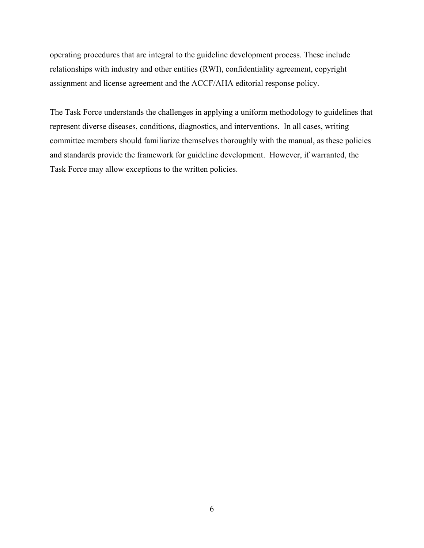operating procedures that are integral to the guideline development process. These include relationships with industry and other entities (RWI), confidentiality agreement, copyright assignment and license agreement and the ACCF/AHA editorial response policy.

The Task Force understands the challenges in applying a uniform methodology to guidelines that represent diverse diseases, conditions, diagnostics, and interventions. In all cases, writing committee members should familiarize themselves thoroughly with the manual, as these policies and standards provide the framework for guideline development. However, if warranted, the Task Force may allow exceptions to the written policies.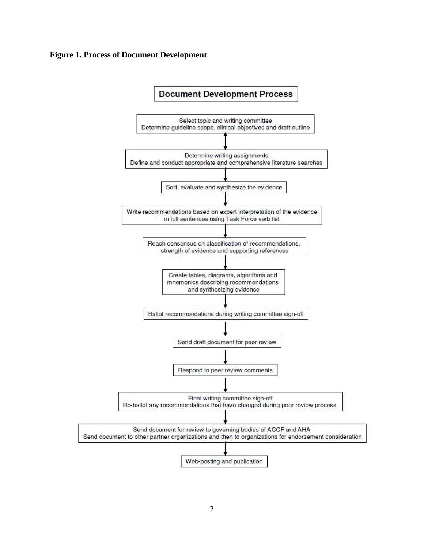#### **Figure 1. Process of Document Development**

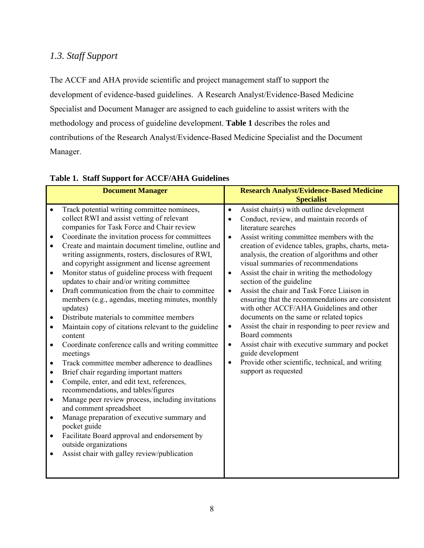# *1.3. Staff Support*

The ACCF and AHA provide scientific and project management staff to support the development of evidence-based guidelines. A Research Analyst/Evidence-Based Medicine Specialist and Document Manager are assigned to each guideline to assist writers with the methodology and process of guideline development. **Table 1** describes the roles and contributions of the Research Analyst/Evidence-Based Medicine Specialist and the Document Manager.

|                                                                                                                                                                                                 | <b>Document Manager</b>                                                                                                                                                                                                                                                                                                                                                                                                                                                                                                                                                                                                                                                                                                                                                                                                                                                                                                                                                                                                                                                                                                                                                                                               |                                                                                         | <b>Research Analyst/Evidence-Based Medicine</b><br><b>Specialist</b>                                                                                                                                                                                                                                                                                                                                                                                                                                                                                                                                                                                                                                                                                                                                  |
|-------------------------------------------------------------------------------------------------------------------------------------------------------------------------------------------------|-----------------------------------------------------------------------------------------------------------------------------------------------------------------------------------------------------------------------------------------------------------------------------------------------------------------------------------------------------------------------------------------------------------------------------------------------------------------------------------------------------------------------------------------------------------------------------------------------------------------------------------------------------------------------------------------------------------------------------------------------------------------------------------------------------------------------------------------------------------------------------------------------------------------------------------------------------------------------------------------------------------------------------------------------------------------------------------------------------------------------------------------------------------------------------------------------------------------------|-----------------------------------------------------------------------------------------|-------------------------------------------------------------------------------------------------------------------------------------------------------------------------------------------------------------------------------------------------------------------------------------------------------------------------------------------------------------------------------------------------------------------------------------------------------------------------------------------------------------------------------------------------------------------------------------------------------------------------------------------------------------------------------------------------------------------------------------------------------------------------------------------------------|
| $\bullet$<br>$\bullet$<br>$\bullet$<br>$\bullet$<br>$\bullet$<br>$\bullet$<br>$\bullet$<br>$\bullet$<br>$\bullet$<br>$\bullet$<br>$\bullet$<br>$\bullet$<br>$\bullet$<br>$\bullet$<br>$\bullet$ | Track potential writing committee nominees,<br>collect RWI and assist vetting of relevant<br>companies for Task Force and Chair review<br>Coordinate the invitation process for committees<br>Create and maintain document timeline, outline and<br>writing assignments, rosters, disclosures of RWI,<br>and copyright assignment and license agreement<br>Monitor status of guideline process with frequent<br>updates to chair and/or writing committee<br>Draft communication from the chair to committee<br>members (e.g., agendas, meeting minutes, monthly<br>updates)<br>Distribute materials to committee members<br>Maintain copy of citations relevant to the guideline<br>content<br>Coordinate conference calls and writing committee<br>meetings<br>Track committee member adherence to deadlines<br>Brief chair regarding important matters<br>Compile, enter, and edit text, references,<br>recommendations, and tables/figures<br>Manage peer review process, including invitations<br>and comment spreadsheet<br>Manage preparation of executive summary and<br>pocket guide<br>Facilitate Board approval and endorsement by<br>outside organizations<br>Assist chair with galley review/publication | $\bullet$<br>$\bullet$<br>$\bullet$<br>$\bullet$<br>$\bullet$<br>$\bullet$<br>$\bullet$ | Assist chair(s) with outline development<br>Conduct, review, and maintain records of<br>literature searches<br>Assist writing committee members with the<br>creation of evidence tables, graphs, charts, meta-<br>analysis, the creation of algorithms and other<br>visual summaries of recommendations<br>Assist the chair in writing the methodology<br>section of the guideline<br>Assist the chair and Task Force Liaison in<br>ensuring that the recommendations are consistent<br>with other ACCF/AHA Guidelines and other<br>documents on the same or related topics<br>Assist the chair in responding to peer review and<br>Board comments<br>Assist chair with executive summary and pocket<br>guide development<br>Provide other scientific, technical, and writing<br>support as requested |
|                                                                                                                                                                                                 |                                                                                                                                                                                                                                                                                                                                                                                                                                                                                                                                                                                                                                                                                                                                                                                                                                                                                                                                                                                                                                                                                                                                                                                                                       |                                                                                         |                                                                                                                                                                                                                                                                                                                                                                                                                                                                                                                                                                                                                                                                                                                                                                                                       |

# **Table 1. Staff Support for ACCF/AHA Guidelines**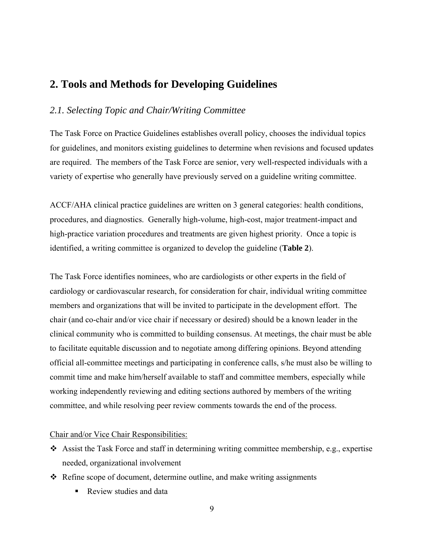# **2. Tools and Methods for Developing Guidelines**

# *2.1. Selecting Topic and Chair/Writing Committee*

The Task Force on Practice Guidelines establishes overall policy, chooses the individual topics for guidelines, and monitors existing guidelines to determine when revisions and focused updates are required. The members of the Task Force are senior, very well-respected individuals with a variety of expertise who generally have previously served on a guideline writing committee.

ACCF/AHA clinical practice guidelines are written on 3 general categories: health conditions, procedures, and diagnostics. Generally high-volume, high-cost, major treatment-impact and high-practice variation procedures and treatments are given highest priority. Once a topic is identified, a writing committee is organized to develop the guideline (**Table 2**).

The Task Force identifies nominees, who are cardiologists or other experts in the field of cardiology or cardiovascular research, for consideration for chair, individual writing committee members and organizations that will be invited to participate in the development effort. The chair (and co-chair and/or vice chair if necessary or desired) should be a known leader in the clinical community who is committed to building consensus. At meetings, the chair must be able to facilitate equitable discussion and to negotiate among differing opinions. Beyond attending official all-committee meetings and participating in conference calls, s/he must also be willing to commit time and make him/herself available to staff and committee members, especially while working independently reviewing and editing sections authored by members of the writing committee, and while resolving peer review comments towards the end of the process.

#### Chair and/or Vice Chair Responsibilities:

- Assist the Task Force and staff in determining writing committee membership, e.g., expertise needed, organizational involvement
- Refine scope of document, determine outline, and make writing assignments
	- Review studies and data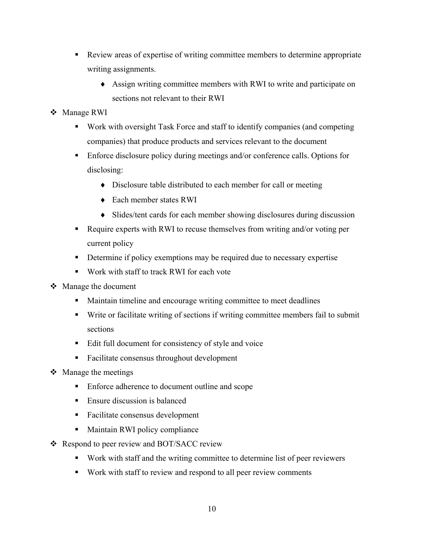- Review areas of expertise of writing committee members to determine appropriate writing assignments.
	- ♦ Assign writing committee members with RWI to write and participate on sections not relevant to their RWI
- ❖ Manage RWI
	- Work with oversight Task Force and staff to identify companies (and competing companies) that produce products and services relevant to the document
	- **Enforce disclosure policy during meetings and/or conference calls. Options for** disclosing:
		- ♦ Disclosure table distributed to each member for call or meeting
		- ♦ Each member states RWI
		- ♦ Slides/tent cards for each member showing disclosures during discussion
	- Require experts with RWI to recuse themselves from writing and/or voting per current policy
	- Determine if policy exemptions may be required due to necessary expertise
	- Work with staff to track RWI for each vote
- Manage the document
	- Maintain timeline and encourage writing committee to meet deadlines
	- Write or facilitate writing of sections if writing committee members fail to submit sections
	- Edit full document for consistency of style and voice
	- Facilitate consensus throughout development
- $\triangleleft$  Manage the meetings
	- Enforce adherence to document outline and scope
	- Ensure discussion is balanced
	- Facilitate consensus development
	- **Maintain RWI policy compliance**
- ❖ Respond to peer review and BOT/SACC review
	- Work with staff and the writing committee to determine list of peer reviewers
	- Work with staff to review and respond to all peer review comments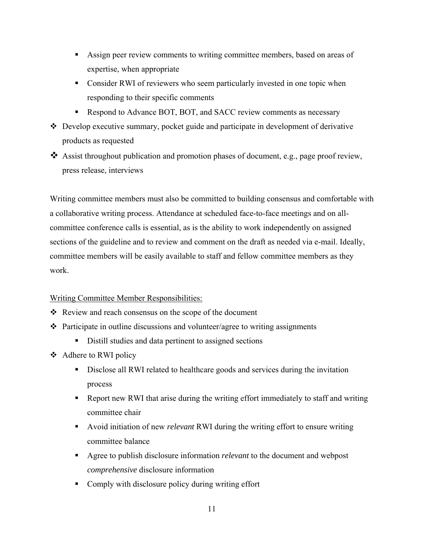- Assign peer review comments to writing committee members, based on areas of expertise, when appropriate
- Consider RWI of reviewers who seem particularly invested in one topic when responding to their specific comments
- Respond to Advance BOT, BOT, and SACC review comments as necessary
- Develop executive summary, pocket guide and participate in development of derivative products as requested
- $\triangleleft$  Assist throughout publication and promotion phases of document, e.g., page proof review, press release, interviews

Writing committee members must also be committed to building consensus and comfortable with a collaborative writing process. Attendance at scheduled face-to-face meetings and on allcommittee conference calls is essential, as is the ability to work independently on assigned sections of the guideline and to review and comment on the draft as needed via e-mail. Ideally, committee members will be easily available to staff and fellow committee members as they work.

# Writing Committee Member Responsibilities:

- $\triangle$  Review and reach consensus on the scope of the document
- $\triangle$  Participate in outline discussions and volunteer/agree to writing assignments
	- Distill studies and data pertinent to assigned sections
- Adhere to RWI policy
	- Disclose all RWI related to healthcare goods and services during the invitation process
	- Report new RWI that arise during the writing effort immediately to staff and writing committee chair
	- Avoid initiation of new *relevant* RWI during the writing effort to ensure writing committee balance
	- Agree to publish disclosure information *relevant* to the document and webpost *comprehensive* disclosure information
	- Comply with disclosure policy during writing effort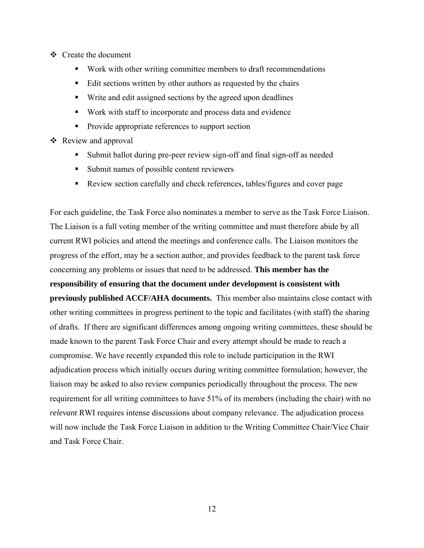- Create the document
	- Work with other writing committee members to draft recommendations
	- Edit sections written by other authors as requested by the chairs
	- Write and edit assigned sections by the agreed upon deadlines
	- Work with staff to incorporate and process data and evidence
	- Provide appropriate references to support section
- ❖ Review and approval
	- Submit ballot during pre-peer review sign-off and final sign-off as needed
	- Submit names of possible content reviewers
	- Review section carefully and check references, tables/figures and cover page

For each guideline, the Task Force also nominates a member to serve as the Task Force Liaison. The Liaison is a full voting member of the writing committee and must therefore abide by all current RWI policies and attend the meetings and conference calls. The Liaison monitors the progress of the effort, may be a section author, and provides feedback to the parent task force concerning any problems or issues that need to be addressed. **This member has the responsibility of ensuring that the document under development is consistent with previously published ACCF/AHA documents.** This member also maintains close contact with other writing committees in progress pertinent to the topic and facilitates (with staff) the sharing of drafts. If there are significant differences among ongoing writing committees, these should be made known to the parent Task Force Chair and every attempt should be made to reach a compromise. We have recently expanded this role to include participation in the RWI adjudication process which initially occurs during writing committee formulation; however, the liaison may be asked to also review companies periodically throughout the process. The new requirement for all writing committees to have 51% of its members (including the chair) with no *relevant* RWI requires intense discussions about company relevance. The adjudication process will now include the Task Force Liaison in addition to the Writing Committee Chair/Vice Chair and Task Force Chair.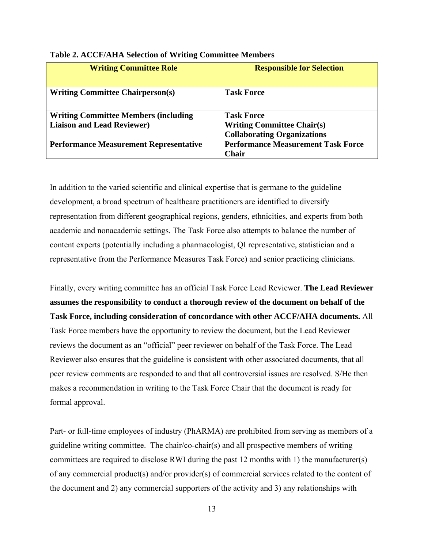| <b>Writing Committee Role</b>                                                    | <b>Responsible for Selection</b>                                                             |
|----------------------------------------------------------------------------------|----------------------------------------------------------------------------------------------|
| <b>Writing Committee Chairperson(s)</b>                                          | <b>Task Force</b>                                                                            |
| <b>Writing Committee Members (including</b><br><b>Liaison and Lead Reviewer)</b> | <b>Task Force</b><br><b>Writing Committee Chair(s)</b><br><b>Collaborating Organizations</b> |
| <b>Performance Measurement Representative</b>                                    | <b>Performance Measurement Task Force</b><br><b>Chair</b>                                    |

#### **Table 2. ACCF/AHA Selection of Writing Committee Members**

In addition to the varied scientific and clinical expertise that is germane to the guideline development, a broad spectrum of healthcare practitioners are identified to diversify representation from different geographical regions, genders, ethnicities, and experts from both academic and nonacademic settings. The Task Force also attempts to balance the number of content experts (potentially including a pharmacologist, QI representative, statistician and a representative from the Performance Measures Task Force) and senior practicing clinicians.

Finally, every writing committee has an official Task Force Lead Reviewer. **The Lead Reviewer assumes the responsibility to conduct a thorough review of the document on behalf of the Task Force, including consideration of concordance with other ACCF/AHA documents.** All Task Force members have the opportunity to review the document, but the Lead Reviewer reviews the document as an "official" peer reviewer on behalf of the Task Force. The Lead Reviewer also ensures that the guideline is consistent with other associated documents, that all peer review comments are responded to and that all controversial issues are resolved. S/He then makes a recommendation in writing to the Task Force Chair that the document is ready for formal approval.

Part- or full-time employees of industry (PhARMA) are prohibited from serving as members of a guideline writing committee. The chair/co-chair(s) and all prospective members of writing committees are required to disclose RWI during the past 12 months with 1) the manufacturer(s) of any commercial product(s) and/or provider(s) of commercial services related to the content of the document and 2) any commercial supporters of the activity and 3) any relationships with

13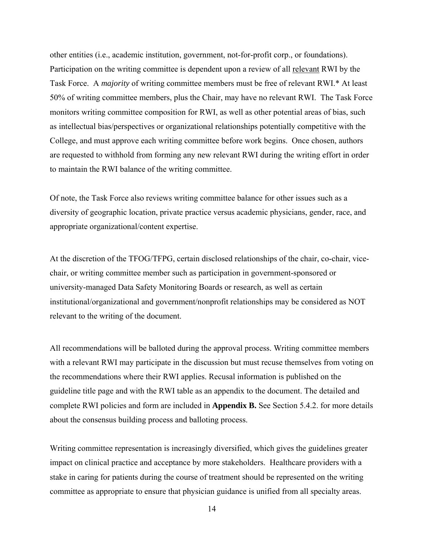other entities (i.e., academic institution, government, not-for-profit corp., or foundations). Participation on the writing committee is dependent upon a review of all relevant RWI by the Task Force. A *majority* of writing committee members must be free of relevant RWI.\* At least 50% of writing committee members, plus the Chair, may have no relevant RWI. The Task Force monitors writing committee composition for RWI, as well as other potential areas of bias, such as intellectual bias/perspectives or organizational relationships potentially competitive with the College, and must approve each writing committee before work begins. Once chosen, authors are requested to withhold from forming any new relevant RWI during the writing effort in order to maintain the RWI balance of the writing committee.

Of note, the Task Force also reviews writing committee balance for other issues such as a diversity of geographic location, private practice versus academic physicians, gender, race, and appropriate organizational/content expertise.

At the discretion of the TFOG/TFPG, certain disclosed relationships of the chair, co-chair, vicechair, or writing committee member such as participation in government-sponsored or university-managed Data Safety Monitoring Boards or research, as well as certain institutional/organizational and government/nonprofit relationships may be considered as NOT relevant to the writing of the document.

All recommendations will be balloted during the approval process. Writing committee members with a relevant RWI may participate in the discussion but must recuse themselves from voting on the recommendations where their RWI applies. Recusal information is published on the guideline title page and with the RWI table as an appendix to the document. The detailed and complete RWI policies and form are included in **Appendix B.** See Section 5.4.2. for more details about the consensus building process and balloting process.

Writing committee representation is increasingly diversified, which gives the guidelines greater impact on clinical practice and acceptance by more stakeholders. Healthcare providers with a stake in caring for patients during the course of treatment should be represented on the writing committee as appropriate to ensure that physician guidance is unified from all specialty areas.

14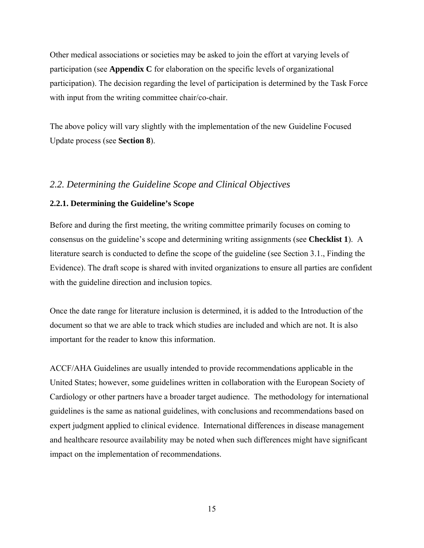Other medical associations or societies may be asked to join the effort at varying levels of participation (see **Appendix C** for elaboration on the specific levels of organizational participation). The decision regarding the level of participation is determined by the Task Force with input from the writing committee chair/co-chair.

The above policy will vary slightly with the implementation of the new Guideline Focused Update process (see **Section 8**).

# *2.2. Determining the Guideline Scope and Clinical Objectives*

#### **2.2.1. Determining the Guideline's Scope**

Before and during the first meeting, the writing committee primarily focuses on coming to consensus on the guideline's scope and determining writing assignments (see **Checklist 1**). A literature search is conducted to define the scope of the guideline (see Section 3.1., Finding the Evidence). The draft scope is shared with invited organizations to ensure all parties are confident with the guideline direction and inclusion topics.

Once the date range for literature inclusion is determined, it is added to the Introduction of the document so that we are able to track which studies are included and which are not. It is also important for the reader to know this information.

ACCF/AHA Guidelines are usually intended to provide recommendations applicable in the United States; however, some guidelines written in collaboration with the European Society of Cardiology or other partners have a broader target audience. The methodology for international guidelines is the same as national guidelines, with conclusions and recommendations based on expert judgment applied to clinical evidence. International differences in disease management and healthcare resource availability may be noted when such differences might have significant impact on the implementation of recommendations.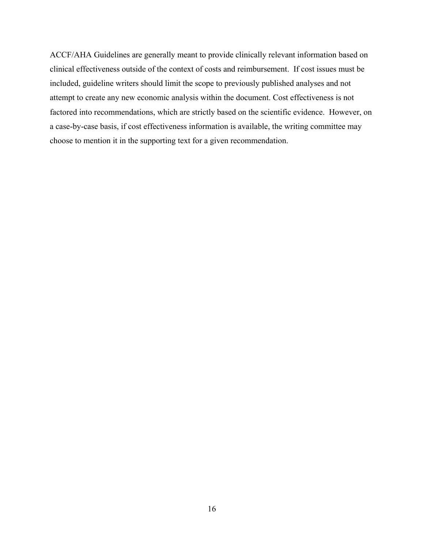ACCF/AHA Guidelines are generally meant to provide clinically relevant information based on clinical effectiveness outside of the context of costs and reimbursement. If cost issues must be included, guideline writers should limit the scope to previously published analyses and not attempt to create any new economic analysis within the document. Cost effectiveness is not factored into recommendations, which are strictly based on the scientific evidence. However, on a case-by-case basis, if cost effectiveness information is available, the writing committee may choose to mention it in the supporting text for a given recommendation.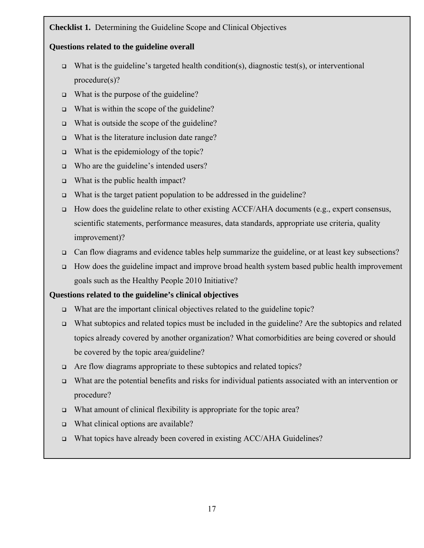# **Checklist 1.** Determining the Guideline Scope and Clinical Objectives

# **Questions related to the guideline overall**

- What is the guideline's targeted health condition(s), diagnostic test(s), or interventional procedure(s)?
- $\Box$  What is the purpose of the guideline?
- $\Box$  What is within the scope of the guideline?
- $\Box$  What is outside the scope of the guideline?
- What is the literature inclusion date range?
- $\Box$  What is the epidemiology of the topic?
- Who are the guideline's intended users?
- $\Box$  What is the public health impact?
- What is the target patient population to be addressed in the guideline?
- How does the guideline relate to other existing ACCF/AHA documents (e.g., expert consensus, scientific statements, performance measures, data standards, appropriate use criteria, quality improvement)?
- Can flow diagrams and evidence tables help summarize the guideline, or at least key subsections?
- $\Box$  How does the guideline impact and improve broad health system based public health improvement goals such as the Healthy People 2010 Initiative?

# **Questions related to the guideline's clinical objectives**

- What are the important clinical objectives related to the guideline topic?
- What subtopics and related topics must be included in the guideline? Are the subtopics and related topics already covered by another organization? What comorbidities are being covered or should be covered by the topic area/guideline?
- Are flow diagrams appropriate to these subtopics and related topics?
- What are the potential benefits and risks for individual patients associated with an intervention or procedure?
- □ What amount of clinical flexibility is appropriate for the topic area?
- $\Box$  What clinical options are available?
- What topics have already been covered in existing ACC/AHA Guidelines?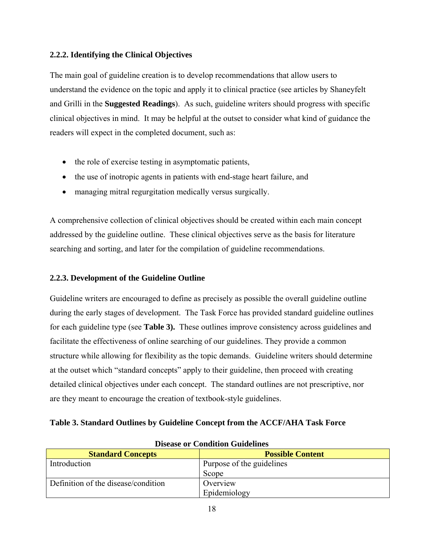# **2.2.2. Identifying the Clinical Objectives**

The main goal of guideline creation is to develop recommendations that allow users to understand the evidence on the topic and apply it to clinical practice (see articles by Shaneyfelt and Grilli in the **Suggested Readings**). As such, guideline writers should progress with specific clinical objectives in mind. It may be helpful at the outset to consider what kind of guidance the readers will expect in the completed document, such as:

- the role of exercise testing in asymptomatic patients,
- the use of inotropic agents in patients with end-stage heart failure, and
- managing mitral regurgitation medically versus surgically.

A comprehensive collection of clinical objectives should be created within each main concept addressed by the guideline outline. These clinical objectives serve as the basis for literature searching and sorting, and later for the compilation of guideline recommendations.

# **2.2.3. Development of the Guideline Outline**

Guideline writers are encouraged to define as precisely as possible the overall guideline outline during the early stages of development. The Task Force has provided standard guideline outlines for each guideline type (see **Table 3).** These outlines improve consistency across guidelines and facilitate the effectiveness of online searching of our guidelines. They provide a common structure while allowing for flexibility as the topic demands. Guideline writers should determine at the outset which "standard concepts" apply to their guideline, then proceed with creating detailed clinical objectives under each concept. The standard outlines are not prescriptive, nor are they meant to encourage the creation of textbook-style guidelines.

# **Table 3. Standard Outlines by Guideline Concept from the ACCF/AHA Task Force**

| Discase of Condition Guidennes      |                           |  |  |
|-------------------------------------|---------------------------|--|--|
| <b>Standard Concepts</b>            | <b>Possible Content</b>   |  |  |
| Introduction                        | Purpose of the guidelines |  |  |
|                                     | Scope                     |  |  |
| Definition of the disease/condition | Overview                  |  |  |
|                                     | Epidemiology              |  |  |

# **Disease or Condition Guidelines**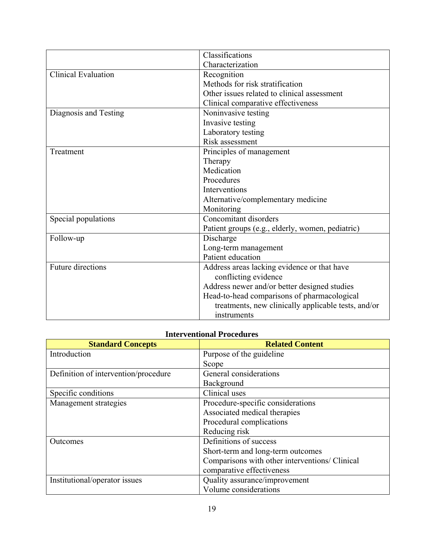|                            | Classifications                                     |
|----------------------------|-----------------------------------------------------|
|                            | Characterization                                    |
| <b>Clinical Evaluation</b> | Recognition                                         |
|                            | Methods for risk stratification                     |
|                            | Other issues related to clinical assessment         |
|                            | Clinical comparative effectiveness                  |
| Diagnosis and Testing      | Noninvasive testing                                 |
|                            | Invasive testing                                    |
|                            | Laboratory testing                                  |
|                            | Risk assessment                                     |
| Treatment                  | Principles of management                            |
|                            | Therapy                                             |
|                            | Medication                                          |
|                            | Procedures                                          |
|                            | Interventions                                       |
|                            | Alternative/complementary medicine                  |
|                            | Monitoring                                          |
| Special populations        | Concomitant disorders                               |
|                            | Patient groups (e.g., elderly, women, pediatric)    |
| Follow-up                  | Discharge                                           |
|                            | Long-term management                                |
|                            | Patient education                                   |
| <b>Future directions</b>   | Address areas lacking evidence or that have         |
|                            | conflicting evidence                                |
|                            | Address newer and/or better designed studies        |
|                            | Head-to-head comparisons of pharmacological         |
|                            | treatments, new clinically applicable tests, and/or |
|                            | instruments                                         |

# **Interventional Procedures**

| <b>Standard Concepts</b>             | <b>Related Content</b>                         |  |
|--------------------------------------|------------------------------------------------|--|
| Introduction                         | Purpose of the guideline                       |  |
|                                      | Scope                                          |  |
| Definition of intervention/procedure | General considerations                         |  |
|                                      | Background                                     |  |
| Specific conditions                  | Clinical uses                                  |  |
| Management strategies                | Procedure-specific considerations              |  |
|                                      | Associated medical therapies                   |  |
|                                      | Procedural complications                       |  |
|                                      | Reducing risk                                  |  |
| Outcomes                             | Definitions of success                         |  |
|                                      | Short-term and long-term outcomes              |  |
|                                      | Comparisons with other interventions/ Clinical |  |
|                                      | comparative effectiveness                      |  |
| Institutional/operator issues        | Quality assurance/improvement                  |  |
|                                      | Volume considerations                          |  |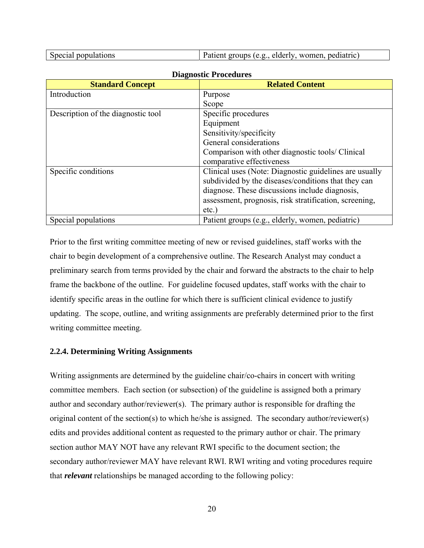| Special populations | $\mu$ Patient groups (e.g., elderly, women, pediatric) |
|---------------------|--------------------------------------------------------|
|---------------------|--------------------------------------------------------|

| Diu nobele 11 occutat es           |                                                        |  |  |
|------------------------------------|--------------------------------------------------------|--|--|
| <b>Standard Concept</b>            | <b>Related Content</b>                                 |  |  |
| Introduction                       | Purpose                                                |  |  |
|                                    | Scope                                                  |  |  |
| Description of the diagnostic tool | Specific procedures                                    |  |  |
|                                    | Equipment                                              |  |  |
|                                    | Sensitivity/specificity                                |  |  |
|                                    | General considerations                                 |  |  |
|                                    | Comparison with other diagnostic tools/ Clinical       |  |  |
|                                    | comparative effectiveness                              |  |  |
| Specific conditions                | Clinical uses (Note: Diagnostic guidelines are usually |  |  |
|                                    | subdivided by the diseases/conditions that they can    |  |  |
|                                    | diagnose. These discussions include diagnosis,         |  |  |
|                                    | assessment, prognosis, risk stratification, screening, |  |  |
|                                    | $etc.$ )                                               |  |  |
| Special populations                | Patient groups (e.g., elderly, women, pediatric)       |  |  |

#### **Diagnostic Procedures**

Prior to the first writing committee meeting of new or revised guidelines, staff works with the chair to begin development of a comprehensive outline. The Research Analyst may conduct a preliminary search from terms provided by the chair and forward the abstracts to the chair to help frame the backbone of the outline. For guideline focused updates, staff works with the chair to identify specific areas in the outline for which there is sufficient clinical evidence to justify updating. The scope, outline, and writing assignments are preferably determined prior to the first writing committee meeting.

#### **2.2.4. Determining Writing Assignments**

Writing assignments are determined by the guideline chair/co-chairs in concert with writing committee members. Each section (or subsection) of the guideline is assigned both a primary author and secondary author/reviewer(s). The primary author is responsible for drafting the original content of the section(s) to which he/she is assigned. The secondary author/reviewer(s) edits and provides additional content as requested to the primary author or chair. The primary section author MAY NOT have any relevant RWI specific to the document section; the secondary author/reviewer MAY have relevant RWI. RWI writing and voting procedures require that *relevant* relationships be managed according to the following policy: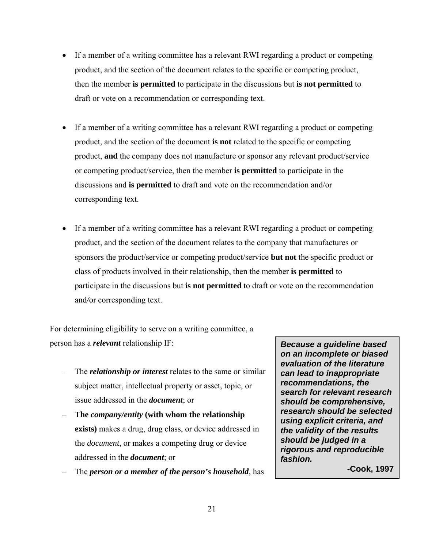- If a member of a writing committee has a relevant RWI regarding a product or competing product, and the section of the document relates to the specific or competing product, then the member **is permitted** to participate in the discussions but **is not permitted** to draft or vote on a recommendation or corresponding text.
- If a member of a writing committee has a relevant RWI regarding a product or competing product, and the section of the document **is not** related to the specific or competing product, **and** the company does not manufacture or sponsor any relevant product/service or competing product/service, then the member **is permitted** to participate in the discussions and **is permitted** to draft and vote on the recommendation and/or corresponding text.
- If a member of a writing committee has a relevant RWI regarding a product or competing product, and the section of the document relates to the company that manufactures or sponsors the product/service or competing product/service **but not** the specific product or class of products involved in their relationship, then the member **is permitted** to participate in the discussions but **is not permitted** to draft or vote on the recommendation and*/*or corresponding text.

For determining eligibility to serve on a writing committee, a person has a *relevant* relationship IF:

- The *relationship or interest* relates to the same or similar subject matter, intellectual property or asset, topic, or issue addressed in the *document*; or
- **The** *company/entity* **(with whom the relationship exists)** makes a drug, drug class, or device addressed in the *document*, or makes a competing drug or device addressed in the *document*; or
- The *person or a member of the person's household*, has

*Because a guideline based on an incomplete or biased evaluation of the literature can lead to inappropriate recommendations, the search for relevant research should be comprehensive, research should be selected using explicit criteria, and the validity of the results should be judged in a rigorous and reproducible fashion.* 

**-Cook, 1997**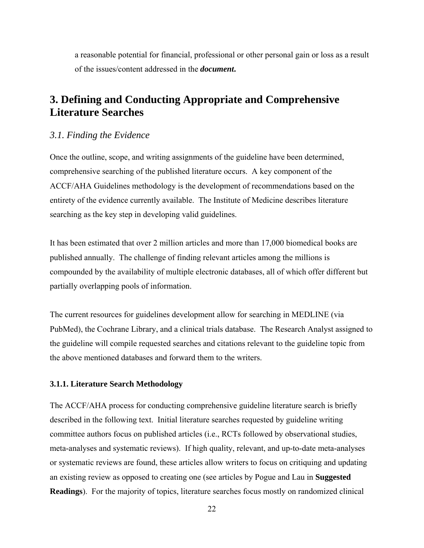a reasonable potential for financial, professional or other personal gain or loss as a result of the issues/content addressed in the *document***.** 

# **3. Defining and Conducting Appropriate and Comprehensive Literature Searches**

#### *3.1. Finding the Evidence*

Once the outline, scope, and writing assignments of the guideline have been determined, comprehensive searching of the published literature occurs. A key component of the ACCF/AHA Guidelines methodology is the development of recommendations based on the entirety of the evidence currently available. The Institute of Medicine describes literature searching as the key step in developing valid guidelines.

It has been estimated that over 2 million articles and more than 17,000 biomedical books are published annually. The challenge of finding relevant articles among the millions is compounded by the availability of multiple electronic databases, all of which offer different but partially overlapping pools of information.

The current resources for guidelines development allow for searching in MEDLINE (via PubMed), the Cochrane Library, and a clinical trials database. The Research Analyst assigned to the guideline will compile requested searches and citations relevant to the guideline topic from the above mentioned databases and forward them to the writers.

#### **3.1.1. Literature Search Methodology**

The ACCF/AHA process for conducting comprehensive guideline literature search is briefly described in the following text. Initial literature searches requested by guideline writing committee authors focus on published articles (i.e., RCTs followed by observational studies, meta-analyses and systematic reviews). If high quality, relevant, and up-to-date meta-analyses or systematic reviews are found, these articles allow writers to focus on critiquing and updating an existing review as opposed to creating one (see articles by Pogue and Lau in **Suggested Readings**). For the majority of topics, literature searches focus mostly on randomized clinical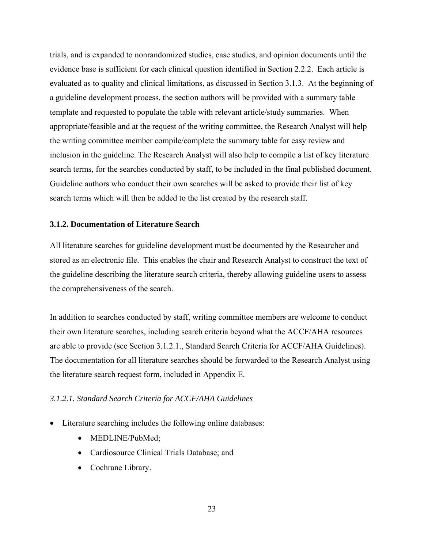trials, and is expanded to nonrandomized studies, case studies, and opinion documents until the evidence base is sufficient for each clinical question identified in Section 2.2.2. Each article is evaluated as to quality and clinical limitations, as discussed in Section 3.1.3. At the beginning of a guideline development process, the section authors will be provided with a summary table template and requested to populate the table with relevant article/study summaries. When appropriate/feasible and at the request of the writing committee, the Research Analyst will help the writing committee member compile/complete the summary table for easy review and inclusion in the guideline. The Research Analyst will also help to compile a list of key literature search terms, for the searches conducted by staff, to be included in the final published document. Guideline authors who conduct their own searches will be asked to provide their list of key search terms which will then be added to the list created by the research staff.

#### **3.1.2. Documentation of Literature Search**

All literature searches for guideline development must be documented by the Researcher and stored as an electronic file. This enables the chair and Research Analyst to construct the text of the guideline describing the literature search criteria, thereby allowing guideline users to assess the comprehensiveness of the search.

In addition to searches conducted by staff, writing committee members are welcome to conduct their own literature searches, including search criteria beyond what the ACCF/AHA resources are able to provide (see Section 3.1.2.1., Standard Search Criteria for ACCF/AHA Guidelines). The documentation for all literature searches should be forwarded to the Research Analyst using the literature search request form, included in Appendix E.

#### *3.1.2.1. Standard Search Criteria for ACCF/AHA Guidelines*

- Literature searching includes the following online databases:
	- MEDLINE/PubMed;
	- Cardiosource Clinical Trials Database; and
	- Cochrane Library.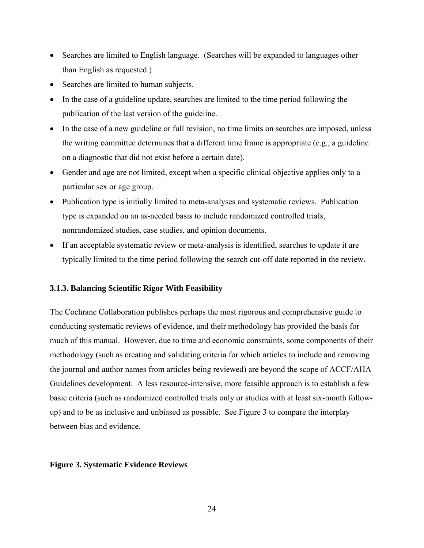- Searches are limited to English language. (Searches will be expanded to languages other than English as requested.)
- Searches are limited to human subjects.
- In the case of a guideline update, searches are limited to the time period following the publication of the last version of the guideline.
- In the case of a new guideline or full revision, no time limits on searches are imposed, unless the writing committee determines that a different time frame is appropriate (e.g., a guideline on a diagnostic that did not exist before a certain date).
- Gender and age are not limited, except when a specific clinical objective applies only to a particular sex or age group.
- Publication type is initially limited to meta-analyses and systematic reviews. Publication type is expanded on an as-needed basis to include randomized controlled trials, nonrandomized studies, case studies, and opinion documents.
- If an acceptable systematic review or meta-analysis is identified, searches to update it are typically limited to the time period following the search cut-off date reported in the review.

#### **3.1.3. Balancing Scientific Rigor With Feasibility**

The Cochrane Collaboration publishes perhaps the most rigorous and comprehensive guide to conducting systematic reviews of evidence, and their methodology has provided the basis for much of this manual. However, due to time and economic constraints, some components of their methodology (such as creating and validating criteria for which articles to include and removing the journal and author names from articles being reviewed) are beyond the scope of ACCF/AHA Guidelines development. A less resource-intensive, more feasible approach is to establish a few basic criteria (such as randomized controlled trials only or studies with at least six-month followup) and to be as inclusive and unbiased as possible. See Figure 3 to compare the interplay between bias and evidence.

#### **Figure 3. Systematic Evidence Reviews**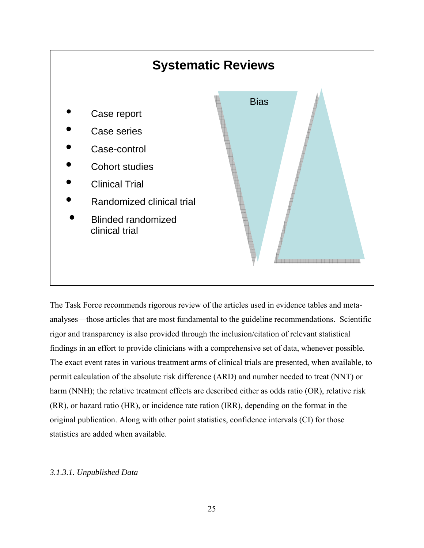

The Task Force recommends rigorous review of the articles used in evidence tables and metaanalyses—those articles that are most fundamental to the guideline recommendations. Scientific rigor and transparency is also provided through the inclusion/citation of relevant statistical findings in an effort to provide clinicians with a comprehensive set of data, whenever possible. The exact event rates in various treatment arms of clinical trials are presented, when available, to permit calculation of the absolute risk difference (ARD) and number needed to treat (NNT) or harm (NNH); the relative treatment effects are described either as odds ratio (OR), relative risk (RR), or hazard ratio (HR), or incidence rate ration (IRR), depending on the format in the original publication. Along with other point statistics, confidence intervals (CI) for those statistics are added when available.

# *3.1.3.1. Unpublished Data*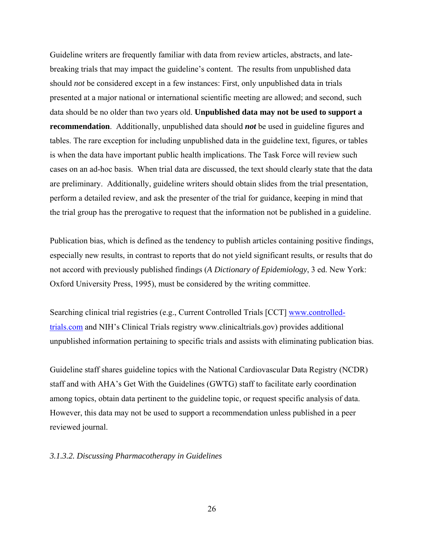Guideline writers are frequently familiar with data from review articles, abstracts, and latebreaking trials that may impact the guideline's content. The results from unpublished data should *not* be considered except in a few instances: First, only unpublished data in trials presented at a major national or international scientific meeting are allowed; and second, such data should be no older than two years old. **Unpublished data may not be used to support a recommendation**. Additionally, unpublished data should *not* be used in guideline figures and tables. The rare exception for including unpublished data in the guideline text, figures, or tables is when the data have important public health implications. The Task Force will review such cases on an ad-hoc basis. When trial data are discussed, the text should clearly state that the data are preliminary. Additionally, guideline writers should obtain slides from the trial presentation, perform a detailed review, and ask the presenter of the trial for guidance, keeping in mind that the trial group has the prerogative to request that the information not be published in a guideline.

Publication bias, which is defined as the tendency to publish articles containing positive findings, especially new results, in contrast to reports that do not yield significant results, or results that do not accord with previously published findings (*A Dictionary of Epidemiology*, 3 ed. New York: Oxford University Press, 1995), must be considered by the writing committee.

Searching clinical trial registries (e.g., Current Controlled Trials [CCT] www.controlledtrials.com and NIH's Clinical Trials registry www.clinicaltrials.gov) provides additional unpublished information pertaining to specific trials and assists with eliminating publication bias.

Guideline staff shares guideline topics with the National Cardiovascular Data Registry (NCDR) staff and with AHA's Get With the Guidelines (GWTG) staff to facilitate early coordination among topics, obtain data pertinent to the guideline topic, or request specific analysis of data. However, this data may not be used to support a recommendation unless published in a peer reviewed journal.

#### *3.1.3.2. Discussing Pharmacotherapy in Guidelines*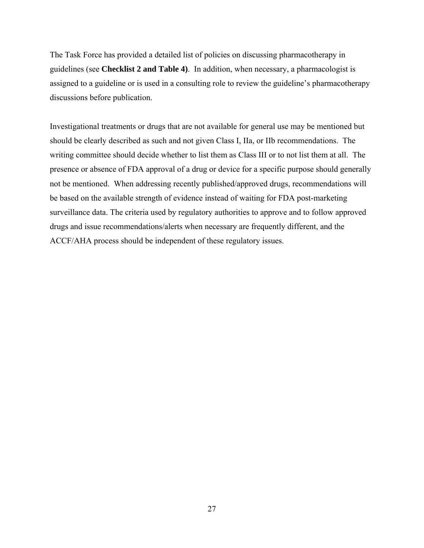The Task Force has provided a detailed list of policies on discussing pharmacotherapy in guidelines (see **Checklist 2 and Table 4)**. In addition, when necessary, a pharmacologist is assigned to a guideline or is used in a consulting role to review the guideline's pharmacotherapy discussions before publication.

Investigational treatments or drugs that are not available for general use may be mentioned but should be clearly described as such and not given Class I, IIa, or IIb recommendations. The writing committee should decide whether to list them as Class III or to not list them at all. The presence or absence of FDA approval of a drug or device for a specific purpose should generally not be mentioned. When addressing recently published/approved drugs, recommendations will be based on the available strength of evidence instead of waiting for FDA post-marketing surveillance data. The criteria used by regulatory authorities to approve and to follow approved drugs and issue recommendations/alerts when necessary are frequently different, and the ACCF/AHA process should be independent of these regulatory issues.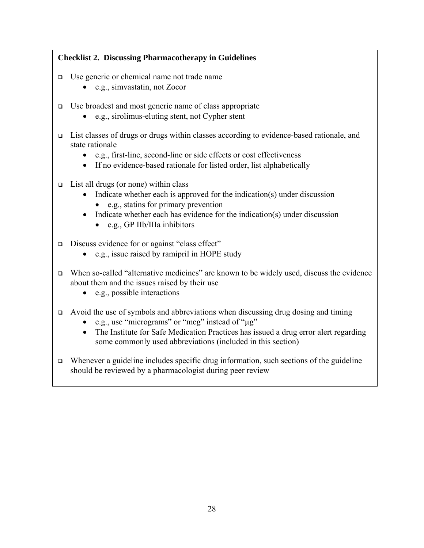# **Checklist 2. Discussing Pharmacotherapy in Guidelines**

- Use generic or chemical name not trade name
	- e.g., simvastatin, not Zocor
- $\Box$  Use broadest and most generic name of class appropriate
	- e.g., sirolimus-eluting stent, not Cypher stent
- $\Box$  List classes of drugs or drugs within classes according to evidence-based rationale, and state rationale
	- e.g., first-line, second-line or side effects or cost effectiveness
	- If no evidence-based rationale for listed order, list alphabetically
- $\Box$  List all drugs (or none) within class
	- Indicate whether each is approved for the indication(s) under discussion • e.g., statins for primary prevention
	- Indicate whether each has evidence for the indication(s) under discussion
		- e.g., GP IIb/IIIa inhibitors
- Discuss evidence for or against "class effect"
	- e.g., issue raised by ramipril in HOPE study
- When so-called "alternative medicines" are known to be widely used, discuss the evidence about them and the issues raised by their use
	- e.g., possible interactions
- $\Box$  Avoid the use of symbols and abbreviations when discussing drug dosing and timing
	- e.g., use "micrograms" or "mcg" instead of "µg"
	- The Institute for Safe Medication Practices has issued a drug error alert regarding some commonly used abbreviations (included in this section)
- $\Box$  Whenever a guideline includes specific drug information, such sections of the guideline should be reviewed by a pharmacologist during peer review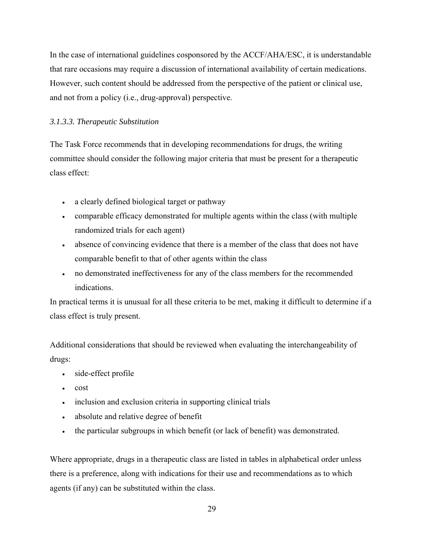In the case of international guidelines cosponsored by the ACCF/AHA/ESC, it is understandable that rare occasions may require a discussion of international availability of certain medications. However, such content should be addressed from the perspective of the patient or clinical use, and not from a policy (i.e., drug-approval) perspective.

# *3.1.3.3. Therapeutic Substitution*

The Task Force recommends that in developing recommendations for drugs, the writing committee should consider the following major criteria that must be present for a therapeutic class effect:

- a clearly defined biological target or pathway
- comparable efficacy demonstrated for multiple agents within the class (with multiple randomized trials for each agent)
- absence of convincing evidence that there is a member of the class that does not have comparable benefit to that of other agents within the class
- no demonstrated ineffectiveness for any of the class members for the recommended indications.

In practical terms it is unusual for all these criteria to be met, making it difficult to determine if a class effect is truly present.

Additional considerations that should be reviewed when evaluating the interchangeability of drugs:

- side-effect profile
- cost
- inclusion and exclusion criteria in supporting clinical trials
- absolute and relative degree of benefit
- the particular subgroups in which benefit (or lack of benefit) was demonstrated.

Where appropriate, drugs in a therapeutic class are listed in tables in alphabetical order unless there is a preference, along with indications for their use and recommendations as to which agents (if any) can be substituted within the class.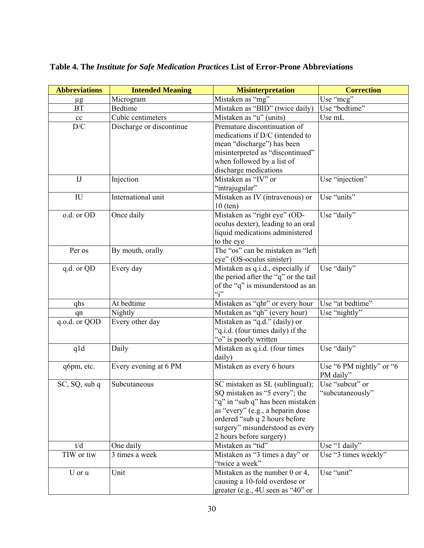| <b>Abbreviations</b>    | <b>Intended Meaning</b>  | <b>Misinterpretation</b>                                                  | <b>Correction</b>        |
|-------------------------|--------------------------|---------------------------------------------------------------------------|--------------------------|
| $\mu$ g                 | Microgram                | Mistaken as "mg"                                                          | Use "mcg"                |
| <b>BT</b>               | <b>Bedtime</b>           | Mistaken as "BID" (twice daily)                                           | Use "bedtime"            |
| cc                      | Cubic centimeters        | Mistaken as "u" (units)                                                   | Use mL                   |
| $\mathbf{D}/\mathbf{C}$ | Discharge or discontinue | Premature discontinuation of                                              |                          |
|                         |                          | medications if D/C (intended to                                           |                          |
|                         |                          | mean "discharge") has been                                                |                          |
|                         |                          | misinterpreted as "discontinued"                                          |                          |
|                         |                          | when followed by a list of                                                |                          |
|                         |                          | discharge medications                                                     |                          |
| I                       | Injection                | Mistaken as "IV" or                                                       | Use "injection"          |
|                         |                          | "intrajugular"                                                            |                          |
| IU                      | International unit       | Mistaken as IV (intravenous) or                                           | Use "units"              |
|                         |                          | $10$ (ten)                                                                |                          |
| o.d. or OD              | Once daily               | Mistaken as "right eye" (OD-                                              | Use "daily"              |
|                         |                          | oculus dexter), leading to an oral                                        |                          |
|                         |                          | liquid medications administered                                           |                          |
|                         |                          | to the eye                                                                |                          |
| Per os                  | By mouth, orally         | The "os" can be mistaken as "left                                         |                          |
|                         |                          | eye" (OS-oculus sinister)                                                 | Use "daily"              |
| q.d. or QD              | Every day                | Mistaken as q.i.d., especially if                                         |                          |
|                         |                          | the period after the "q" or the tail<br>of the "q" is misunderstood as an |                          |
|                         |                          | $\mathfrak{c}$ ;                                                          |                          |
| qhs                     | At bedtime               | Mistaken as "qhr" or every hour                                           | Use "at bedtime"         |
| qn                      | Nightly                  | Mistaken as "qh" (every hour)                                             | Use "nightly"            |
| q.o.d. or QOD           | Every other day          | Mistaken as "q.d." (daily) or                                             |                          |
|                         |                          | "q.i.d. (four times daily) if the                                         |                          |
|                         |                          | "o" is poorly written                                                     |                          |
| qld                     | Daily                    | Mistaken as q.i.d. (four times                                            | Use "daily"              |
|                         |                          | daily)                                                                    |                          |
| q6pm, etc.              | Every evening at 6 PM    | Mistaken as every 6 hours                                                 | Use "6 PM nightly" or "6 |
|                         |                          |                                                                           | PM daily"                |
| SC, SQ, sub q           | Subcutaneous             | SC mistaken as SL (sublingual);                                           | Use "subcut" or          |
|                         |                          | SQ mistaken as "5 every"; the                                             | "subcutaneously"         |
|                         |                          | "q" in "sub q" has been mistaken                                          |                          |
|                         |                          | as "every" (e.g., a heparin dose                                          |                          |
|                         |                          | ordered "sub q 2 hours before                                             |                          |
|                         |                          | surgery" misunderstood as every                                           |                          |
|                         |                          | 2 hours before surgery)                                                   |                          |
| t/d                     | One daily                | Mistaken as "tid"                                                         | Use "1 daily"            |
| TIW or tiw              | 3 times a week           | Mistaken as "3 times a day" or<br>"twice a week"                          | Use "3 times weekly"     |
|                         | Unit                     |                                                                           | Use "unit"               |
| U or u                  |                          | Mistaken as the number 0 or 4,<br>causing a 10-fold overdose or           |                          |
|                         |                          | greater (e.g., $4U$ seen as " $40$ " or                                   |                          |
|                         |                          |                                                                           |                          |

# **Table 4. The** *Institute for Safe Medication Practices* **List of Error-Prone Abbreviations**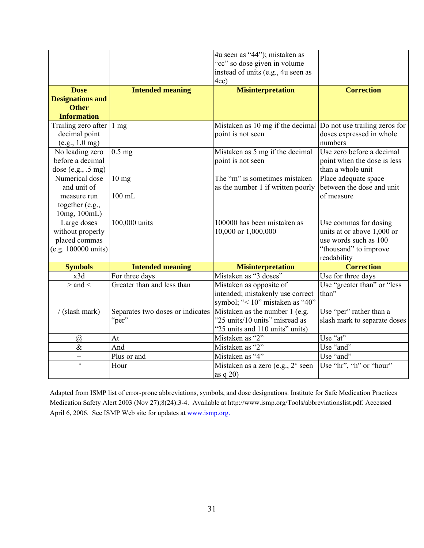|                         |                                  | 4u seen as "44"); mistaken as                                  |                              |
|-------------------------|----------------------------------|----------------------------------------------------------------|------------------------------|
|                         |                                  | "cc" so dose given in volume                                   |                              |
|                         |                                  | instead of units (e.g., 4u seen as                             |                              |
|                         |                                  | 4cc)                                                           |                              |
| <b>Dose</b>             | <b>Intended meaning</b>          | <b>Misinterpretation</b>                                       | <b>Correction</b>            |
| <b>Designations and</b> |                                  |                                                                |                              |
| <b>Other</b>            |                                  |                                                                |                              |
| <b>Information</b>      |                                  |                                                                |                              |
| Trailing zero after     | $1 \text{ mg}$                   | Mistaken as 10 mg if the decimal Do not use trailing zeros for |                              |
| decimal point           |                                  | point is not seen                                              | doses expressed in whole     |
| (e.g., 1.0 mg)          |                                  |                                                                | numbers                      |
| No leading zero         | $0.5$ mg                         | Mistaken as 5 mg if the decimal                                | Use zero before a decimal    |
| before a decimal        |                                  | point is not seen                                              | point when the dose is less  |
| dose (e.g., .5 mg)      |                                  |                                                                | than a whole unit            |
| Numerical dose          | $10$ mg                          | The "m" is sometimes mistaken                                  | Place adequate space         |
| and unit of             |                                  | as the number 1 if written poorly                              | between the dose and unit    |
| measure run             | $100$ mL                         |                                                                | of measure                   |
| together (e.g.,         |                                  |                                                                |                              |
| 10mg, 100mL)            |                                  |                                                                |                              |
| Large doses             | 100,000 units                    | 100000 has been mistaken as                                    | Use commas for dosing        |
| without properly        |                                  | 10,000 or 1,000,000                                            | units at or above 1,000 or   |
| placed commas           |                                  |                                                                | use words such as 100        |
| (e.g. 100000 units)     |                                  |                                                                | "thousand" to improve        |
|                         |                                  |                                                                | readability                  |
| <b>Symbols</b>          | <b>Intended meaning</b>          | <b>Misinterpretation</b>                                       | <b>Correction</b>            |
| x3d                     | For three days                   | Mistaken as "3 doses"                                          | Use for three days           |
| $>$ and $<$             | Greater than and less than       | Mistaken as opposite of                                        | Use "greater than" or "less  |
|                         |                                  | intended; mistakenly use correct                               | than"                        |
|                         |                                  | symbol; "< 10" mistaken as "40"                                |                              |
| /(slash mark)           | Separates two doses or indicates | Mistaken as the number 1 (e.g.                                 | Use "per" rather than a      |
|                         | "per"                            | "25 units/10 units" misread as                                 | slash mark to separate doses |
|                         |                                  | "25 units and 110 units" units)                                |                              |
| $\overline{a}$          | At                               | Mistaken as "2"                                                | Use "at"                     |
| $\&$                    | And                              | Mistaken as "2"                                                | Use "and"                    |
| $\qquad \qquad +$       | Plus or and                      | Mistaken as "4"                                                | Use "and"                    |
| $\circ$                 | Hour                             | Mistaken as a zero (e.g., 2° seen                              | Use "hr", "h" or "hour"      |
|                         |                                  | as $q20$                                                       |                              |

Adapted from ISMP list of error-prone abbreviations, symbols, and dose designations. Institute for Safe Medication Practices Medication Safety Alert 2003 (Nov 27);8(24):3-4. Available at http://www.ismp.org/Tools/abbreviationslist.pdf. Accessed April 6, 2006. See ISMP Web site for updates at www.ismp.org.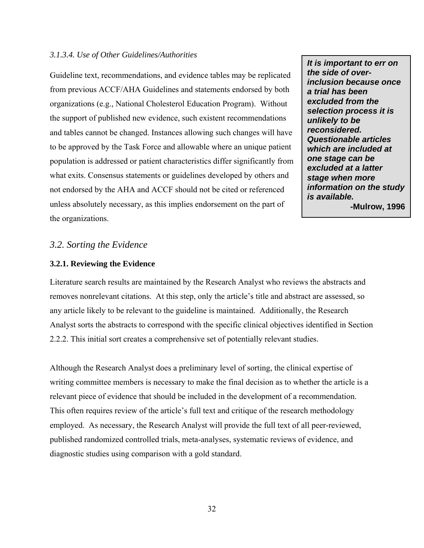#### *3.1.3.4. Use of Other Guidelines/Authorities*

Guideline text, recommendations, and evidence tables may be replicated from previous ACCF/AHA Guidelines and statements endorsed by both organizations (e.g., National Cholesterol Education Program). Without the support of published new evidence, such existent recommendations and tables cannot be changed. Instances allowing such changes will have to be approved by the Task Force and allowable where an unique patient population is addressed or patient characteristics differ significantly from what exits. Consensus statements or guidelines developed by others and not endorsed by the AHA and ACCF should not be cited or referenced unless absolutely necessary, as this implies endorsement on the part of the organizations.

*It is important to err on the side of overinclusion because once a trial has been excluded from the selection process it is unlikely to be reconsidered. Questionable articles which are included at one stage can be excluded at a latter stage when more information on the study is available.*  **-Mulrow, 1996** 

#### *3.2. Sorting the Evidence*

#### **3.2.1. Reviewing the Evidence**

Literature search results are maintained by the Research Analyst who reviews the abstracts and removes nonrelevant citations. At this step, only the article's title and abstract are assessed, so any article likely to be relevant to the guideline is maintained. Additionally, the Research Analyst sorts the abstracts to correspond with the specific clinical objectives identified in Section 2.2.2. This initial sort creates a comprehensive set of potentially relevant studies.

Although the Research Analyst does a preliminary level of sorting, the clinical expertise of writing committee members is necessary to make the final decision as to whether the article is a relevant piece of evidence that should be included in the development of a recommendation. This often requires review of the article's full text and critique of the research methodology employed. As necessary, the Research Analyst will provide the full text of all peer-reviewed, published randomized controlled trials, meta-analyses, systematic reviews of evidence, and diagnostic studies using comparison with a gold standard.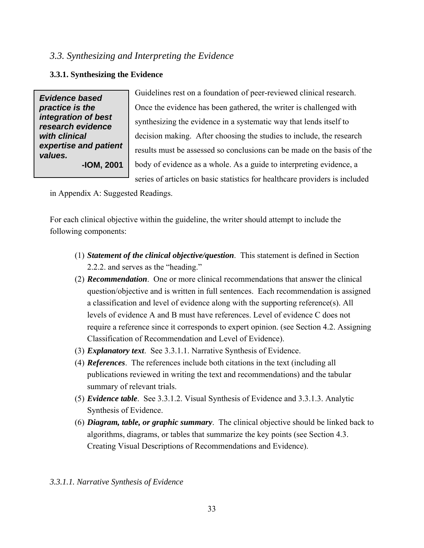# *3.3. Synthesizing and Interpreting the Evidence*

# **3.3.1. Synthesizing the Evidence**

*Evidence based practice is the integration of best research evidence with clinical expertise and patient values.*  **-IOM, 2001** 

Guidelines rest on a foundation of peer-reviewed clinical research. Once the evidence has been gathered, the writer is challenged with synthesizing the evidence in a systematic way that lends itself to decision making. After choosing the studies to include, the research results must be assessed so conclusions can be made on the basis of the body of evidence as a whole. As a guide to interpreting evidence, a series of articles on basic statistics for healthcare providers is included

in Appendix A: Suggested Readings.

For each clinical objective within the guideline, the writer should attempt to include the following components:

- (1) *Statement of the clinical objective/question*. This statement is defined in Section 2.2.2. and serves as the "heading."
- (2) *Recommendation*. One or more clinical recommendations that answer the clinical question/objective and is written in full sentences. Each recommendation is assigned a classification and level of evidence along with the supporting reference(s). All levels of evidence A and B must have references. Level of evidence C does not require a reference since it corresponds to expert opinion. (see Section 4.2. Assigning Classification of Recommendation and Level of Evidence).
- (3) *Explanatory text*. See 3.3.1.1. Narrative Synthesis of Evidence.
- (4) *References*. The references include both citations in the text (including all publications reviewed in writing the text and recommendations) and the tabular summary of relevant trials.
- (5) *Evidence table*. See 3.3.1.2. Visual Synthesis of Evidence and 3.3.1.3. Analytic Synthesis of Evidence.
- (6) *Diagram, table, or graphic summary*. The clinical objective should be linked back to algorithms, diagrams, or tables that summarize the key points (see Section 4.3. Creating Visual Descriptions of Recommendations and Evidence).

# *3.3.1.1. Narrative Synthesis of Evidence*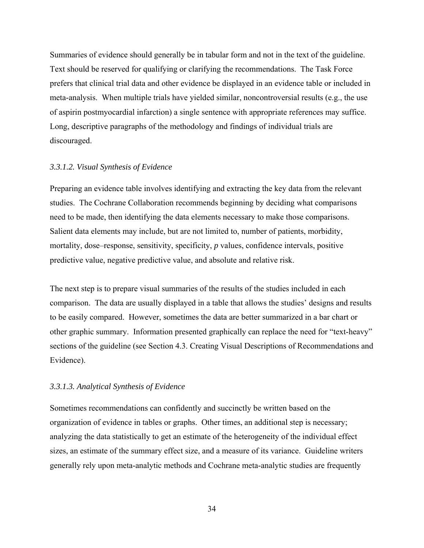Summaries of evidence should generally be in tabular form and not in the text of the guideline. Text should be reserved for qualifying or clarifying the recommendations. The Task Force prefers that clinical trial data and other evidence be displayed in an evidence table or included in meta-analysis. When multiple trials have yielded similar, noncontroversial results (e.g., the use of aspirin postmyocardial infarction) a single sentence with appropriate references may suffice. Long, descriptive paragraphs of the methodology and findings of individual trials are discouraged.

#### *3.3.1.2. Visual Synthesis of Evidence*

Preparing an evidence table involves identifying and extracting the key data from the relevant studies. The Cochrane Collaboration recommends beginning by deciding what comparisons need to be made, then identifying the data elements necessary to make those comparisons. Salient data elements may include, but are not limited to, number of patients, morbidity, mortality, dose–response, sensitivity, specificity, *p* values, confidence intervals, positive predictive value, negative predictive value, and absolute and relative risk.

The next step is to prepare visual summaries of the results of the studies included in each comparison. The data are usually displayed in a table that allows the studies' designs and results to be easily compared. However, sometimes the data are better summarized in a bar chart or other graphic summary. Information presented graphically can replace the need for "text-heavy" sections of the guideline (see Section 4.3. Creating Visual Descriptions of Recommendations and Evidence).

#### *3.3.1.3. Analytical Synthesis of Evidence*

Sometimes recommendations can confidently and succinctly be written based on the organization of evidence in tables or graphs. Other times, an additional step is necessary; analyzing the data statistically to get an estimate of the heterogeneity of the individual effect sizes, an estimate of the summary effect size, and a measure of its variance. Guideline writers generally rely upon meta-analytic methods and Cochrane meta-analytic studies are frequently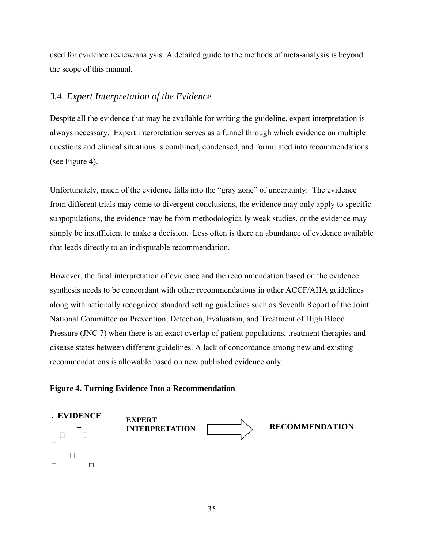used for evidence review/analysis. A detailed guide to the methods of meta-analysis is beyond the scope of this manual.

# *3.4. Expert Interpretation of the Evidence*

Despite all the evidence that may be available for writing the guideline, expert interpretation is always necessary. Expert interpretation serves as a funnel through which evidence on multiple questions and clinical situations is combined, condensed, and formulated into recommendations (see Figure 4).

Unfortunately, much of the evidence falls into the "gray zone" of uncertainty. The evidence from different trials may come to divergent conclusions, the evidence may only apply to specific subpopulations, the evidence may be from methodologically weak studies, or the evidence may simply be insufficient to make a decision. Less often is there an abundance of evidence available that leads directly to an indisputable recommendation.

However, the final interpretation of evidence and the recommendation based on the evidence synthesis needs to be concordant with other recommendations in other ACCF/AHA guidelines along with nationally recognized standard setting guidelines such as Seventh Report of the Joint National Committee on Prevention, Detection, Evaluation, and Treatment of High Blood Pressure (JNC 7) when there is an exact overlap of patient populations, treatment therapies and disease states between different guidelines. A lack of concordance among new and existing recommendations is allowable based on new published evidence only.

# **Figure 4. Turning Evidence Into a Recommendation**

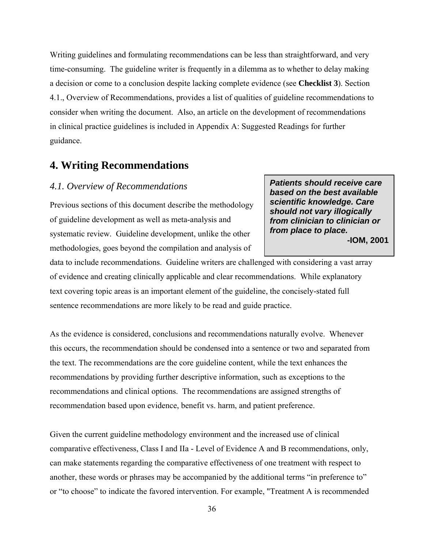Writing guidelines and formulating recommendations can be less than straightforward, and very time-consuming. The guideline writer is frequently in a dilemma as to whether to delay making a decision or come to a conclusion despite lacking complete evidence (see **Checklist 3**). Section 4.1., Overview of Recommendations, provides a list of qualities of guideline recommendations to consider when writing the document. Also, an article on the development of recommendations in clinical practice guidelines is included in Appendix A: Suggested Readings for further guidance.

# **4. Writing Recommendations**

### *4.1. Overview of Recommendations*

Previous sections of this document describe the methodology of guideline development as well as meta-analysis and systematic review. Guideline development, unlike the other methodologies, goes beyond the compilation and analysis of

*Patients should receive care based on the best available scientific knowledge. Care should not vary illogically from clinician to clinician or from place to place.*  **-IOM, 2001** 

data to include recommendations. Guideline writers are challenged with considering a vast array of evidence and creating clinically applicable and clear recommendations. While explanatory text covering topic areas is an important element of the guideline, the concisely-stated full sentence recommendations are more likely to be read and guide practice.

As the evidence is considered, conclusions and recommendations naturally evolve. Whenever this occurs, the recommendation should be condensed into a sentence or two and separated from the text. The recommendations are the core guideline content, while the text enhances the recommendations by providing further descriptive information, such as exceptions to the recommendations and clinical options. The recommendations are assigned strengths of recommendation based upon evidence, benefit vs. harm, and patient preference.

Given the current guideline methodology environment and the increased use of clinical comparative effectiveness, Class I and IIa - Level of Evidence A and B recommendations, only, can make statements regarding the comparative effectiveness of one treatment with respect to another, these words or phrases may be accompanied by the additional terms "in preference to" or "to choose" to indicate the favored intervention. For example, "Treatment A is recommended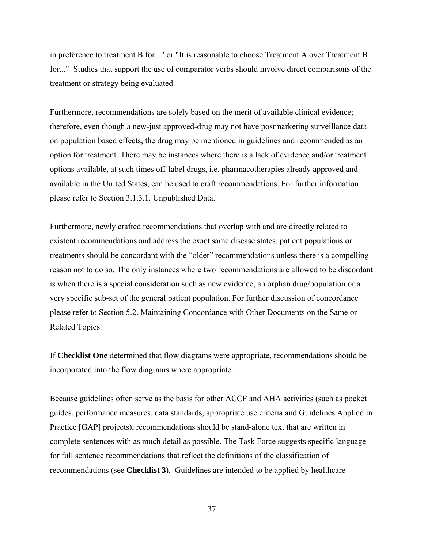in preference to treatment B for..." or "It is reasonable to choose Treatment A over Treatment B for..." Studies that support the use of comparator verbs should involve direct comparisons of the treatment or strategy being evaluated.

Furthermore, recommendations are solely based on the merit of available clinical evidence; therefore, even though a new-just approved-drug may not have postmarketing surveillance data on population based effects, the drug may be mentioned in guidelines and recommended as an option for treatment. There may be instances where there is a lack of evidence and/or treatment options available, at such times off-label drugs, i.e. pharmacotherapies already approved and available in the United States, can be used to craft recommendations. For further information please refer to Section 3.1.3.1. Unpublished Data.

Furthermore, newly crafted recommendations that overlap with and are directly related to existent recommendations and address the exact same disease states, patient populations or treatments should be concordant with the "older" recommendations unless there is a compelling reason not to do so. The only instances where two recommendations are allowed to be discordant is when there is a special consideration such as new evidence, an orphan drug/population or a very specific sub-set of the general patient population. For further discussion of concordance please refer to Section 5.2. Maintaining Concordance with Other Documents on the Same or Related Topics.

If **Checklist One** determined that flow diagrams were appropriate, recommendations should be incorporated into the flow diagrams where appropriate.

Because guidelines often serve as the basis for other ACCF and AHA activities (such as pocket guides, performance measures, data standards, appropriate use criteria and Guidelines Applied in Practice [GAP] projects), recommendations should be stand-alone text that are written in complete sentences with as much detail as possible. The Task Force suggests specific language for full sentence recommendations that reflect the definitions of the classification of recommendations (see **Checklist 3**). Guidelines are intended to be applied by healthcare

37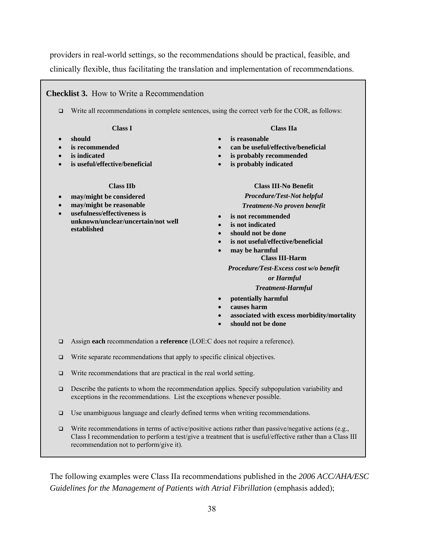providers in real-world settings, so the recommendations should be practical, feasible, and clinically flexible, thus facilitating the translation and implementation of recommendations.

### **Checklist 3.** How to Write a Recommendation

Write all recommendations in complete sentences, using the correct verb for the COR, as follows:

#### **Class I**

- **should**
- **is recommended**
- **is indicated**
- **is useful/effective/beneficial**

#### **Class IIb**

- **may/might be considered**
- **may/might be reasonable**
- **usefulness/effectiveness is unknown/unclear/uncertain/not well established**

#### **Class IIa**

- **is reasonable**
- **can be useful/effective/beneficial**
- **is probably recommended**
- **is probably indicated**

#### **Class III-No Benefit**

#### *Procedure/Test-Not helpful Treatment-No proven benefit*

- **is not recommended**
- **is not indicated**
- **should not be done**
- **is not useful/effective/beneficial** 
	- **may be harmful**

#### **Class III-Harm**

*Procedure/Test-Excess cost w/o benefit* 

#### *or Harmful*

#### *Treatment-Harmful*

- **potentially harmful**
- **causes harm**
- **associated with excess morbidity/mortality**
- **should not be done**
- Assign **each** recommendation a **reference** (LOE:C does not require a reference).
- □ Write separate recommendations that apply to specific clinical objectives.
- $\Box$  Write recommendations that are practical in the real world setting.
- $\Box$  Describe the patients to whom the recommendation applies. Specify subpopulation variability and exceptions in the recommendations. List the exceptions whenever possible.
- $\Box$  Use unambiguous language and clearly defined terms when writing recommendations.
- Write recommendations in terms of active/positive actions rather than passive/negative actions (e.g., Class I recommendation to perform a test/give a treatment that is useful/effective rather than a Class III recommendation not to perform/give it).

The following examples were Class IIa recommendations published in the *2006 ACC/AHA/ESC Guidelines for the Management of Patients with Atrial Fibrillation (emphasis added);*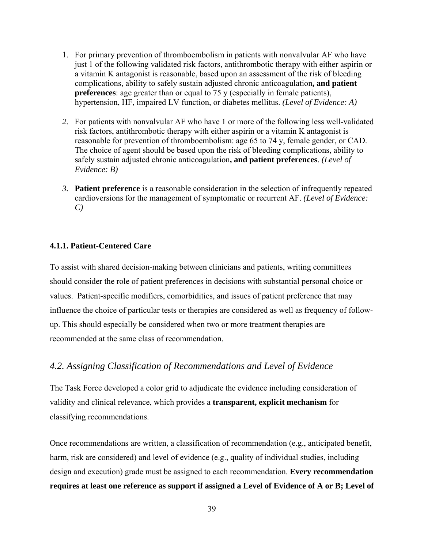- 1. For primary prevention of thromboembolism in patients with nonvalvular AF who have just 1 of the following validated risk factors, antithrombotic therapy with either aspirin or a vitamin K antagonist is reasonable, based upon an assessment of the risk of bleeding complications, ability to safely sustain adjusted chronic anticoagulation**, and patient preferences**: age greater than or equal to 75 y (especially in female patients), hypertension, HF, impaired LV function, or diabetes mellitus. *(Level of Evidence: A)*
- *2.* For patients with nonvalvular AF who have 1 or more of the following less well-validated risk factors, antithrombotic therapy with either aspirin or a vitamin K antagonist is reasonable for prevention of thromboembolism: age 65 to 74 y, female gender, or CAD. The choice of agent should be based upon the risk of bleeding complications, ability to safely sustain adjusted chronic anticoagulation**, and patient preferences**. *(Level of Evidence: B)*
- *3.* **Patient preference** is a reasonable consideration in the selection of infrequently repeated cardioversions for the management of symptomatic or recurrent AF. *(Level of Evidence: C)*

#### **4.1.1. Patient-Centered Care**

To assist with shared decision-making between clinicians and patients, writing committees should consider the role of patient preferences in decisions with substantial personal choice or values. Patient-specific modifiers, comorbidities, and issues of patient preference that may influence the choice of particular tests or therapies are considered as well as frequency of followup. This should especially be considered when two or more treatment therapies are recommended at the same class of recommendation.

### *4.2. Assigning Classification of Recommendations and Level of Evidence*

The Task Force developed a color grid to adjudicate the evidence including consideration of validity and clinical relevance, which provides a **transparent, explicit mechanism** for classifying recommendations.

Once recommendations are written, a classification of recommendation (e.g., anticipated benefit, harm, risk are considered) and level of evidence (e.g., quality of individual studies, including design and execution) grade must be assigned to each recommendation. **Every recommendation requires at least one reference as support if assigned a Level of Evidence of A or B; Level of**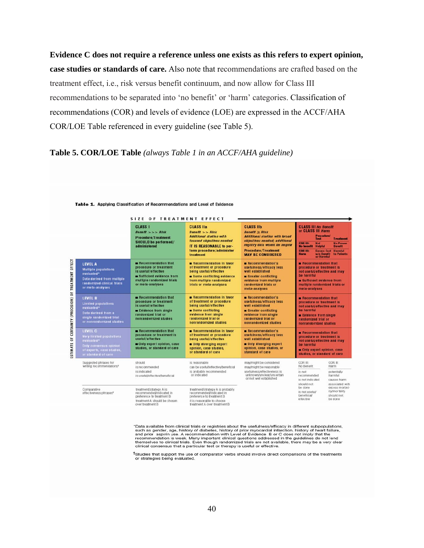**Evidence C does not require a reference unless one exists as this refers to expert opinion, case studies or standards of care.** Also note that recommendations are crafted based on the treatment effect, i.e., risk versus benefit continuum, and now allow for Class III recommendations to be separated into 'no benefit' or 'harm' categories. Classification of recommendations (COR) and levels of evidence (LOE) are expressed in the ACCF/AHA COR/LOE Table referenced in every guideline (see Table 5).

### **Table 5. COR/LOE Table** *(always Table 1 in an ACCF/AHA guideline)*

|                                                       |                                                                                                                                                                                                                                                                                           | SIZE OF TREATMENT EFFECT                                                                                                                           |                                                                                                                                                                                                                                                                                                                                               |                                                                                                                                                                                                                                                                                                                                  |                                                                                                                                                                                                      |                                                                                                 |  |
|-------------------------------------------------------|-------------------------------------------------------------------------------------------------------------------------------------------------------------------------------------------------------------------------------------------------------------------------------------------|----------------------------------------------------------------------------------------------------------------------------------------------------|-----------------------------------------------------------------------------------------------------------------------------------------------------------------------------------------------------------------------------------------------------------------------------------------------------------------------------------------------|----------------------------------------------------------------------------------------------------------------------------------------------------------------------------------------------------------------------------------------------------------------------------------------------------------------------------------|------------------------------------------------------------------------------------------------------------------------------------------------------------------------------------------------------|-------------------------------------------------------------------------------------------------|--|
|                                                       |                                                                                                                                                                                                                                                                                           | <b>CLASS I</b><br>Beneftt >> Rlsk<br><b>Procedure/Treatment</b><br><b>SHOULD be performed/</b><br>administered                                     | <b>CLASS IIa</b><br>$Beneftt \gg Rlsk$<br><b>Additional studies with</b><br>focused objectives needed<br><b>IT IS REASONABLE to per-</b><br>form procedure/administer<br>treatment                                                                                                                                                            | <b>CLASS IIb</b><br><b>Benefit <math>\geq</math> Risk</b><br><b>Additional studies with broad</b><br>objectives needed; additional<br>registry data would be helpful<br><b>Procedure/Treatment</b><br><b>MAY BE CONSIDERED</b>                                                                                                   | <b>CLASS III No Benefit</b><br>or CLASS III Harm<br>Procedure/<br>Test<br><b>Not</b><br><b>COR III:</b><br><b>No benefit</b><br>Helpful<br><b>COR HE</b><br>w/o Benefit<br><b>Harm</b><br>or Harmful | <b>Treatment</b><br><b>No Proven</b><br>Benefit<br><b>Excess Cost</b><br>Harmful<br>to Patients |  |
| ESTIMATE OF CERTAINTY (PRECISION) OF TREATMENT EFFECT | <b>LEVEL A</b><br><b>Multiple populations</b><br>evaluated*<br>Data derived from multiple<br>randomized clinical trials<br>or meta-analyses                                                                                                                                               | Recommendation that<br>procedure or treatment<br>is useful/effective<br>sufficient evidence from<br>multiple randomized trials<br>or meta-analyses |                                                                                                                                                                                                                                                                                                                                               | Recommendation in favor<br>Recommendation's<br>of treatment or procedure<br>usefulness/efficacy less<br>well established<br>being useful/effective<br>Some conflicting evidence<br>Greater conflicting<br>from multiple randomized<br>evidence from multiple<br>trials or meta-analyses<br>randomized trials or<br>meta-analyses |                                                                                                                                                                                                      |                                                                                                 |  |
|                                                       | Recommendation that<br><b>LEVEL B</b><br>procedure or treatment<br><b>Limited populations</b><br>is useful/effective<br>evaluated*<br>Evidence from single<br>Data derived from a<br>randomized trial or<br>single randomized trial<br>nonrandomized studies<br>or nonrandomized studies. |                                                                                                                                                    | Recommendation in favor<br>Recommendation's<br>of treatment or procedure<br>usefulness/efficacy less<br>being useful/effective<br>well established<br>Some conflicting<br>Greater conflicting<br>evidence from single<br>evidence from single<br>randomized trial or<br>randomized trial or<br>nonrandomized studies<br>nonrandomized studies |                                                                                                                                                                                                                                                                                                                                  | Recommendation that<br>procedure or treatment is<br>not useful/effective and may<br>be harmful<br>Evidence from single<br>randomized trial or<br>nonrandomized studies                               |                                                                                                 |  |
|                                                       | LEVEL C<br>Very limited populations<br>evaluated*<br>Only consensus opinion<br>of experts, case studies,<br>or standard of care                                                                                                                                                           | <b>Becommendation that</b><br>procedure or treatment is<br>useful/effective<br>Only expert opinion, case<br>studies, or standard of care           | Recommendation in favor<br>of treatment or procedure<br>being useful/effective<br>Only diverging expert<br>opinion, case studies,<br>or standard of care                                                                                                                                                                                      | Recommendation's<br>usefulness/efficacy less<br>well established<br>Only diverging expert<br>opinion, case studies, or<br>standard of care                                                                                                                                                                                       | Recommendation that<br>procedure or treatment is<br>not useful/effective and may<br>he harmful<br>Only expert opinion, case<br>studies, or standard of care                                          |                                                                                                 |  |
|                                                       | Suggested phrases for<br>writing recommendations <sup>*</sup>                                                                                                                                                                                                                             | should<br>is recommended<br>is indicated<br>is usetuVeffective/beneficial                                                                          | is reasonable<br>can be useful/effective/beneficial<br>is probably recommended<br>or indicated                                                                                                                                                                                                                                                | may/might be considered<br>may/might be reasonable<br>usefulness/effectiveness is<br>unknown/unclear/uncertain<br>or not well established                                                                                                                                                                                        | COR III:<br>No Benefit<br>is not<br>recommended<br>is not indicated                                                                                                                                  | COR III:<br>Harm<br>potentially<br>harmful<br>causes harm                                       |  |
|                                                       | Comparative<br>effectiveness phrases*                                                                                                                                                                                                                                                     | treatment/strategy A is<br>recommended/indicated in<br>preference to treatment B.<br>treatment A should be chosen<br>over treatment B              | treatment/strategy A is probably<br>recommended/indicated in<br>preference to treatment B<br>it is reasonable to choose<br>treatment A over treatment B                                                                                                                                                                                       |                                                                                                                                                                                                                                                                                                                                  | should not<br>be done<br>is not useful/<br>beneficial/<br>effective                                                                                                                                  | associated with<br>excess morbid-<br>ity/mortality<br>should not<br>be done                     |  |

Table 1. Applying Classification of Recommendations and Level of Evidence

"Data available from clinical trials or registries about the usefulness/efficacy in different subpopulations, such as gender, age, history of diabletes, history of prior myocardial infraction, history of pair failure, and

TStudies that support the use of comparator verbs should involve direct comparisons of the treatments<br>or strategies being evaluated.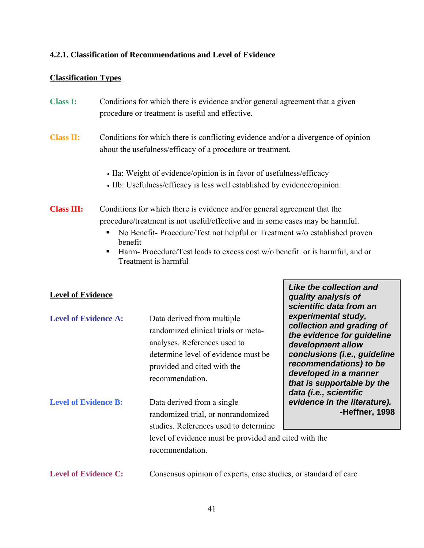## **4.2.1. Classification of Recommendations and Level of Evidence**

### **Classification Types**

| <b>Class I:</b> | Conditions for which there is evidence and/or general agreement that a given |
|-----------------|------------------------------------------------------------------------------|
|                 | procedure or treatment is useful and effective.                              |

## **Class II:** Conditions for which there is conflicting evidence and/or a divergence of opinion about the usefulness/efficacy of a procedure or treatment.

- IIa: Weight of evidence/opinion is in favor of usefulness/efficacy
- IIb: Usefulness/efficacy is less well established by evidence/opinion.
- **Class III:** Conditions for which there is evidence and/or general agreement that the procedure/treatment is not useful/effective and in some cases may be harmful.
	- No Benefit- Procedure/Test not helpful or Treatment w/o established proven benefit
	- Harm- Procedure/Test leads to excess cost w/o benefit or is harmful, and or Treatment is harmful

*Like the collection and quality analysis of scientific data from an* 

## **Level of Evidence**

| <b>Level of Evidence A:</b> | Data derived from multiple<br>randomized clinical trials or meta-<br>analyses. References used to<br>determine level of evidence must be<br>provided and cited with the<br>recommendation. | experimental study,<br>collection and grading of<br>the evidence for guideline<br>development allow<br>conclusions (i.e., guideline<br>recommendations) to be<br>developed in a manner<br>that is supportable by the<br>data (i.e., scientific |
|-----------------------------|--------------------------------------------------------------------------------------------------------------------------------------------------------------------------------------------|------------------------------------------------------------------------------------------------------------------------------------------------------------------------------------------------------------------------------------------------|
| <b>Level of Evidence B:</b> | Data derived from a single<br>randomized trial, or nonrandomized<br>studies. References used to determine                                                                                  | evidence in the literature).<br>-Heffner, 1998                                                                                                                                                                                                 |
|                             | level of evidence must be provided and cited with the<br>recommendation.                                                                                                                   |                                                                                                                                                                                                                                                |
| <b>Level of Evidence C:</b> | Consensus opinion of experts, case studies, or standard of care                                                                                                                            |                                                                                                                                                                                                                                                |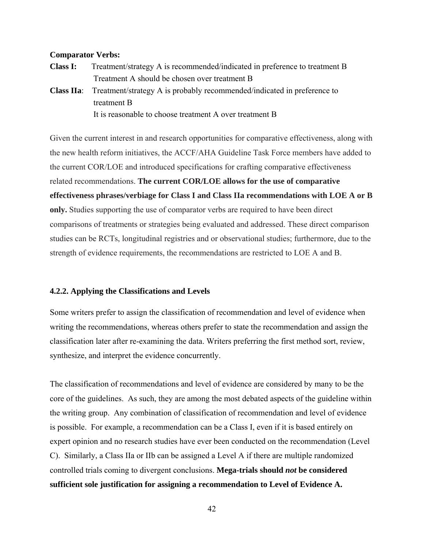#### **Comparator Verbs:**

- **Class I:** Treatment/strategy A is recommended/indicated in preference to treatment B Treatment A should be chosen over treatment B
- **Class IIa**: Treatment/strategy A is probably recommended/indicated in preference to treatment B It is reasonable to choose treatment A over treatment B

Given the current interest in and research opportunities for comparative effectiveness, along with the new health reform initiatives, the ACCF/AHA Guideline Task Force members have added to the current COR/LOE and introduced specifications for crafting comparative effectiveness related recommendations. **The current COR/LOE allows for the use of comparative effectiveness phrases/verbiage for Class I and Class IIa recommendations with LOE A or B only.** Studies supporting the use of comparator verbs are required to have been direct comparisons of treatments or strategies being evaluated and addressed. These direct comparison studies can be RCTs, longitudinal registries and or observational studies; furthermore, due to the strength of evidence requirements, the recommendations are restricted to LOE A and B.

#### **4.2.2. Applying the Classifications and Levels**

Some writers prefer to assign the classification of recommendation and level of evidence when writing the recommendations, whereas others prefer to state the recommendation and assign the classification later after re-examining the data. Writers preferring the first method sort, review, synthesize, and interpret the evidence concurrently.

The classification of recommendations and level of evidence are considered by many to be the core of the guidelines. As such, they are among the most debated aspects of the guideline within the writing group. Any combination of classification of recommendation and level of evidence is possible. For example, a recommendation can be a Class I, even if it is based entirely on expert opinion and no research studies have ever been conducted on the recommendation (Level C). Similarly, a Class IIa or IIb can be assigned a Level A if there are multiple randomized controlled trials coming to divergent conclusions. **Mega-trials should** *not* **be considered sufficient sole justification for assigning a recommendation to Level of Evidence A.** 

42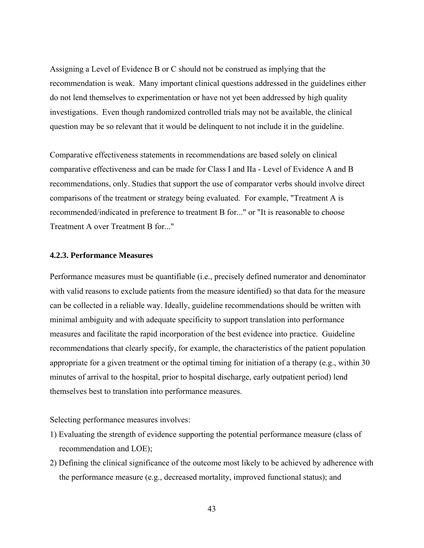Assigning a Level of Evidence B or C should not be construed as implying that the recommendation is weak. Many important clinical questions addressed in the guidelines either do not lend themselves to experimentation or have not yet been addressed by high quality investigations. Even though randomized controlled trials may not be available, the clinical question may be so relevant that it would be delinquent to not include it in the guideline.

Comparative effectiveness statements in recommendations are based solely on clinical comparative effectiveness and can be made for Class I and IIa - Level of Evidence A and B recommendations, only. Studies that support the use of comparator verbs should involve direct comparisons of the treatment or strategy being evaluated. For example, "Treatment A is recommended/indicated in preference to treatment B for..." or "It is reasonable to choose Treatment A over Treatment B for..."

#### **4.2.3. Performance Measures**

Performance measures must be quantifiable (i.e., precisely defined numerator and denominator with valid reasons to exclude patients from the measure identified) so that data for the measure can be collected in a reliable way. Ideally, guideline recommendations should be written with minimal ambiguity and with adequate specificity to support translation into performance measures and facilitate the rapid incorporation of the best evidence into practice. Guideline recommendations that clearly specify, for example, the characteristics of the patient population appropriate for a given treatment or the optimal timing for initiation of a therapy (e.g., within 30 minutes of arrival to the hospital, prior to hospital discharge, early outpatient period) lend themselves best to translation into performance measures.

Selecting performance measures involves:

- 1) Evaluating the strength of evidence supporting the potential performance measure (class of recommendation and LOE);
- 2) Defining the clinical significance of the outcome most likely to be achieved by adherence with the performance measure (e.g., decreased mortality, improved functional status); and

43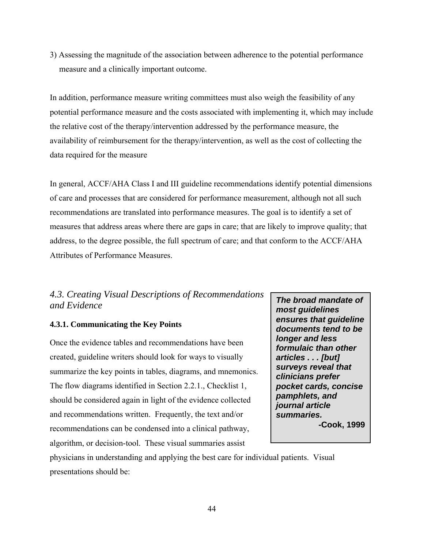3) Assessing the magnitude of the association between adherence to the potential performance measure and a clinically important outcome.

In addition, performance measure writing committees must also weigh the feasibility of any potential performance measure and the costs associated with implementing it, which may include the relative cost of the therapy/intervention addressed by the performance measure, the availability of reimbursement for the therapy/intervention, as well as the cost of collecting the data required for the measure

In general, ACCF/AHA Class I and III guideline recommendations identify potential dimensions of care and processes that are considered for performance measurement, although not all such recommendations are translated into performance measures. The goal is to identify a set of measures that address areas where there are gaps in care; that are likely to improve quality; that address, to the degree possible, the full spectrum of care; and that conform to the ACCF/AHA Attributes of Performance Measures.

## *4.3. Creating Visual Descriptions of Recommendations and Evidence*

## **4.3.1. Communicating the Key Points**

Once the evidence tables and recommendations have been created, guideline writers should look for ways to visually summarize the key points in tables, diagrams, and mnemonics. The flow diagrams identified in Section 2.2.1., Checklist 1, should be considered again in light of the evidence collected and recommendations written. Frequently, the text and/or recommendations can be condensed into a clinical pathway, algorithm, or decision-tool. These visual summaries assist

*The broad mandate of most guidelines ensures that guideline documents tend to be longer and less formulaic than other articles . . . [but] surveys reveal that clinicians prefer pocket cards, concise pamphlets, and journal article summaries.*  **-Cook, 1999**

physicians in understanding and applying the best care for individual patients. Visual presentations should be: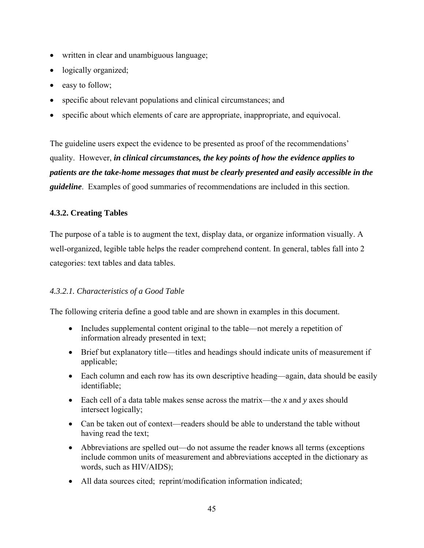- written in clear and unambiguous language;
- logically organized;
- easy to follow;
- specific about relevant populations and clinical circumstances; and
- specific about which elements of care are appropriate, inappropriate, and equivocal.

The guideline users expect the evidence to be presented as proof of the recommendations' quality. However, *in clinical circumstances, the key points of how the evidence applies to patients are the take-home messages that must be clearly presented and easily accessible in the guideline*. Examples of good summaries of recommendations are included in this section.

## **4.3.2. Creating Tables**

The purpose of a table is to augment the text, display data, or organize information visually. A well-organized, legible table helps the reader comprehend content. In general, tables fall into 2 categories: text tables and data tables.

## *4.3.2.1. Characteristics of a Good Table*

The following criteria define a good table and are shown in examples in this document.

- Includes supplemental content original to the table—not merely a repetition of information already presented in text;
- Brief but explanatory title—titles and headings should indicate units of measurement if applicable;
- Each column and each row has its own descriptive heading—again, data should be easily identifiable;
- Each cell of a data table makes sense across the matrix—the *x* and *y* axes should intersect logically;
- Can be taken out of context—readers should be able to understand the table without having read the text;
- Abbreviations are spelled out—do not assume the reader knows all terms (exceptions include common units of measurement and abbreviations accepted in the dictionary as words, such as HIV/AIDS);
- All data sources cited; reprint/modification information indicated;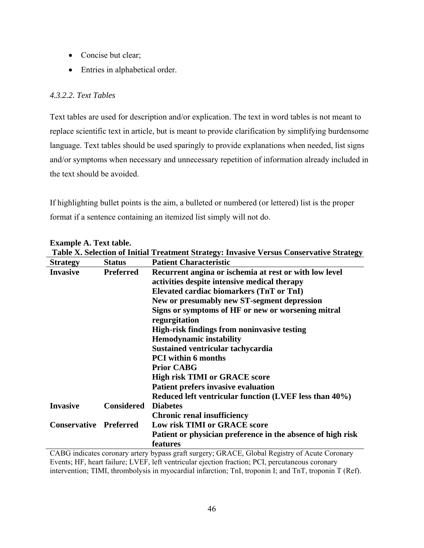- Concise but clear;
- Entries in alphabetical order.

## *4.3.2.2. Text Tables*

Text tables are used for description and/or explication. The text in word tables is not meant to replace scientific text in article, but is meant to provide clarification by simplifying burdensome language. Text tables should be used sparingly to provide explanations when needed, list signs and/or symptoms when necessary and unnecessary repetition of information already included in the text should be avoided.

If highlighting bullet points is the aim, a bulleted or numbered (or lettered) list is the proper format if a sentence containing an itemized list simply will not do.

| Table X. Selection of Initial Treatment Strategy: Invasive Versus Conservative Strategy |                  |                                                                     |  |  |  |
|-----------------------------------------------------------------------------------------|------------------|---------------------------------------------------------------------|--|--|--|
| <b>Strategy</b>                                                                         | <b>Status</b>    | <b>Patient Characteristic</b>                                       |  |  |  |
| <b>Invasive</b>                                                                         | <b>Preferred</b> | Recurrent angina or ischemia at rest or with low level              |  |  |  |
|                                                                                         |                  | activities despite intensive medical therapy                        |  |  |  |
|                                                                                         |                  | Elevated cardiac biomarkers (TnT or TnI)                            |  |  |  |
|                                                                                         |                  | New or presumably new ST-segment depression                         |  |  |  |
|                                                                                         |                  | Signs or symptoms of HF or new or worsening mitral<br>regurgitation |  |  |  |
|                                                                                         |                  | <b>High-risk findings from noninvasive testing</b>                  |  |  |  |
|                                                                                         |                  | <b>Hemodynamic instability</b>                                      |  |  |  |
|                                                                                         |                  | <b>Sustained ventricular tachycardia</b>                            |  |  |  |
|                                                                                         |                  | <b>PCI</b> within 6 months                                          |  |  |  |
|                                                                                         |                  | <b>Prior CABG</b>                                                   |  |  |  |
|                                                                                         |                  | <b>High risk TIMI or GRACE score</b>                                |  |  |  |
|                                                                                         |                  | <b>Patient prefers invasive evaluation</b>                          |  |  |  |
|                                                                                         |                  | Reduced left ventricular function (LVEF less than 40%)              |  |  |  |
| <b>Invasive</b>                                                                         | Considered       | <b>Diabetes</b>                                                     |  |  |  |
|                                                                                         |                  | <b>Chronic renal insufficiency</b>                                  |  |  |  |
| <b>Conservative Preferred</b>                                                           |                  | <b>Low risk TIMI or GRACE score</b>                                 |  |  |  |
|                                                                                         |                  | Patient or physician preference in the absence of high risk         |  |  |  |
|                                                                                         |                  | features                                                            |  |  |  |

**Example A. Text table.** 

CABG indicates coronary artery bypass graft surgery; GRACE, Global Registry of Acute Coronary Events; HF, heart failure; LVEF, left ventricular ejection fraction; PCI, percutaneous coronary intervention; TIMI, thrombolysis in myocardial infarction; TnI, troponin I; and TnT, troponin T (Ref).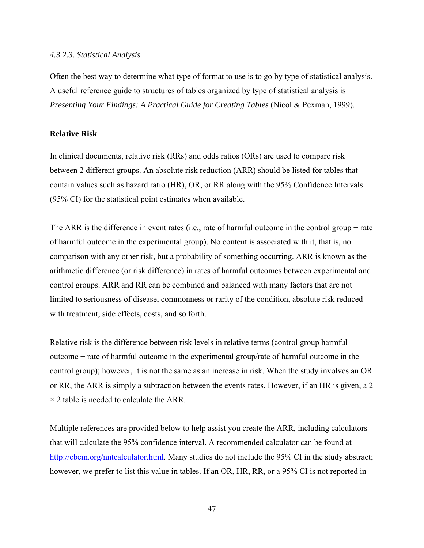#### *4.3.2.3. Statistical Analysis*

Often the best way to determine what type of format to use is to go by type of statistical analysis. A useful reference guide to structures of tables organized by type of statistical analysis is *Presenting Your Findings: A Practical Guide for Creating Tables* (Nicol & Pexman, 1999).

#### **Relative Risk**

In clinical documents, relative risk (RRs) and odds ratios (ORs) are used to compare risk between 2 different groups. An absolute risk reduction (ARR) should be listed for tables that contain values such as hazard ratio (HR), OR, or RR along with the 95% Confidence Intervals (95% CI) for the statistical point estimates when available.

The ARR is the difference in event rates (i.e., rate of harmful outcome in the control group – rate of harmful outcome in the experimental group). No content is associated with it, that is, no comparison with any other risk, but a probability of something occurring. ARR is known as the arithmetic difference (or risk difference) in rates of harmful outcomes between experimental and control groups. ARR and RR can be combined and balanced with many factors that are not limited to seriousness of disease, commonness or rarity of the condition, absolute risk reduced with treatment, side effects, costs, and so forth.

Relative risk is the difference between risk levels in relative terms (control group harmful outcome − rate of harmful outcome in the experimental group/rate of harmful outcome in the control group); however, it is not the same as an increase in risk. When the study involves an OR or RR, the ARR is simply a subtraction between the events rates. However, if an HR is given, a 2  $\times$  2 table is needed to calculate the ARR.

Multiple references are provided below to help assist you create the ARR, including calculators that will calculate the 95% confidence interval. A recommended calculator can be found at http://ebem.org/nntcalculator.html. Many studies do not include the 95% CI in the study abstract; however, we prefer to list this value in tables. If an OR, HR, RR, or a 95% CI is not reported in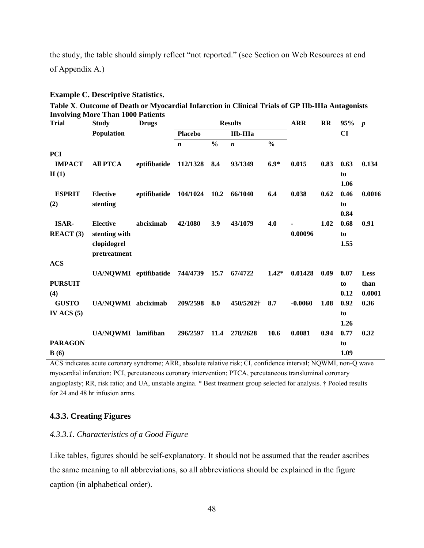the study, the table should simply reflect "not reported." (see Section on Web Resources at end of Appendix A.)

#### **Example C. Descriptive Statistics.**

**Table X**. **Outcome of Death or Myocardial Infarction in Clinical Trials of GP IIb-IIIa Antagonists Involving More Than 1000 Patients** 

| *** * *** ****<br><b>Trial</b> | <b><i>INIOIC LIRED 1000 I GUICHID</i></b><br><b>Study</b> | <b>Drugs</b> | <b>Results</b>   |               |                  | <b>ARR</b>    | RR        | 95% p |              |                |
|--------------------------------|-----------------------------------------------------------|--------------|------------------|---------------|------------------|---------------|-----------|-------|--------------|----------------|
|                                | <b>Population</b>                                         |              | <b>Placebo</b>   |               | IIb-IIIa         |               |           |       | CI           |                |
|                                |                                                           |              | $\boldsymbol{n}$ | $\frac{6}{6}$ | $\boldsymbol{n}$ | $\frac{0}{0}$ |           |       |              |                |
| <b>PCI</b>                     |                                                           |              |                  |               |                  |               |           |       |              |                |
| <b>IMPACT</b>                  | <b>All PTCA</b>                                           | eptifibatide | 112/1328         | 8.4           | 93/1349          | $6.9*$        | 0.015     | 0.83  | 0.63         | 0.134          |
| II(1)                          |                                                           |              |                  |               |                  |               |           |       | to           |                |
|                                |                                                           |              |                  |               |                  |               |           |       | 1.06         |                |
| <b>ESPRIT</b>                  | <b>Elective</b>                                           | eptifibatide | 104/1024         | 10.2          | 66/1040          | 6.4           | 0.038     | 0.62  | 0.46         | 0.0016         |
| (2)                            | stenting                                                  |              |                  |               |                  |               |           |       | to           |                |
|                                |                                                           |              |                  |               |                  |               |           |       | 0.84         |                |
| <b>ISAR-</b>                   | <b>Elective</b>                                           | abciximab    | 42/1080          | 3.9           | 43/1079          | 4.0           |           | 1.02  | 0.68         | 0.91           |
| REACT(3)                       | stenting with                                             |              |                  |               |                  |               | 0.00096   |       | to           |                |
|                                | clopidogrel                                               |              |                  |               |                  |               |           |       | 1.55         |                |
|                                | pretreatment                                              |              |                  |               |                  |               |           |       |              |                |
| <b>ACS</b>                     |                                                           |              |                  |               |                  |               |           |       |              |                |
|                                | UA/NQWMI eptifibatide                                     |              | 744/4739         | 15.7          | 67/4722          | $1.42*$       | 0.01428   | 0.09  | 0.07         | <b>Less</b>    |
| <b>PURSUIT</b>                 |                                                           |              |                  |               |                  |               |           |       | to           | than           |
| (4)<br><b>GUSTO</b>            | UA/NOWMI abciximab                                        |              | 209/2598         | 8.0           | 450/5202†        | 8.7           | $-0.0060$ | 1.08  | 0.12<br>0.92 | 0.0001<br>0.36 |
| IV ACS $(5)$                   |                                                           |              |                  |               |                  |               |           |       | to           |                |
|                                |                                                           |              |                  |               |                  |               |           |       | 1.26         |                |
|                                | UA/NQWMI lamifiban                                        |              | 296/2597         | 11.4          | 278/2628         | 10.6          | 0.0081    | 0.94  | 0.77         | 0.32           |
| <b>PARAGON</b>                 |                                                           |              |                  |               |                  |               |           |       | to           |                |
| B(6)                           |                                                           |              |                  |               |                  |               |           |       | 1.09         |                |
|                                |                                                           |              |                  |               |                  |               |           |       |              |                |

ACS indicates acute coronary syndrome; ARR, absolute relative risk; CI, confidence interval; NQWMI, non-Q wave myocardial infarction; PCI, percutaneous coronary intervention; PTCA, percutaneous transluminal coronary angioplasty; RR, risk ratio; and UA, unstable angina. \* Best treatment group selected for analysis. † Pooled results for 24 and 48 hr infusion arms.

### **4.3.3. Creating Figures**

#### *4.3.3.1. Characteristics of a Good Figure*

Like tables, figures should be self-explanatory. It should not be assumed that the reader ascribes the same meaning to all abbreviations, so all abbreviations should be explained in the figure caption (in alphabetical order).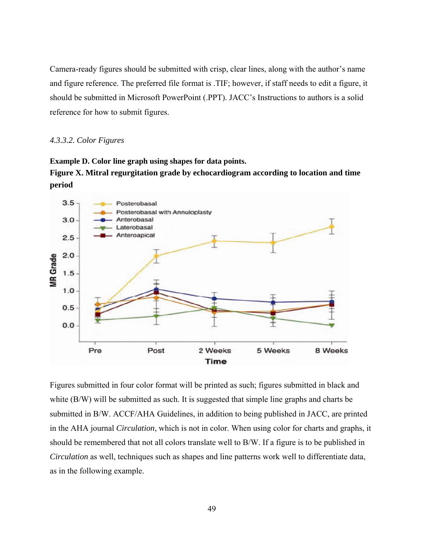Camera-ready figures should be submitted with crisp, clear lines, along with the author's name and figure reference. The preferred file format is .TIF; however, if staff needs to edit a figure, it should be submitted in Microsoft PowerPoint (.PPT). JACC's Instructions to authors is a solid reference for how to submit figures.

#### *4.3.3.2. Color Figures*





Figures submitted in four color format will be printed as such; figures submitted in black and white (B/W) will be submitted as such. It is suggested that simple line graphs and charts be submitted in B/W. ACCF/AHA Guidelines, in addition to being published in JACC, are printed in the AHA journal *Circulation*, which is not in color. When using color for charts and graphs, it should be remembered that not all colors translate well to B/W. If a figure is to be published in *Circulation* as well, techniques such as shapes and line patterns work well to differentiate data, as in the following example.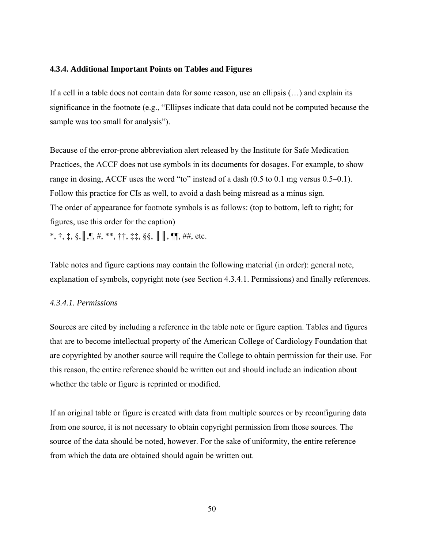#### **4.3.4. Additional Important Points on Tables and Figures**

If a cell in a table does not contain data for some reason, use an ellipsis (…) and explain its significance in the footnote (e.g., "Ellipses indicate that data could not be computed because the sample was too small for analysis").

Because of the error-prone abbreviation alert released by the Institute for Safe Medication Practices, the ACCF does not use symbols in its documents for dosages. For example, to show range in dosing, ACCF uses the word "to" instead of a dash (0.5 to 0.1 mg versus 0.5–0.1). Follow this practice for CIs as well, to avoid a dash being misread as a minus sign. The order of appearance for footnote symbols is as follows: (top to bottom, left to right; for figures, use this order for the caption)  $*, \dagger, \ddagger, \S, \|\P, \mathbf{I}, \#$ , \*\*,  $\dagger \dagger, \ddagger \ddagger, \S \S, \|\|\|\P, \P\|\$ , ##, etc.

Table notes and figure captions may contain the following material (in order): general note, explanation of symbols, copyright note (see Section 4.3.4.1. Permissions) and finally references.

#### *4.3.4.1. Permissions*

Sources are cited by including a reference in the table note or figure caption. Tables and figures that are to become intellectual property of the American College of Cardiology Foundation that are copyrighted by another source will require the College to obtain permission for their use. For this reason, the entire reference should be written out and should include an indication about whether the table or figure is reprinted or modified.

If an original table or figure is created with data from multiple sources or by reconfiguring data from one source, it is not necessary to obtain copyright permission from those sources. The source of the data should be noted, however. For the sake of uniformity, the entire reference from which the data are obtained should again be written out.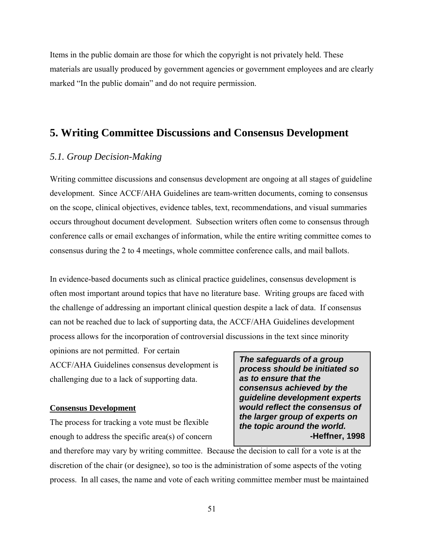Items in the public domain are those for which the copyright is not privately held. These materials are usually produced by government agencies or government employees and are clearly marked "In the public domain" and do not require permission.

# **5. Writing Committee Discussions and Consensus Development**

## *5.1. Group Decision-Making*

Writing committee discussions and consensus development are ongoing at all stages of guideline development. Since ACCF/AHA Guidelines are team-written documents, coming to consensus on the scope, clinical objectives, evidence tables, text, recommendations, and visual summaries occurs throughout document development. Subsection writers often come to consensus through conference calls or email exchanges of information, while the entire writing committee comes to consensus during the 2 to 4 meetings, whole committee conference calls, and mail ballots.

In evidence-based documents such as clinical practice guidelines, consensus development is often most important around topics that have no literature base. Writing groups are faced with the challenge of addressing an important clinical question despite a lack of data. If consensus can not be reached due to lack of supporting data, the ACCF/AHA Guidelines development process allows for the incorporation of controversial discussions in the text since minority

opinions are not permitted. For certain

ACCF/AHA Guidelines consensus development is challenging due to a lack of supporting data.

#### **Consensus Development**

The process for tracking a vote must be flexible enough to address the specific area(s) of concern

*The safeguards of a group process should be initiated so as to ensure that the consensus achieved by the guideline development experts would reflect the consensus of the larger group of experts on the topic around the world.*  **-Heffner, 1998** 

and therefore may vary by writing committee. Because the decision to call for a vote is at the discretion of the chair (or designee), so too is the administration of some aspects of the voting process. In all cases, the name and vote of each writing committee member must be maintained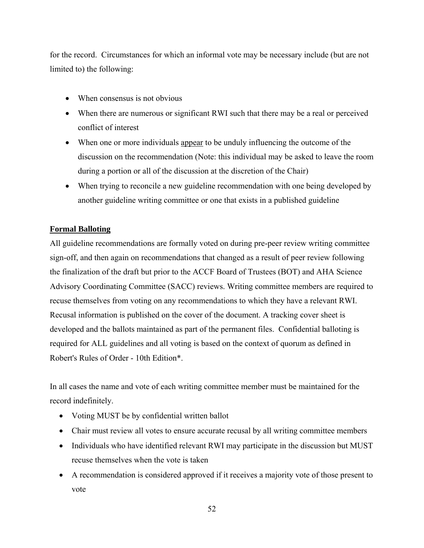for the record. Circumstances for which an informal vote may be necessary include (but are not limited to) the following:

- When consensus is not obvious
- When there are numerous or significant RWI such that there may be a real or perceived conflict of interest
- When one or more individuals appear to be unduly influencing the outcome of the discussion on the recommendation (Note: this individual may be asked to leave the room during a portion or all of the discussion at the discretion of the Chair)
- When trying to reconcile a new guideline recommendation with one being developed by another guideline writing committee or one that exists in a published guideline

## **Formal Balloting**

All guideline recommendations are formally voted on during pre-peer review writing committee sign-off, and then again on recommendations that changed as a result of peer review following the finalization of the draft but prior to the ACCF Board of Trustees (BOT) and AHA Science Advisory Coordinating Committee (SACC) reviews. Writing committee members are required to recuse themselves from voting on any recommendations to which they have a relevant RWI. Recusal information is published on the cover of the document. A tracking cover sheet is developed and the ballots maintained as part of the permanent files. Confidential balloting is required for ALL guidelines and all voting is based on the context of quorum as defined in Robert's Rules of Order - 10th Edition\*.

In all cases the name and vote of each writing committee member must be maintained for the record indefinitely.

- Voting MUST be by confidential written ballot
- Chair must review all votes to ensure accurate recusal by all writing committee members
- Individuals who have identified relevant RWI may participate in the discussion but MUST recuse themselves when the vote is taken
- A recommendation is considered approved if it receives a majority vote of those present to vote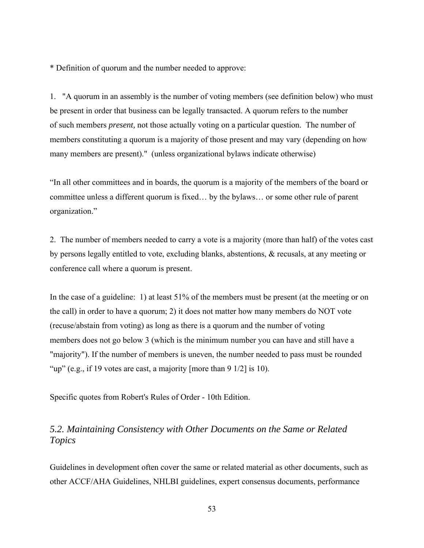\* Definition of quorum and the number needed to approve:

1. "A quorum in an assembly is the number of voting members (see definition below) who must be present in order that business can be legally transacted. A quorum refers to the number of such members *present,* not those actually voting on a particular question. The number of members constituting a quorum is a majority of those present and may vary (depending on how many members are present)." (unless organizational bylaws indicate otherwise)

"In all other committees and in boards, the quorum is a majority of the members of the board or committee unless a different quorum is fixed… by the bylaws… or some other rule of parent organization."

2. The number of members needed to carry a vote is a majority (more than half) of the votes cast by persons legally entitled to vote, excluding blanks, abstentions, & recusals, at any meeting or conference call where a quorum is present.

In the case of a guideline: 1) at least 51% of the members must be present (at the meeting or on the call) in order to have a quorum; 2) it does not matter how many members do NOT vote (recuse/abstain from voting) as long as there is a quorum and the number of voting members does not go below 3 (which is the minimum number you can have and still have a "majority"). If the number of members is uneven, the number needed to pass must be rounded "up" (e.g., if 19 votes are cast, a majority [more than  $9 \frac{1}{2}$ ] is 10).

Specific quotes from Robert's Rules of Order - 10th Edition.

## *5.2. Maintaining Consistency with Other Documents on the Same or Related Topics*

Guidelines in development often cover the same or related material as other documents, such as other ACCF/AHA Guidelines, NHLBI guidelines, expert consensus documents, performance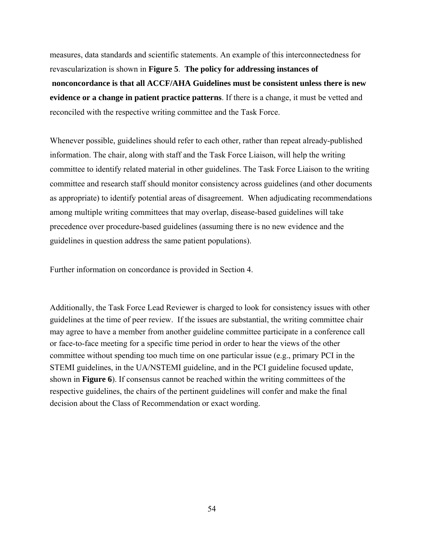measures, data standards and scientific statements. An example of this interconnectedness for revascularization is shown in **Figure 5**. **The policy for addressing instances of nonconcordance is that all ACCF/AHA Guidelines must be consistent unless there is new evidence or a change in patient practice patterns**. If there is a change, it must be vetted and reconciled with the respective writing committee and the Task Force.

Whenever possible, guidelines should refer to each other, rather than repeat already-published information. The chair, along with staff and the Task Force Liaison, will help the writing committee to identify related material in other guidelines. The Task Force Liaison to the writing committee and research staff should monitor consistency across guidelines (and other documents as appropriate) to identify potential areas of disagreement. When adjudicating recommendations among multiple writing committees that may overlap, disease-based guidelines will take precedence over procedure-based guidelines (assuming there is no new evidence and the guidelines in question address the same patient populations).

Further information on concordance is provided in Section 4.

Additionally, the Task Force Lead Reviewer is charged to look for consistency issues with other guidelines at the time of peer review. If the issues are substantial, the writing committee chair may agree to have a member from another guideline committee participate in a conference call or face-to-face meeting for a specific time period in order to hear the views of the other committee without spending too much time on one particular issue (e.g., primary PCI in the STEMI guidelines, in the UA/NSTEMI guideline, and in the PCI guideline focused update, shown in **Figure 6**). If consensus cannot be reached within the writing committees of the respective guidelines, the chairs of the pertinent guidelines will confer and make the final decision about the Class of Recommendation or exact wording.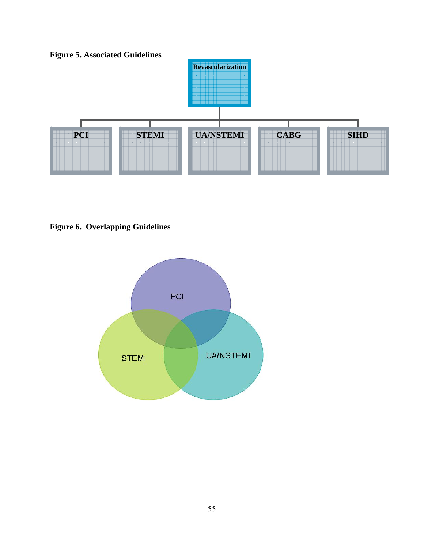

**Figure 6. Overlapping Guidelines**

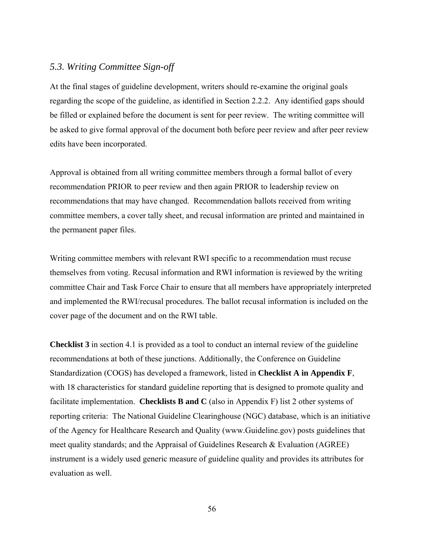## *5.3. Writing Committee Sign-off*

At the final stages of guideline development, writers should re-examine the original goals regarding the scope of the guideline, as identified in Section 2.2.2. Any identified gaps should be filled or explained before the document is sent for peer review. The writing committee will be asked to give formal approval of the document both before peer review and after peer review edits have been incorporated.

Approval is obtained from all writing committee members through a formal ballot of every recommendation PRIOR to peer review and then again PRIOR to leadership review on recommendations that may have changed. Recommendation ballots received from writing committee members, a cover tally sheet, and recusal information are printed and maintained in the permanent paper files.

Writing committee members with relevant RWI specific to a recommendation must recuse themselves from voting. Recusal information and RWI information is reviewed by the writing committee Chair and Task Force Chair to ensure that all members have appropriately interpreted and implemented the RWI/recusal procedures. The ballot recusal information is included on the cover page of the document and on the RWI table.

**Checklist 3** in section 4.1 is provided as a tool to conduct an internal review of the guideline recommendations at both of these junctions. Additionally, the Conference on Guideline Standardization (COGS) has developed a framework, listed in **Checklist A in Appendix F**, with 18 characteristics for standard guideline reporting that is designed to promote quality and facilitate implementation. **Checklists B and C** (also in Appendix F) list 2 other systems of reporting criteria: The National Guideline Clearinghouse (NGC) database, which is an initiative of the Agency for Healthcare Research and Quality (www.Guideline.gov) posts guidelines that meet quality standards; and the Appraisal of Guidelines Research & Evaluation (AGREE) instrument is a widely used generic measure of guideline quality and provides its attributes for evaluation as well.

56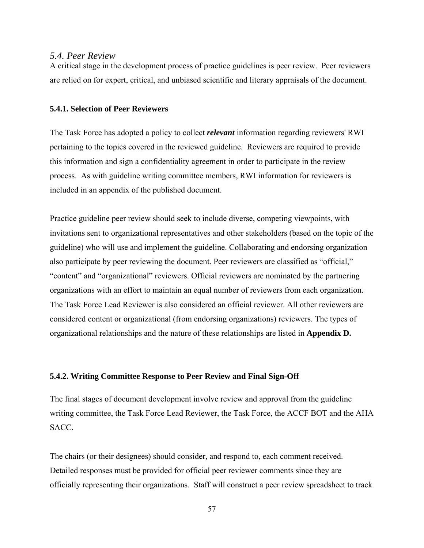#### *5.4. Peer Review*

A critical stage in the development process of practice guidelines is peer review. Peer reviewers are relied on for expert, critical, and unbiased scientific and literary appraisals of the document.

#### **5.4.1. Selection of Peer Reviewers**

The Task Force has adopted a policy to collect *relevant* information regarding reviewers' RWI pertaining to the topics covered in the reviewed guideline. Reviewers are required to provide this information and sign a confidentiality agreement in order to participate in the review process. As with guideline writing committee members, RWI information for reviewers is included in an appendix of the published document.

Practice guideline peer review should seek to include diverse, competing viewpoints, with invitations sent to organizational representatives and other stakeholders (based on the topic of the guideline) who will use and implement the guideline. Collaborating and endorsing organization also participate by peer reviewing the document. Peer reviewers are classified as "official," "content" and "organizational" reviewers. Official reviewers are nominated by the partnering organizations with an effort to maintain an equal number of reviewers from each organization. The Task Force Lead Reviewer is also considered an official reviewer. All other reviewers are considered content or organizational (from endorsing organizations) reviewers. The types of organizational relationships and the nature of these relationships are listed in **Appendix D.**

#### **5.4.2. Writing Committee Response to Peer Review and Final Sign-Off**

The final stages of document development involve review and approval from the guideline writing committee, the Task Force Lead Reviewer, the Task Force, the ACCF BOT and the AHA SACC.

The chairs (or their designees) should consider, and respond to, each comment received. Detailed responses must be provided for official peer reviewer comments since they are officially representing their organizations. Staff will construct a peer review spreadsheet to track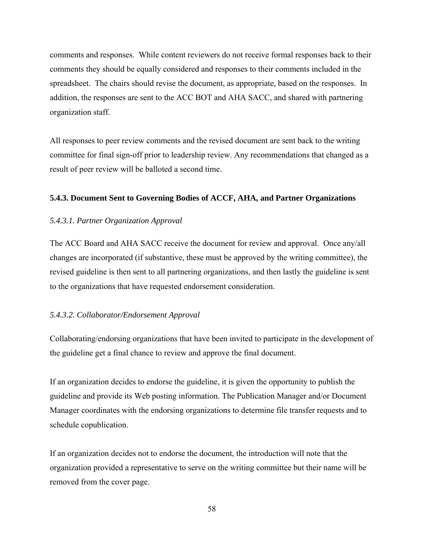comments and responses. While content reviewers do not receive formal responses back to their comments they should be equally considered and responses to their comments included in the spreadsheet. The chairs should revise the document, as appropriate, based on the responses. In addition, the responses are sent to the ACC BOT and AHA SACC, and shared with partnering organization staff.

All responses to peer review comments and the revised document are sent back to the writing committee for final sign-off prior to leadership review. Any recommendations that changed as a result of peer review will be balloted a second time.

#### **5.4.3. Document Sent to Governing Bodies of ACCF, AHA, and Partner Organizations**

#### *5.4.3.1. Partner Organization Approval*

The ACC Board and AHA SACC receive the document for review and approval. Once any/all changes are incorporated (if substantive, these must be approved by the writing committee), the revised guideline is then sent to all partnering organizations, and then lastly the guideline is sent to the organizations that have requested endorsement consideration.

#### *5.4.3.2. Collaborator/Endorsement Approval*

Collaborating/endorsing organizations that have been invited to participate in the development of the guideline get a final chance to review and approve the final document.

If an organization decides to endorse the guideline, it is given the opportunity to publish the guideline and provide its Web posting information. The Publication Manager and/or Document Manager coordinates with the endorsing organizations to determine file transfer requests and to schedule copublication.

If an organization decides not to endorse the document, the introduction will note that the organization provided a representative to serve on the writing committee but their name will be removed from the cover page.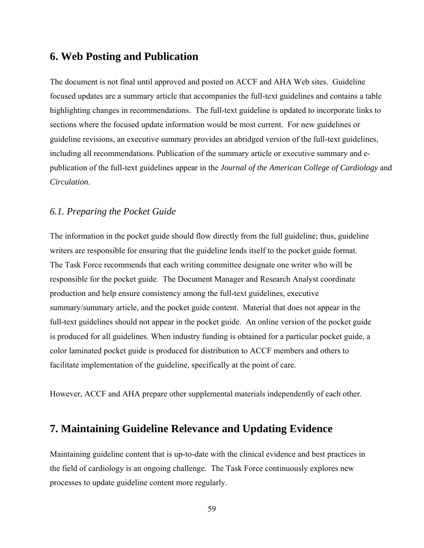## **6. Web Posting and Publication**

The document is not final until approved and posted on ACCF and AHA Web sites. Guideline focused updates are a summary article that accompanies the full-text guidelines and contains a table highlighting changes in recommendations. The full-text guideline is updated to incorporate links to sections where the focused update information would be most current. For new guidelines or guideline revisions, an executive summary provides an abridged version of the full-text guidelines, including all recommendations. Publication of the summary article or executive summary and epublication of the full-text guidelines appear in the *Journal of the American College of Cardiology* and *Circulation*.

## *6.1. Preparing the Pocket Guide*

The information in the pocket guide should flow directly from the full guideline; thus, guideline writers are responsible for ensuring that the guideline lends itself to the pocket guide format. The Task Force recommends that each writing committee designate one writer who will be responsible for the pocket guide. The Document Manager and Research Analyst coordinate production and help ensure consistency among the full-text guidelines, executive summary/summary article, and the pocket guide content. Material that does not appear in the full-text guidelines should not appear in the pocket guide. An online version of the pocket guide is produced for all guidelines. When industry funding is obtained for a particular pocket guide, a color laminated pocket guide is produced for distribution to ACCF members and others to facilitate implementation of the guideline, specifically at the point of care.

However, ACCF and AHA prepare other supplemental materials independently of each other.

# **7. Maintaining Guideline Relevance and Updating Evidence**

Maintaining guideline content that is up-to-date with the clinical evidence and best practices in the field of cardiology is an ongoing challenge. The Task Force continuously explores new processes to update guideline content more regularly.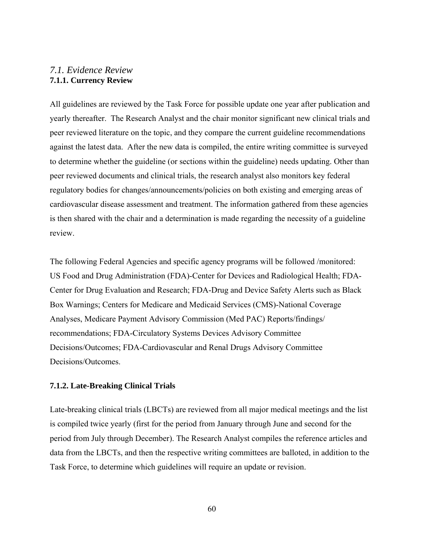## *7.1. Evidence Review*  **7.1.1. Currency Review**

All guidelines are reviewed by the Task Force for possible update one year after publication and yearly thereafter. The Research Analyst and the chair monitor significant new clinical trials and peer reviewed literature on the topic, and they compare the current guideline recommendations against the latest data. After the new data is compiled, the entire writing committee is surveyed to determine whether the guideline (or sections within the guideline) needs updating. Other than peer reviewed documents and clinical trials, the research analyst also monitors key federal regulatory bodies for changes/announcements/policies on both existing and emerging areas of cardiovascular disease assessment and treatment. The information gathered from these agencies is then shared with the chair and a determination is made regarding the necessity of a guideline review.

The following Federal Agencies and specific agency programs will be followed /monitored: US Food and Drug Administration (FDA)-Center for Devices and Radiological Health; FDA-Center for Drug Evaluation and Research; FDA-Drug and Device Safety Alerts such as Black Box Warnings; Centers for Medicare and Medicaid Services (CMS)-National Coverage Analyses, Medicare Payment Advisory Commission (Med PAC) Reports/findings/ recommendations; FDA-Circulatory Systems Devices Advisory Committee Decisions/Outcomes; FDA-Cardiovascular and Renal Drugs Advisory Committee Decisions/Outcomes.

### **7.1.2. Late-Breaking Clinical Trials**

Late-breaking clinical trials (LBCTs) are reviewed from all major medical meetings and the list is compiled twice yearly (first for the period from January through June and second for the period from July through December). The Research Analyst compiles the reference articles and data from the LBCTs, and then the respective writing committees are balloted, in addition to the Task Force, to determine which guidelines will require an update or revision.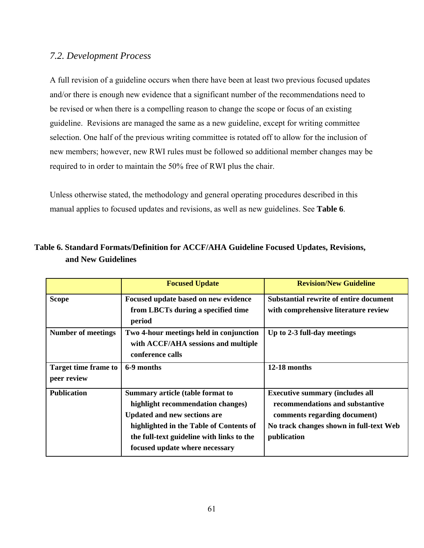## *7.2. Development Process*

A full revision of a guideline occurs when there have been at least two previous focused updates and/or there is enough new evidence that a significant number of the recommendations need to be revised or when there is a compelling reason to change the scope or focus of an existing guideline. Revisions are managed the same as a new guideline, except for writing committee selection. One half of the previous writing committee is rotated off to allow for the inclusion of new members; however, new RWI rules must be followed so additional member changes may be required to in order to maintain the 50% free of RWI plus the chair.

Unless otherwise stated, the methodology and general operating procedures described in this manual applies to focused updates and revisions, as well as new guidelines. See **Table 6**.

|                                            | <b>Focused Update</b>                                                                                                                                                                                                                         | <b>Revision/New Guideline</b>                                                                                                                                       |  |  |
|--------------------------------------------|-----------------------------------------------------------------------------------------------------------------------------------------------------------------------------------------------------------------------------------------------|---------------------------------------------------------------------------------------------------------------------------------------------------------------------|--|--|
| <b>Scope</b>                               | Focused update based on new evidence<br>from LBCTs during a specified time<br>period                                                                                                                                                          | <b>Substantial rewrite of entire document</b><br>with comprehensive literature review                                                                               |  |  |
| <b>Number of meetings</b>                  | Two 4-hour meetings held in conjunction<br>with ACCF/AHA sessions and multiple<br>conference calls                                                                                                                                            | Up to 2-3 full-day meetings                                                                                                                                         |  |  |
| <b>Target time frame to</b><br>peer review | 6-9 months                                                                                                                                                                                                                                    | 12-18 months                                                                                                                                                        |  |  |
| <b>Publication</b>                         | <b>Summary article (table format to</b><br>highlight recommendation changes)<br><b>Updated and new sections are</b><br>highlighted in the Table of Contents of<br>the full-text guideline with links to the<br>focused update where necessary | <b>Executive summary (includes all</b><br>recommendations and substantive<br>comments regarding document)<br>No track changes shown in full-text Web<br>publication |  |  |

**Table 6. Standard Formats/Definition for ACCF/AHA Guideline Focused Updates, Revisions, and New Guidelines**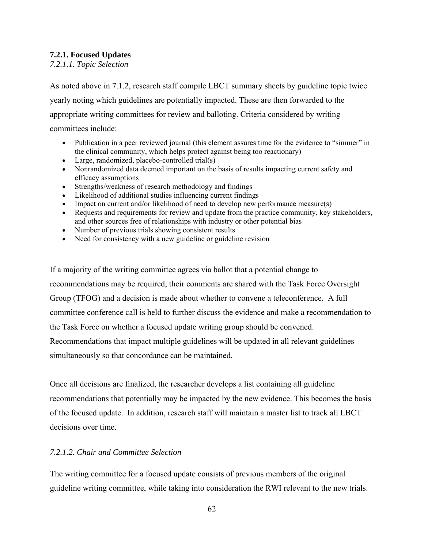## **7.2.1. Focused Updates**

*7.2.1.1. Topic Selection* 

As noted above in 7.1.2, research staff compile LBCT summary sheets by guideline topic twice yearly noting which guidelines are potentially impacted. These are then forwarded to the appropriate writing committees for review and balloting. Criteria considered by writing committees include:

- Publication in a peer reviewed journal (this element assures time for the evidence to "simmer" in the clinical community, which helps protect against being too reactionary)
- Large, randomized, placebo-controlled trial(s)
- Nonrandomized data deemed important on the basis of results impacting current safety and efficacy assumptions
- Strengths/weakness of research methodology and findings
- Likelihood of additional studies influencing current findings
- Impact on current and/or likelihood of need to develop new performance measure(s)
- Requests and requirements for review and update from the practice community, key stakeholders, and other sources free of relationships with industry or other potential bias
- Number of previous trials showing consistent results
- Need for consistency with a new guideline or guideline revision

If a majority of the writing committee agrees via ballot that a potential change to recommendations may be required, their comments are shared with the Task Force Oversight Group (TFOG) and a decision is made about whether to convene a teleconference. A full committee conference call is held to further discuss the evidence and make a recommendation to the Task Force on whether a focused update writing group should be convened. Recommendations that impact multiple guidelines will be updated in all relevant guidelines simultaneously so that concordance can be maintained.

Once all decisions are finalized, the researcher develops a list containing all guideline recommendations that potentially may be impacted by the new evidence. This becomes the basis of the focused update. In addition, research staff will maintain a master list to track all LBCT decisions over time.

## *7.2.1.2. Chair and Committee Selection*

The writing committee for a focused update consists of previous members of the original guideline writing committee, while taking into consideration the RWI relevant to the new trials.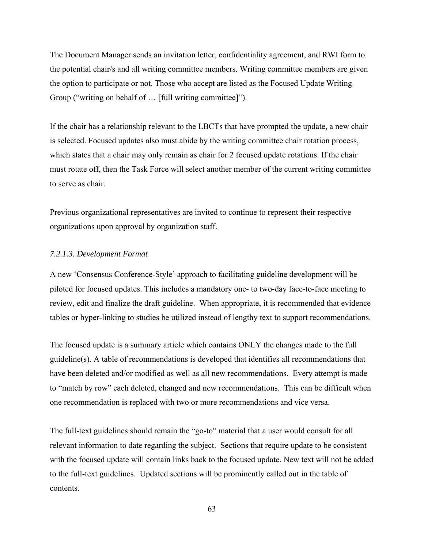The Document Manager sends an invitation letter, confidentiality agreement, and RWI form to the potential chair/s and all writing committee members. Writing committee members are given the option to participate or not. Those who accept are listed as the Focused Update Writing Group ("writing on behalf of … [full writing committee]").

If the chair has a relationship relevant to the LBCTs that have prompted the update, a new chair is selected. Focused updates also must abide by the writing committee chair rotation process, which states that a chair may only remain as chair for 2 focused update rotations. If the chair must rotate off, then the Task Force will select another member of the current writing committee to serve as chair.

Previous organizational representatives are invited to continue to represent their respective organizations upon approval by organization staff.

#### *7.2.1.3. Development Format*

A new 'Consensus Conference-Style' approach to facilitating guideline development will be piloted for focused updates. This includes a mandatory one- to two-day face-to-face meeting to review, edit and finalize the draft guideline. When appropriate, it is recommended that evidence tables or hyper-linking to studies be utilized instead of lengthy text to support recommendations.

The focused update is a summary article which contains ONLY the changes made to the full guideline(s). A table of recommendations is developed that identifies all recommendations that have been deleted and/or modified as well as all new recommendations. Every attempt is made to "match by row" each deleted, changed and new recommendations. This can be difficult when one recommendation is replaced with two or more recommendations and vice versa.

The full-text guidelines should remain the "go-to" material that a user would consult for all relevant information to date regarding the subject. Sections that require update to be consistent with the focused update will contain links back to the focused update. New text will not be added to the full-text guidelines. Updated sections will be prominently called out in the table of contents.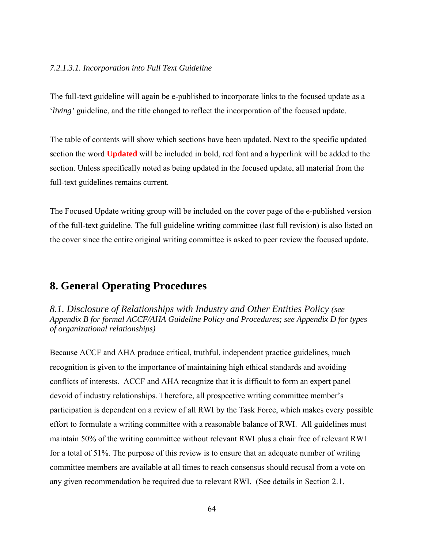#### *7.2.1.3.1. Incorporation into Full Text Guideline*

The full-text guideline will again be e-published to incorporate links to the focused update as a '*living'* guideline, and the title changed to reflect the incorporation of the focused update.

The table of contents will show which sections have been updated. Next to the specific updated section the word **Updated** will be included in bold, red font and a hyperlink will be added to the section. Unless specifically noted as being updated in the focused update, all material from the full-text guidelines remains current.

The Focused Update writing group will be included on the cover page of the e-published version of the full-text guideline. The full guideline writing committee (last full revision) is also listed on the cover since the entire original writing committee is asked to peer review the focused update.

## **8. General Operating Procedures**

*8.1. Disclosure of Relationships with Industry and Other Entities Policy (see Appendix B for formal ACCF/AHA Guideline Policy and Procedures; see Appendix D for types of organizational relationships)* 

Because ACCF and AHA produce critical, truthful, independent practice guidelines, much recognition is given to the importance of maintaining high ethical standards and avoiding conflicts of interests. ACCF and AHA recognize that it is difficult to form an expert panel devoid of industry relationships. Therefore, all prospective writing committee member's participation is dependent on a review of all RWI by the Task Force, which makes every possible effort to formulate a writing committee with a reasonable balance of RWI. All guidelines must maintain 50% of the writing committee without relevant RWI plus a chair free of relevant RWI for a total of 51%. The purpose of this review is to ensure that an adequate number of writing committee members are available at all times to reach consensus should recusal from a vote on any given recommendation be required due to relevant RWI. (See details in Section 2.1.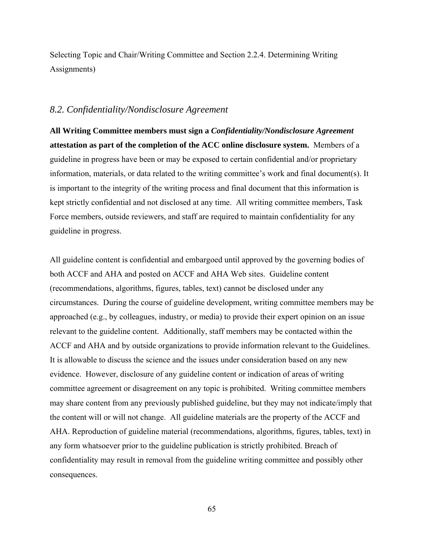Selecting Topic and Chair/Writing Committee and Section 2.2.4. Determining Writing Assignments)

### *8.2. Confidentiality/Nondisclosure Agreement*

**All Writing Committee members must sign a** *Confidentiality/Nondisclosure Agreement*  **attestation as part of the completion of the ACC online disclosure system.** Members of a guideline in progress have been or may be exposed to certain confidential and/or proprietary information, materials, or data related to the writing committee's work and final document(s). It is important to the integrity of the writing process and final document that this information is kept strictly confidential and not disclosed at any time. All writing committee members, Task Force members, outside reviewers, and staff are required to maintain confidentiality for any guideline in progress.

All guideline content is confidential and embargoed until approved by the governing bodies of both ACCF and AHA and posted on ACCF and AHA Web sites. Guideline content (recommendations, algorithms, figures, tables, text) cannot be disclosed under any circumstances. During the course of guideline development, writing committee members may be approached (e.g., by colleagues, industry, or media) to provide their expert opinion on an issue relevant to the guideline content. Additionally, staff members may be contacted within the ACCF and AHA and by outside organizations to provide information relevant to the Guidelines. It is allowable to discuss the science and the issues under consideration based on any new evidence. However, disclosure of any guideline content or indication of areas of writing committee agreement or disagreement on any topic is prohibited. Writing committee members may share content from any previously published guideline, but they may not indicate/imply that the content will or will not change. All guideline materials are the property of the ACCF and AHA. Reproduction of guideline material (recommendations, algorithms, figures, tables, text) in any form whatsoever prior to the guideline publication is strictly prohibited. Breach of confidentiality may result in removal from the guideline writing committee and possibly other consequences.

65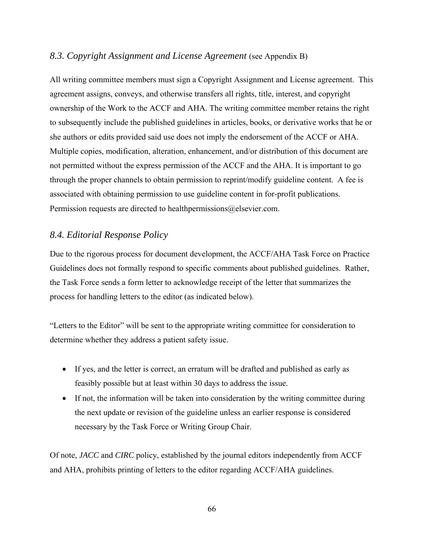## *8.3. Copyright Assignment and License Agreement* (see Appendix B)

All writing committee members must sign a Copyright Assignment and License agreement. This agreement assigns, conveys, and otherwise transfers all rights, title, interest, and copyright ownership of the Work to the ACCF and AHA. The writing committee member retains the right to subsequently include the published guidelines in articles, books, or derivative works that he or she authors or edits provided said use does not imply the endorsement of the ACCF or AHA. Multiple copies, modification, alteration, enhancement, and/or distribution of this document are not permitted without the express permission of the ACCF and the AHA. It is important to go through the proper channels to obtain permission to reprint/modify guideline content. A fee is associated with obtaining permission to use guideline content in for-profit publications. Permission requests are directed to healthpermissions@elsevier.com.

## *8.4. Editorial Response Policy*

Due to the rigorous process for document development, the ACCF/AHA Task Force on Practice Guidelines does not formally respond to specific comments about published guidelines. Rather, the Task Force sends a form letter to acknowledge receipt of the letter that summarizes the process for handling letters to the editor (as indicated below).

"Letters to the Editor" will be sent to the appropriate writing committee for consideration to determine whether they address a patient safety issue.

- If yes, and the letter is correct, an erratum will be drafted and published as early as feasibly possible but at least within 30 days to address the issue.
- If not, the information will be taken into consideration by the writing committee during the next update or revision of the guideline unless an earlier response is considered necessary by the Task Force or Writing Group Chair.

Of note, *JACC* and *CIRC* policy, established by the journal editors independently from ACCF and AHA, prohibits printing of letters to the editor regarding ACCF/AHA guidelines.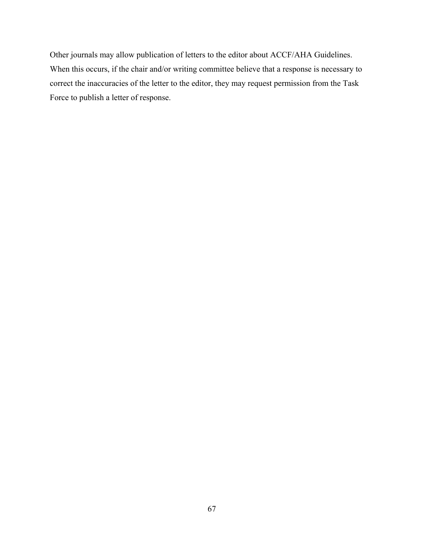Other journals may allow publication of letters to the editor about ACCF/AHA Guidelines. When this occurs, if the chair and/or writing committee believe that a response is necessary to correct the inaccuracies of the letter to the editor, they may request permission from the Task Force to publish a letter of response.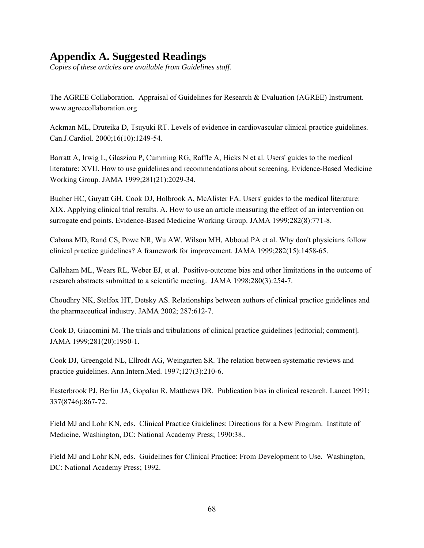# **Appendix A. Suggested Readings**

*Copies of these articles are available from Guidelines staff.* 

The AGREE Collaboration. Appraisal of Guidelines for Research & Evaluation (AGREE) Instrument. www.agreecollaboration.org

Ackman ML, Druteika D, Tsuyuki RT. Levels of evidence in cardiovascular clinical practice guidelines. Can.J.Cardiol. 2000;16(10):1249-54.

Barratt A, Irwig L, Glasziou P, Cumming RG, Raffle A, Hicks N et al. Users' guides to the medical literature: XVII. How to use guidelines and recommendations about screening. Evidence-Based Medicine Working Group. JAMA 1999;281(21):2029-34.

Bucher HC, Guyatt GH, Cook DJ, Holbrook A, McAlister FA. Users' guides to the medical literature: XIX. Applying clinical trial results. A. How to use an article measuring the effect of an intervention on surrogate end points. Evidence-Based Medicine Working Group. JAMA 1999;282(8):771-8.

Cabana MD, Rand CS, Powe NR, Wu AW, Wilson MH, Abboud PA et al. Why don't physicians follow clinical practice guidelines? A framework for improvement. JAMA 1999;282(15):1458-65.

Callaham ML, Wears RL, Weber EJ, et al. Positive-outcome bias and other limitations in the outcome of research abstracts submitted to a scientific meeting. JAMA 1998;280(3):254-7.

Choudhry NK, Stelfox HT, Detsky AS. Relationships between authors of clinical practice guidelines and the pharmaceutical industry. JAMA 2002; 287:612-7.

Cook D, Giacomini M. The trials and tribulations of clinical practice guidelines [editorial; comment]. JAMA 1999;281(20):1950-1.

Cook DJ, Greengold NL, Ellrodt AG, Weingarten SR. The relation between systematic reviews and practice guidelines. Ann.Intern.Med. 1997;127(3):210-6.

Easterbrook PJ, Berlin JA, Gopalan R, Matthews DR. Publication bias in clinical research. Lancet 1991; 337(8746):867-72.

Field MJ and Lohr KN, eds. Clinical Practice Guidelines: Directions for a New Program. Institute of Medicine, Washington, DC: National Academy Press; 1990:38..

Field MJ and Lohr KN, eds. Guidelines for Clinical Practice: From Development to Use. Washington, DC: National Academy Press; 1992.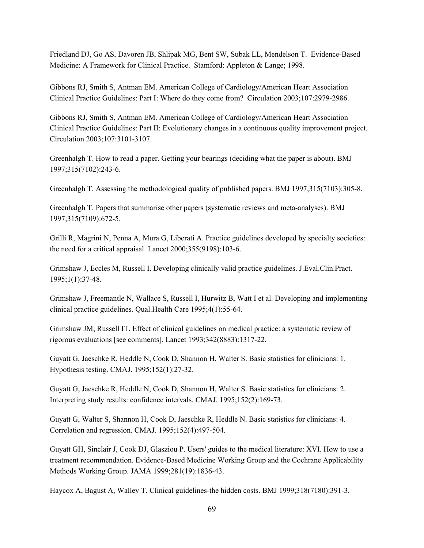Friedland DJ, Go AS, Davoren JB, Shlipak MG, Bent SW, Subak LL, Mendelson T. Evidence-Based Medicine: A Framework for Clinical Practice. Stamford: Appleton & Lange; 1998.

Gibbons RJ, Smith S, Antman EM. American College of Cardiology/American Heart Association Clinical Practice Guidelines: Part I: Where do they come from? Circulation 2003;107:2979-2986.

Gibbons RJ, Smith S, Antman EM. American College of Cardiology/American Heart Association Clinical Practice Guidelines: Part II: Evolutionary changes in a continuous quality improvement project. Circulation 2003;107:3101-3107.

Greenhalgh T. How to read a paper. Getting your bearings (deciding what the paper is about). BMJ 1997;315(7102):243-6.

Greenhalgh T. Assessing the methodological quality of published papers. BMJ 1997;315(7103):305-8.

Greenhalgh T. Papers that summarise other papers (systematic reviews and meta-analyses). BMJ 1997;315(7109):672-5.

Grilli R, Magrini N, Penna A, Mura G, Liberati A. Practice guidelines developed by specialty societies: the need for a critical appraisal. Lancet 2000;355(9198):103-6.

Grimshaw J, Eccles M, Russell I. Developing clinically valid practice guidelines. J.Eval.Clin.Pract. 1995;1(1):37-48.

Grimshaw J, Freemantle N, Wallace S, Russell I, Hurwitz B, Watt I et al. Developing and implementing clinical practice guidelines. Qual.Health Care 1995;4(1):55-64.

Grimshaw JM, Russell IT. Effect of clinical guidelines on medical practice: a systematic review of rigorous evaluations [see comments]. Lancet 1993;342(8883):1317-22.

Guyatt G, Jaeschke R, Heddle N, Cook D, Shannon H, Walter S. Basic statistics for clinicians: 1. Hypothesis testing. CMAJ. 1995;152(1):27-32.

Guyatt G, Jaeschke R, Heddle N, Cook D, Shannon H, Walter S. Basic statistics for clinicians: 2. Interpreting study results: confidence intervals. CMAJ. 1995;152(2):169-73.

Guyatt G, Walter S, Shannon H, Cook D, Jaeschke R, Heddle N. Basic statistics for clinicians: 4. Correlation and regression. CMAJ. 1995;152(4):497-504.

Guyatt GH, Sinclair J, Cook DJ, Glasziou P. Users' guides to the medical literature: XVI. How to use a treatment recommendation. Evidence-Based Medicine Working Group and the Cochrane Applicability Methods Working Group. JAMA 1999;281(19):1836-43.

Haycox A, Bagust A, Walley T. Clinical guidelines-the hidden costs. BMJ 1999;318(7180):391-3.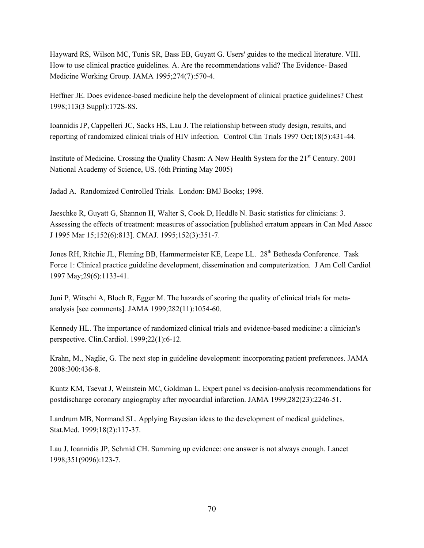Hayward RS, Wilson MC, Tunis SR, Bass EB, Guyatt G. Users' guides to the medical literature. VIII. How to use clinical practice guidelines. A. Are the recommendations valid? The Evidence- Based Medicine Working Group. JAMA 1995;274(7):570-4.

Heffner JE. Does evidence-based medicine help the development of clinical practice guidelines? Chest 1998;113(3 Suppl):172S-8S.

Ioannidis JP, Cappelleri JC, Sacks HS, Lau J. The relationship between study design, results, and reporting of randomized clinical trials of HIV infection. Control Clin Trials 1997 Oct;18(5):431-44.

Institute of Medicine. Crossing the Quality Chasm: A New Health System for the 21<sup>st</sup> Century. 2001 National Academy of Science, US. (6th Printing May 2005)

Jadad A. Randomized Controlled Trials. London: BMJ Books; 1998.

Jaeschke R, Guyatt G, Shannon H, Walter S, Cook D, Heddle N. Basic statistics for clinicians: 3. Assessing the effects of treatment: measures of association [published erratum appears in Can Med Assoc J 1995 Mar 15;152(6):813]. CMAJ. 1995;152(3):351-7.

Jones RH, Ritchie JL, Fleming BB, Hammermeister KE, Leape LL. 28<sup>th</sup> Bethesda Conference. Task Force 1: Clinical practice guideline development, dissemination and computerization. J Am Coll Cardiol 1997 May;29(6):1133-41.

Juni P, Witschi A, Bloch R, Egger M. The hazards of scoring the quality of clinical trials for metaanalysis [see comments]. JAMA 1999;282(11):1054-60.

Kennedy HL. The importance of randomized clinical trials and evidence-based medicine: a clinician's perspective. Clin.Cardiol. 1999;22(1):6-12.

Krahn, M., Naglie, G. The next step in guideline development: incorporating patient preferences. JAMA 2008:300:436-8.

Kuntz KM, Tsevat J, Weinstein MC, Goldman L. Expert panel vs decision-analysis recommendations for postdischarge coronary angiography after myocardial infarction. JAMA 1999;282(23):2246-51.

Landrum MB, Normand SL. Applying Bayesian ideas to the development of medical guidelines. Stat.Med. 1999;18(2):117-37.

Lau J, Ioannidis JP, Schmid CH. Summing up evidence: one answer is not always enough. Lancet 1998;351(9096):123-7.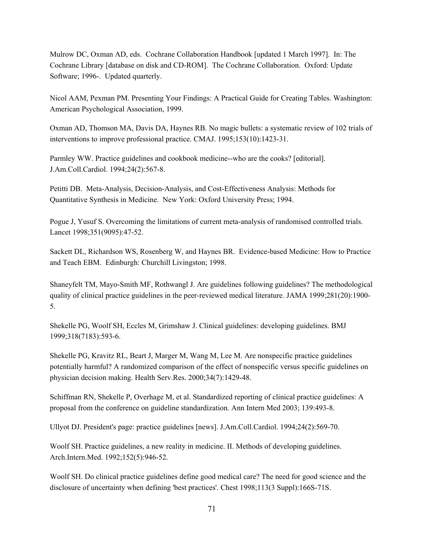Mulrow DC, Oxman AD, eds. Cochrane Collaboration Handbook [updated 1 March 1997]. In: The Cochrane Library [database on disk and CD-ROM]. The Cochrane Collaboration. Oxford: Update Software; 1996-. Updated quarterly.

Nicol AAM, Pexman PM. Presenting Your Findings: A Practical Guide for Creating Tables. Washington: American Psychological Association, 1999.

Oxman AD, Thomson MA, Davis DA, Haynes RB. No magic bullets: a systematic review of 102 trials of interventions to improve professional practice. CMAJ. 1995;153(10):1423-31.

Parmley WW. Practice guidelines and cookbook medicine--who are the cooks? [editorial]. J.Am.Coll.Cardiol. 1994;24(2):567-8.

Petitti DB. Meta-Analysis, Decision-Analysis, and Cost-Effectiveness Analysis: Methods for Quantitative Synthesis in Medicine. New York: Oxford University Press; 1994.

Pogue J, Yusuf S. Overcoming the limitations of current meta-analysis of randomised controlled trials. Lancet 1998;351(9095):47-52.

Sackett DL, Richardson WS, Rosenberg W, and Haynes BR. Evidence-based Medicine: How to Practice and Teach EBM. Edinburgh: Churchill Livingston; 1998.

Shaneyfelt TM, Mayo-Smith MF, Rothwangl J. Are guidelines following guidelines? The methodological quality of clinical practice guidelines in the peer-reviewed medical literature. JAMA 1999;281(20):1900- 5.

Shekelle PG, Woolf SH, Eccles M, Grimshaw J. Clinical guidelines: developing guidelines. BMJ 1999;318(7183):593-6.

Shekelle PG, Kravitz RL, Beart J, Marger M, Wang M, Lee M. Are nonspecific practice guidelines potentially harmful? A randomized comparison of the effect of nonspecific versus specific guidelines on physician decision making. Health Serv.Res. 2000;34(7):1429-48.

Schiffman RN, Shekelle P, Overhage M, et al. Standardized reporting of clinical practice guidelines: A proposal from the conference on guideline standardization. Ann Intern Med 2003; 139:493-8.

Ullyot DJ. President's page: practice guidelines [news]. J.Am.Coll.Cardiol. 1994;24(2):569-70.

Woolf SH. Practice guidelines, a new reality in medicine. II. Methods of developing guidelines. Arch.Intern.Med. 1992;152(5):946-52.

Woolf SH. Do clinical practice guidelines define good medical care? The need for good science and the disclosure of uncertainty when defining 'best practices'. Chest 1998;113(3 Suppl):166S-71S.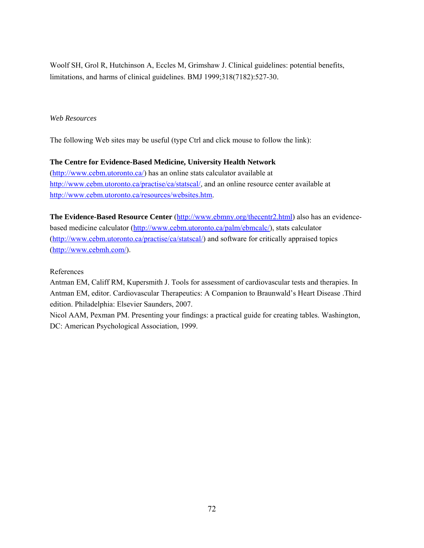Woolf SH, Grol R, Hutchinson A, Eccles M, Grimshaw J. Clinical guidelines: potential benefits, limitations, and harms of clinical guidelines. BMJ 1999;318(7182):527-30.

#### *Web Resources*

The following Web sites may be useful (type Ctrl and click mouse to follow the link):

#### **The Centre for Evidence-Based Medicine, University Health Network**

(http://www.cebm.utoronto.ca/) has an online stats calculator available at http://www.cebm.utoronto.ca/practise/ca/statscal/, and an online resource center available at http://www.cebm.utoronto.ca/resources/websites.htm.

The Evidence-Based Resource Center (http://www.ebmny.org/thecentr2.html) also has an evidencebased medicine calculator (http://www.cebm.utoronto.ca/palm/ebmcalc/), stats calculator (http://www.cebm.utoronto.ca/practise/ca/statscal/) and software for critically appraised topics (http://www.cebmh.com/).

### References

Antman EM, Califf RM, Kupersmith J. Tools for assessment of cardiovascular tests and therapies. In Antman EM, editor. Cardiovascular Therapeutics: A Companion to Braunwald's Heart Disease .Third edition. Philadelphia: Elsevier Saunders, 2007.

Nicol AAM, Pexman PM. Presenting your findings: a practical guide for creating tables. Washington, DC: American Psychological Association, 1999.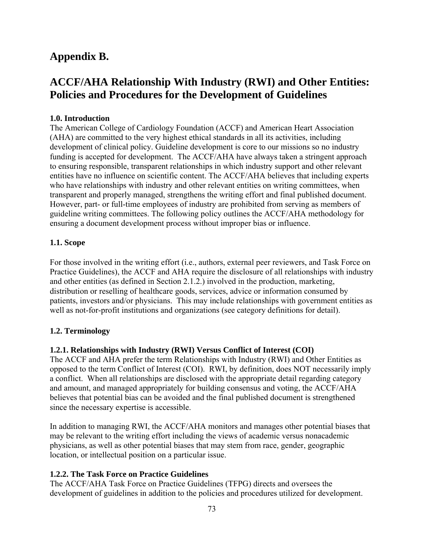# **Appendix B.**

# **ACCF/AHA Relationship With Industry (RWI) and Other Entities: Policies and Procedures for the Development of Guidelines**

## **1.0. Introduction**

The American College of Cardiology Foundation (ACCF) and American Heart Association (AHA) are committed to the very highest ethical standards in all its activities, including development of clinical policy. Guideline development is core to our missions so no industry funding is accepted for development. The ACCF/AHA have always taken a stringent approach to ensuring responsible, transparent relationships in which industry support and other relevant entities have no influence on scientific content. The ACCF/AHA believes that including experts who have relationships with industry and other relevant entities on writing committees, when transparent and properly managed, strengthens the writing effort and final published document. However, part- or full-time employees of industry are prohibited from serving as members of guideline writing committees. The following policy outlines the ACCF/AHA methodology for ensuring a document development process without improper bias or influence.

#### **1.1. Scope**

For those involved in the writing effort (i.e., authors, external peer reviewers, and Task Force on Practice Guidelines), the ACCF and AHA require the disclosure of all relationships with industry and other entities (as defined in Section 2.1.2.) involved in the production, marketing, distribution or reselling of healthcare goods, services, advice or information consumed by patients, investors and/or physicians. This may include relationships with government entities as well as not-for-profit institutions and organizations (see category definitions for detail).

# **1.2. Terminology**

#### **1.2.1. Relationships with Industry (RWI) Versus Conflict of Interest (COI)**

The ACCF and AHA prefer the term Relationships with Industry (RWI) and Other Entities as opposed to the term Conflict of Interest (COI). RWI, by definition, does NOT necessarily imply a conflict. When all relationships are disclosed with the appropriate detail regarding category and amount, and managed appropriately for building consensus and voting, the ACCF/AHA believes that potential bias can be avoided and the final published document is strengthened since the necessary expertise is accessible.

In addition to managing RWI, the ACCF/AHA monitors and manages other potential biases that may be relevant to the writing effort including the views of academic versus nonacademic physicians, as well as other potential biases that may stem from race, gender, geographic location, or intellectual position on a particular issue.

#### **1.2.2. The Task Force on Practice Guidelines**

The ACCF/AHA Task Force on Practice Guidelines (TFPG) directs and oversees the development of guidelines in addition to the policies and procedures utilized for development.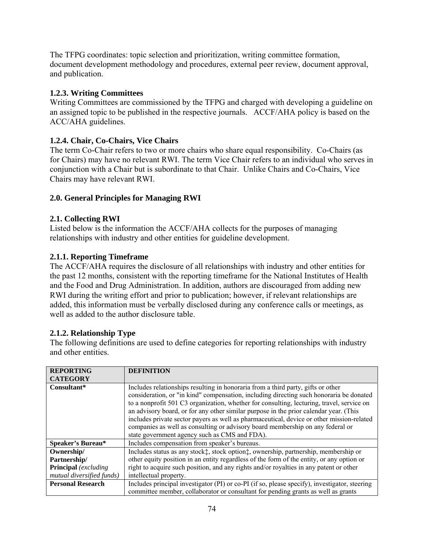The TFPG coordinates: topic selection and prioritization, writing committee formation, document development methodology and procedures, external peer review, document approval, and publication.

## **1.2.3. Writing Committees**

Writing Committees are commissioned by the TFPG and charged with developing a guideline on an assigned topic to be published in the respective journals. ACCF/AHA policy is based on the ACC/AHA guidelines.

### **1.2.4. Chair, Co-Chairs, Vice Chairs**

The term Co-Chair refers to two or more chairs who share equal responsibility. Co-Chairs (as for Chairs) may have no relevant RWI. The term Vice Chair refers to an individual who serves in conjunction with a Chair but is subordinate to that Chair. Unlike Chairs and Co-Chairs, Vice Chairs may have relevant RWI.

#### **2.0. General Principles for Managing RWI**

#### **2.1. Collecting RWI**

Listed below is the information the ACCF/AHA collects for the purposes of managing relationships with industry and other entities for guideline development.

### **2.1.1. Reporting Timeframe**

The ACCF/AHA requires the disclosure of all relationships with industry and other entities for the past 12 months, consistent with the reporting timeframe for the National Institutes of Health and the Food and Drug Administration. In addition, authors are discouraged from adding new RWI during the writing effort and prior to publication; however, if relevant relationships are added, this information must be verbally disclosed during any conference calls or meetings, as well as added to the author disclosure table.

#### **2.1.2. Relationship Type**

The following definitions are used to define categories for reporting relationships with industry and other entities.

| <b>REPORTING</b>            | <b>DEFINITION</b>                                                                             |
|-----------------------------|-----------------------------------------------------------------------------------------------|
| <b>CATEGORY</b>             |                                                                                               |
| Consultant*                 | Includes relationships resulting in honoraria from a third party, gifts or other              |
|                             | consideration, or "in kind" compensation, including directing such honoraria be donated       |
|                             | to a nonprofit 501 C3 organization, whether for consulting, lecturing, travel, service on     |
|                             | an advisory board, or for any other similar purpose in the prior calendar year. (This         |
|                             | includes private sector payers as well as pharmaceutical, device or other mission-related     |
|                             | companies as well as consulting or advisory board membership on any federal or                |
|                             | state government agency such as CMS and FDA).                                                 |
| Speaker's Bureau*           | Includes compensation from speaker's bureaus.                                                 |
| Ownership/                  | Includes status as any stock‡, stock option‡, ownership, partnership, membership or           |
| Partnership/                | other equity position in an entity regardless of the form of the entity, or any option or     |
| <b>Principal</b> (excluding | right to acquire such position, and any rights and/or royalties in any patent or other        |
| mutual diversified funds)   | intellectual property.                                                                        |
| <b>Personal Research</b>    | Includes principal investigator (PI) or co-PI (if so, please specify), investigator, steering |
|                             | committee member, collaborator or consultant for pending grants as well as grants             |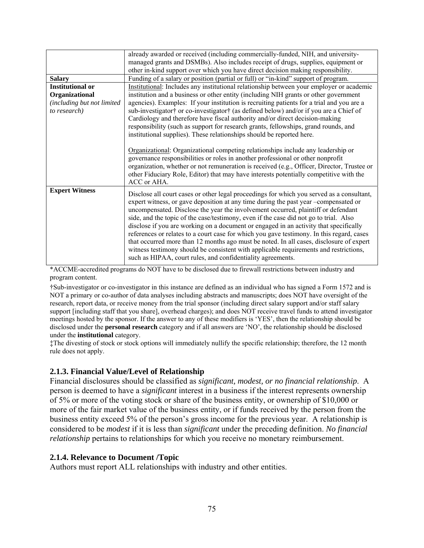|                                                                         | already awarded or received (including commercially-funded, NIH, and university-<br>managed grants and DSMBs). Also includes receipt of drugs, supplies, equipment or<br>other in-kind support over which you have direct decision making responsibility.                                                                                                                                                                                                                                                                                                                                                                                                                                                                                                                                               |
|-------------------------------------------------------------------------|---------------------------------------------------------------------------------------------------------------------------------------------------------------------------------------------------------------------------------------------------------------------------------------------------------------------------------------------------------------------------------------------------------------------------------------------------------------------------------------------------------------------------------------------------------------------------------------------------------------------------------------------------------------------------------------------------------------------------------------------------------------------------------------------------------|
| <b>Salary</b>                                                           | Funding of a salary or position (partial or full) or "in-kind" support of program.                                                                                                                                                                                                                                                                                                                                                                                                                                                                                                                                                                                                                                                                                                                      |
| <b>Institutional or</b><br>Organizational<br>(including but not limited | Institutional: Includes any institutional relationship between your employer or academic<br>institution and a business or other entity (including NIH grants or other government<br>agencies). Examples: If your institution is recruiting patients for a trial and you are a                                                                                                                                                                                                                                                                                                                                                                                                                                                                                                                           |
| to research)                                                            | sub-investigator† or co-investigator† (as defined below) and/or if you are a Chief of<br>Cardiology and therefore have fiscal authority and/or direct decision-making<br>responsibility (such as support for research grants, fellowships, grand rounds, and<br>institutional supplies). These relationships should be reported here.<br>Organizational: Organizational competing relationships include any leadership or<br>governance responsibilities or roles in another professional or other nonprofit<br>organization, whether or not remuneration is received (e.g., Officer, Director, Trustee or<br>other Fiduciary Role, Editor) that may have interests potentially competitive with the<br>ACC or AHA.                                                                                     |
| <b>Expert Witness</b>                                                   | Disclose all court cases or other legal proceedings for which you served as a consultant,<br>expert witness, or gave deposition at any time during the past year -compensated or<br>uncompensated. Disclose the year the involvement occurred, plaintiff or defendant<br>side, and the topic of the case/testimony, even if the case did not go to trial. Also<br>disclose if you are working on a document or engaged in an activity that specifically<br>references or relates to a court case for which you gave testimony. In this regard, cases<br>that occurred more than 12 months ago must be noted. In all cases, disclosure of expert<br>witness testimony should be consistent with applicable requirements and restrictions,<br>such as HIPAA, court rules, and confidentiality agreements. |

\*ACCME-accredited programs do NOT have to be disclosed due to firewall restrictions between industry and program content.

†Sub-investigator or co-investigator in this instance are defined as an individual who has signed a Form 1572 and is NOT a primary or co-author of data analyses including abstracts and manuscripts; does NOT have oversight of the research, report data, or receive money from the trial sponsor (including direct salary support and/or staff salary support [including staff that you share], overhead charges); and does NOT receive travel funds to attend investigator meetings hosted by the sponsor. If the answer to any of these modifiers is 'YES', then the relationship should be disclosed under the **personal research** category and if all answers are 'NO', the relationship should be disclosed under the **institutional** category.

‡The divesting of stock or stock options will immediately nullify the specific relationship; therefore, the 12 month rule does not apply.

#### **2.1.3. Financial Value/Level of Relationship**

Financial disclosures should be classified as *significant, modest, or no financial relationship*. A person is deemed to have a *significant* interest in a business if the interest represents ownership of 5% or more of the voting stock or share of the business entity, or ownership of \$10,000 or more of the fair market value of the business entity, or if funds received by the person from the business entity exceed 5% of the person's gross income for the previous year. A relationship is considered to be *modest* if it is less than *significant* under the preceding definition. *No financial relationship* pertains to relationships for which you receive no monetary reimbursement.

#### **2.1.4. Relevance to Document /Topic**

Authors must report ALL relationships with industry and other entities.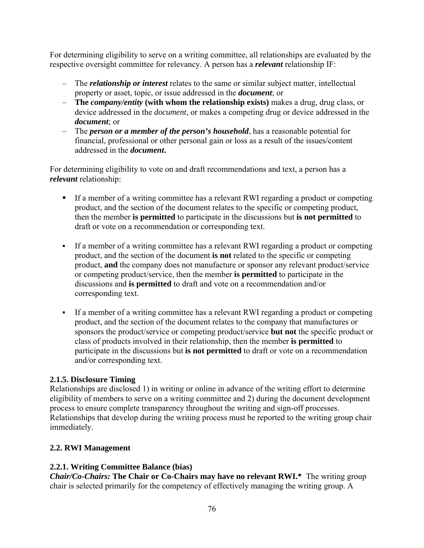For determining eligibility to serve on a writing committee, all relationships are evaluated by the respective oversight committee for relevancy. A person has a *relevant* relationship IF:

- The *relationship or interest* relates to the same or similar subject matter, intellectual property or asset, topic, or issue addressed in the *document*; or
- **The** *company/entity* **(with whom the relationship exists)** makes a drug, drug class, or device addressed in the *document*, or makes a competing drug or device addressed in the *document*; or
- The *person or a member of the person's household*, has a reasonable potential for financial, professional or other personal gain or loss as a result of the issues/content addressed in the *document***.**

For determining eligibility to vote on and draft recommendations and text, a person has a *relevant* relationship:

- If a member of a writing committee has a relevant RWI regarding a product or competing product, and the section of the document relates to the specific or competing product, then the member **is permitted** to participate in the discussions but **is not permitted** to draft or vote on a recommendation or corresponding text.
- If a member of a writing committee has a relevant RWI regarding a product or competing product, and the section of the document **is not** related to the specific or competing product, **and** the company does not manufacture or sponsor any relevant product/service or competing product/service, then the member **is permitted** to participate in the discussions and **is permitted** to draft and vote on a recommendation and/or corresponding text.
- If a member of a writing committee has a relevant RWI regarding a product or competing product, and the section of the document relates to the company that manufactures or sponsors the product/service or competing product/service **but not** the specific product or class of products involved in their relationship, then the member **is permitted** to participate in the discussions but **is not permitted** to draft or vote on a recommendation and*/*or corresponding text.

#### **2.1.5. Disclosure Timing**

Relationships are disclosed 1) in writing or online in advance of the writing effort to determine eligibility of members to serve on a writing committee and 2) during the document development process to ensure complete transparency throughout the writing and sign-off processes. Relationships that develop during the writing process must be reported to the writing group chair immediately.

#### **2.2. RWI Management**

#### **2.2.1. Writing Committee Balance (bias)**

*Chair/Co-Chairs:* **The Chair or Co-Chairs may have no relevant RWI.\***The writing group chair is selected primarily for the competency of effectively managing the writing group. A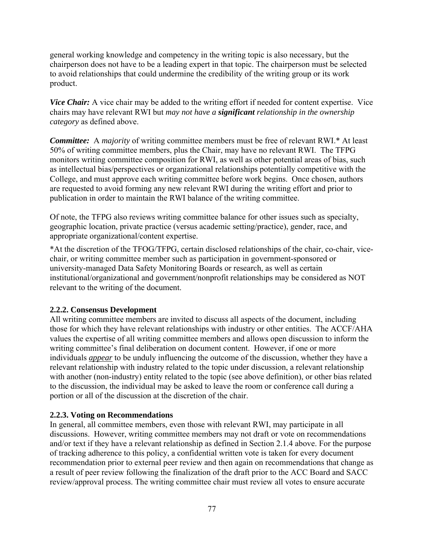general working knowledge and competency in the writing topic is also necessary, but the chairperson does not have to be a leading expert in that topic. The chairperson must be selected to avoid relationships that could undermine the credibility of the writing group or its work product.

*Vice Chair:* A vice chair may be added to the writing effort if needed for content expertise. Vice chairs may have relevant RWI but *may not have a significant relationship in the ownership category* as defined above.

*Committee:* A *majority* of writing committee members must be free of relevant RWI.\* At least 50% of writing committee members, plus the Chair, may have no relevant RWI. The TFPG monitors writing committee composition for RWI, as well as other potential areas of bias, such as intellectual bias/perspectives or organizational relationships potentially competitive with the College, and must approve each writing committee before work begins. Once chosen, authors are requested to avoid forming any new relevant RWI during the writing effort and prior to publication in order to maintain the RWI balance of the writing committee.

Of note, the TFPG also reviews writing committee balance for other issues such as specialty, geographic location, private practice (versus academic setting/practice), gender, race, and appropriate organizational/content expertise.

\*At the discretion of the TFOG/TFPG, certain disclosed relationships of the chair, co-chair, vicechair, or writing committee member such as participation in government-sponsored or university-managed Data Safety Monitoring Boards or research, as well as certain institutional/organizational and government/nonprofit relationships may be considered as NOT relevant to the writing of the document.

#### **2.2.2. Consensus Development**

All writing committee members are invited to discuss all aspects of the document, including those for which they have relevant relationships with industry or other entities. The ACCF/AHA values the expertise of all writing committee members and allows open discussion to inform the writing committee's final deliberation on document content. However, if one or more individuals *appear* to be unduly influencing the outcome of the discussion, whether they have a relevant relationship with industry related to the topic under discussion, a relevant relationship with another (non-industry) entity related to the topic (see above definition), or other bias related to the discussion, the individual may be asked to leave the room or conference call during a portion or all of the discussion at the discretion of the chair.

#### **2.2.3. Voting on Recommendations**

In general, all committee members, even those with relevant RWI, may participate in all discussions. However, writing committee members may not draft or vote on recommendations and/or text if they have a relevant relationship as defined in Section 2.1.4 above. For the purpose of tracking adherence to this policy, a confidential written vote is taken for every document recommendation prior to external peer review and then again on recommendations that change as a result of peer review following the finalization of the draft prior to the ACC Board and SACC review/approval process. The writing committee chair must review all votes to ensure accurate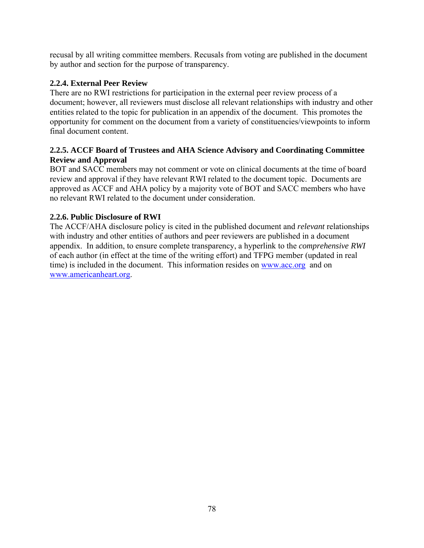recusal by all writing committee members. Recusals from voting are published in the document by author and section for the purpose of transparency.

## **2.2.4. External Peer Review**

There are no RWI restrictions for participation in the external peer review process of a document; however, all reviewers must disclose all relevant relationships with industry and other entities related to the topic for publication in an appendix of the document. This promotes the opportunity for comment on the document from a variety of constituencies/viewpoints to inform final document content.

### **2.2.5. ACCF Board of Trustees and AHA Science Advisory and Coordinating Committee Review and Approval**

BOT and SACC members may not comment or vote on clinical documents at the time of board review and approval if they have relevant RWI related to the document topic. Documents are approved as ACCF and AHA policy by a majority vote of BOT and SACC members who have no relevant RWI related to the document under consideration.

### **2.2.6. Public Disclosure of RWI**

The ACCF/AHA disclosure policy is cited in the published document and *relevant* relationships with industry and other entities of authors and peer reviewers are published in a document appendix. In addition, to ensure complete transparency, a hyperlink to the *comprehensive RWI*  of each author (in effect at the time of the writing effort) and TFPG member (updated in real time) is included in the document. This information resides on www.acc.org and on www.americanheart.org.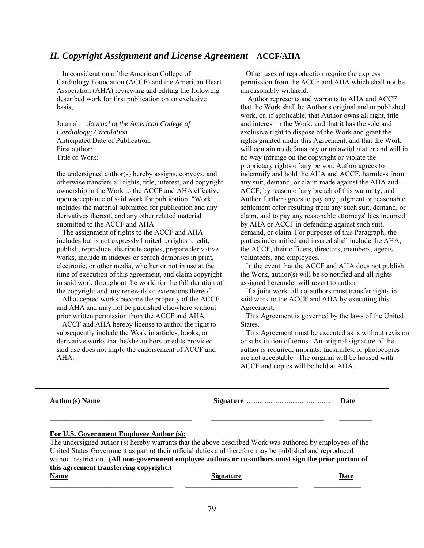#### *II. Copyright Assignment and License Agreement* **ACCF/AHA**

 In consideration of the American College of Cardiology Foundation (ACCF) and the American Heart Association (AHA) reviewing and editing the following described work for first publication on an exclusive basis,

Journal: *Journal of the American College of Cardiology; Circulation* Anticipated Date of Publication: First author: Title of Work:

the undersigned author(s) hereby assigns, conveys, and otherwise transfers all rights, title, interest, and copyright ownership in the Work to the ACCF and AHA effective upon acceptance of said work for publication. "Work" includes the material submitted for publication and any derivatives thereof, and any other related material submitted to the ACCF and AHA.

 The assignment of rights to the ACCF and AHA includes but is not expressly limited to rights to edit, publish, reproduce, distribute copies, prepare derivative works, include in indexes or search databases in print, electronic, or other media, whether or not in use at the time of execution of this agreement, and claim copyright in said work throughout the world for the full duration of the copyright and any renewals or extensions thereof.

 All accepted works become the property of the ACCF and AHA and may not be published elsewhere without prior written permission from the ACCF and AHA.

 ACCF and AHA hereby license to author the right to subsequently include the Work in articles, books, or derivative works that he/she authors or edits provided said use does not imply the endorsement of ACCF and AHA.

 Other uses of reproduction require the express permission from the ACCF and AHA which shall not be unreasonably withheld.

 Author represents and warrants to AHA and ACCF that the Work shall be Author's original and unpublished work, or, if applicable, that Author owns all right, title and interest in the Work; and that it has the sole and exclusive right to dispose of the Work and grant the rights granted under this Agreement, and that the Work will contain no defamatory or unlawful matter and will in no way infringe on the copyright or violate the proprietary rights of any person. Author agrees to indemnify and hold the AHA and ACCF, harmless from any suit, demand, or claim made against the AHA and ACCF, by reason of any breach of this warranty, and Author further agrees to pay any judgment or reasonable settlement offer resulting from any such suit, demand, or claim, and to pay any reasonable attorneys' fees incurred by AHA or ACCF in defending against such suit, demand, or claim. For purposes of this Paragraph, the parties indemnified and insured shall include the AHA, the ACCF, their officers, directors, members, agents, volunteers, and employees.

 In the event that the ACCF and AHA does not publish the Work, author(s) will be so notified and all rights assigned hereunder will revert to author.

 If a joint work, all co-authors must transfer rights in said work to the ACCF and AHA by executing this Agreement.

 This Agreement is governed by the laws of the United States.

 This Agreement must be executed as is without revision or substitution of terms. An original signature of the author is required; imprints, facsimiles, or photocopies are not acceptable. The original will be housed with ACCF and copies will be held at AHA.

| <b>Author(s)</b> Name                                                                                     | Date |
|-----------------------------------------------------------------------------------------------------------|------|
|                                                                                                           |      |
| For U.S. Government Employee Author (s):                                                                  |      |
| The undersigned author (s) hereby warrants that the above described Work was authored by employees of the |      |
| United States Government as part of their official duties and therefore may be published and reproduced   |      |
| without restriction. (All non-government employee authors or co-authors must sign the prior portion of    |      |
| this agreement transferring copyright.)                                                                   |      |
|                                                                                                           |      |

| Name<br>лашс | signature | <u>au </u> |
|--------------|-----------|------------|
|              |           |            |
|              |           |            |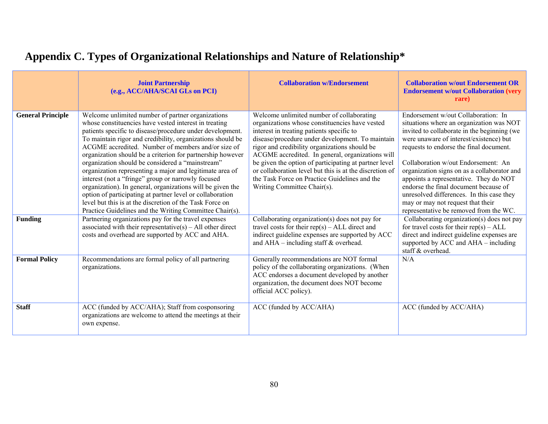|                          | <b>Joint Partnership</b><br>(e.g., ACC/AHA/SCAI GLs on PCI)                                                                                                                                                                                                                                                                                                                                                                                                                                                                                                                                                                                                                                                                                                                       | <b>Collaboration w/Endorsement</b>                                                                                                                                                                                                                                                                                                                                                                                                                                                                    | <b>Collaboration w/out Endorsement OR</b><br><b>Endorsement w/out Collaboration (very</b><br>rare)                                                                                                                                                                                                                                                                                                                                                                                                                        |
|--------------------------|-----------------------------------------------------------------------------------------------------------------------------------------------------------------------------------------------------------------------------------------------------------------------------------------------------------------------------------------------------------------------------------------------------------------------------------------------------------------------------------------------------------------------------------------------------------------------------------------------------------------------------------------------------------------------------------------------------------------------------------------------------------------------------------|-------------------------------------------------------------------------------------------------------------------------------------------------------------------------------------------------------------------------------------------------------------------------------------------------------------------------------------------------------------------------------------------------------------------------------------------------------------------------------------------------------|---------------------------------------------------------------------------------------------------------------------------------------------------------------------------------------------------------------------------------------------------------------------------------------------------------------------------------------------------------------------------------------------------------------------------------------------------------------------------------------------------------------------------|
| <b>General Principle</b> | Welcome unlimited number of partner organizations<br>whose constituencies have vested interest in treating<br>patients specific to disease/procedure under development.<br>To maintain rigor and credibility, organizations should be<br>ACGME accredited. Number of members and/or size of<br>organization should be a criterion for partnership however<br>organization should be considered a "mainstream"<br>organization representing a major and legitimate area of<br>interest (not a "fringe" group or narrowly focused<br>organization). In general, organizations will be given the<br>option of participating at partner level or collaboration<br>level but this is at the discretion of the Task Force on<br>Practice Guidelines and the Writing Committee Chair(s). | Welcome unlimited number of collaborating<br>organizations whose constituencies have vested<br>interest in treating patients specific to<br>disease/procedure under development. To maintain<br>rigor and credibility organizations should be<br>ACGME accredited. In general, organizations will<br>be given the option of participating at partner level<br>or collaboration level but this is at the discretion of<br>the Task Force on Practice Guidelines and the<br>Writing Committee Chair(s). | Endorsement w/out Collaboration: In<br>situations where an organization was NOT<br>invited to collaborate in the beginning (we<br>were unaware of interest/existence) but<br>requests to endorse the final document.<br>Collaboration w/out Endorsement: An<br>organization signs on as a collaborator and<br>appoints a representative. They do NOT<br>endorse the final document because of<br>unresolved differences. In this case they<br>may or may not request that their<br>representative be removed from the WC. |
| <b>Funding</b>           | Partnering organizations pay for the travel expenses<br>associated with their representative(s) – All other direct<br>costs and overhead are supported by ACC and AHA.                                                                                                                                                                                                                                                                                                                                                                                                                                                                                                                                                                                                            | Collaborating organization(s) does not pay for<br>travel costs for their $rep(s) - ALL$ direct and<br>indirect guideline expenses are supported by ACC<br>and $AHA$ – including staff $&$ overhead.                                                                                                                                                                                                                                                                                                   | Collaborating organization(s) does not pay<br>for travel costs for their $rep(s) - ALL$<br>direct and indirect guideline expenses are<br>supported by ACC and AHA – including<br>staff & overhead.                                                                                                                                                                                                                                                                                                                        |
| <b>Formal Policy</b>     | Recommendations are formal policy of all partnering<br>organizations.                                                                                                                                                                                                                                                                                                                                                                                                                                                                                                                                                                                                                                                                                                             | Generally recommendations are NOT formal<br>policy of the collaborating organizations. (When<br>ACC endorses a document developed by another<br>organization, the document does NOT become<br>official ACC policy).                                                                                                                                                                                                                                                                                   | N/A                                                                                                                                                                                                                                                                                                                                                                                                                                                                                                                       |
| <b>Staff</b>             | ACC (funded by ACC/AHA); Staff from cosponsoring<br>organizations are welcome to attend the meetings at their<br>own expense.                                                                                                                                                                                                                                                                                                                                                                                                                                                                                                                                                                                                                                                     | ACC (funded by ACC/AHA)                                                                                                                                                                                                                                                                                                                                                                                                                                                                               | ACC (funded by ACC/AHA)                                                                                                                                                                                                                                                                                                                                                                                                                                                                                                   |

# **Appendix C. Types of Organizational Relationships and Nature of Relationship\***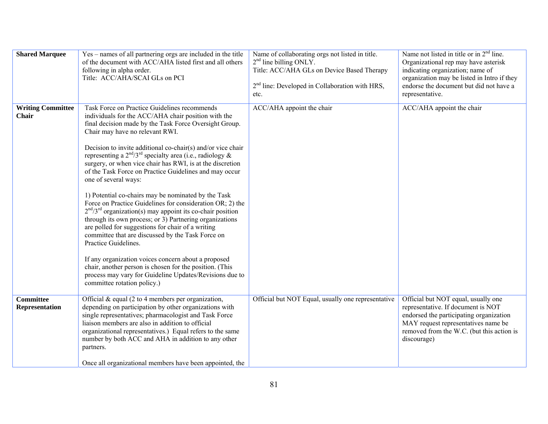| <b>Shared Marquee</b>                    | Yes – names of all partnering orgs are included in the title<br>of the document with ACC/AHA listed first and all others<br>following in alpha order.<br>Title: ACC/AHA/SCAI GLs on PCI                                                                                                                                                                                                                                                                                                                                                                                                                                                                                                                                                                                                                                                                                                                                                                                                                                                                                        | Name of collaborating orgs not listed in title.<br>$2nd$ line billing ONLY.<br>Title: ACC/AHA GLs on Device Based Therapy<br>$2nd$ line: Developed in Collaboration with HRS,<br>etc. | Name not listed in title or in $2nd$ line.<br>Organizational rep may have asterisk<br>indicating organization; name of<br>organization may be listed in Intro if they<br>endorse the document but did not have a<br>representative. |
|------------------------------------------|--------------------------------------------------------------------------------------------------------------------------------------------------------------------------------------------------------------------------------------------------------------------------------------------------------------------------------------------------------------------------------------------------------------------------------------------------------------------------------------------------------------------------------------------------------------------------------------------------------------------------------------------------------------------------------------------------------------------------------------------------------------------------------------------------------------------------------------------------------------------------------------------------------------------------------------------------------------------------------------------------------------------------------------------------------------------------------|---------------------------------------------------------------------------------------------------------------------------------------------------------------------------------------|-------------------------------------------------------------------------------------------------------------------------------------------------------------------------------------------------------------------------------------|
| <b>Writing Committee</b><br><b>Chair</b> | Task Force on Practice Guidelines recommends<br>individuals for the ACC/AHA chair position with the<br>final decision made by the Task Force Oversight Group.<br>Chair may have no relevant RWI.<br>Decision to invite additional co-chair(s) and/or vice chair<br>representing a $2^{nd}/3^{rd}$ specialty area (i.e., radiology &<br>surgery, or when vice chair has RWI, is at the discretion<br>of the Task Force on Practice Guidelines and may occur<br>one of several ways:<br>1) Potential co-chairs may be nominated by the Task<br>Force on Practice Guidelines for consideration OR; 2) the<br>$2nd/3rd$ organization(s) may appoint its co-chair position<br>through its own process; or 3) Partnering organizations<br>are polled for suggestions for chair of a writing<br>committee that are discussed by the Task Force on<br>Practice Guidelines.<br>If any organization voices concern about a proposed<br>chair, another person is chosen for the position. (This<br>process may vary for Guideline Updates/Revisions due to<br>committee rotation policy.) | ACC/AHA appoint the chair                                                                                                                                                             | ACC/AHA appoint the chair                                                                                                                                                                                                           |
| <b>Committee</b><br>Representation       | Official $&$ equal (2 to 4 members per organization,<br>depending on participation by other organizations with<br>single representatives; pharmacologist and Task Force<br>liaison members are also in addition to official<br>organizational representatives.) Equal refers to the same<br>number by both ACC and AHA in addition to any other<br>partners.<br>Once all organizational members have been appointed, the                                                                                                                                                                                                                                                                                                                                                                                                                                                                                                                                                                                                                                                       | Official but NOT Equal, usually one representative                                                                                                                                    | Official but NOT equal, usually one<br>representative. If document is NOT<br>endorsed the participating organization<br>MAY request representatives name be<br>removed from the W.C. (but this action is<br>discourage)             |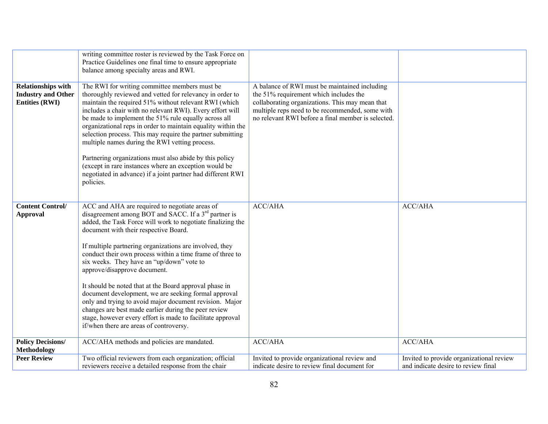|                                                                                 | writing committee roster is reviewed by the Task Force on<br>Practice Guidelines one final time to ensure appropriate<br>balance among specialty areas and RWI.                                                                                                                                                                                                                                                                                                                                                                                                                                                                                                         |                                                                                                                                                                                                                                                     |                                                                                 |
|---------------------------------------------------------------------------------|-------------------------------------------------------------------------------------------------------------------------------------------------------------------------------------------------------------------------------------------------------------------------------------------------------------------------------------------------------------------------------------------------------------------------------------------------------------------------------------------------------------------------------------------------------------------------------------------------------------------------------------------------------------------------|-----------------------------------------------------------------------------------------------------------------------------------------------------------------------------------------------------------------------------------------------------|---------------------------------------------------------------------------------|
| <b>Relationships with</b><br><b>Industry and Other</b><br><b>Entities (RWI)</b> | The RWI for writing committee members must be<br>thoroughly reviewed and vetted for relevancy in order to<br>maintain the required 51% without relevant RWI (which<br>includes a chair with no relevant RWI). Every effort will<br>be made to implement the 51% rule equally across all<br>organizational reps in order to maintain equality within the<br>selection process. This may require the partner submitting<br>multiple names during the RWI vetting process.<br>Partnering organizations must also abide by this policy<br>(except in rare instances where an exception would be<br>negotiated in advance) if a joint partner had different RWI<br>policies. | A balance of RWI must be maintained including<br>the 51% requirement which includes the<br>collaborating organizations. This may mean that<br>multiple reps need to be recommended, some with<br>no relevant RWI before a final member is selected. |                                                                                 |
| <b>Content Control/</b><br><b>Approval</b>                                      | ACC and AHA are required to negotiate areas of<br>disagreement among BOT and SACC. If a 3 <sup>rd</sup> partner is<br>added, the Task Force will work to negotiate finalizing the<br>document with their respective Board.<br>If multiple partnering organizations are involved, they<br>conduct their own process within a time frame of three to<br>six weeks. They have an "up/down" vote to<br>approve/disapprove document.                                                                                                                                                                                                                                         | <b>ACC/AHA</b>                                                                                                                                                                                                                                      | <b>ACC/AHA</b>                                                                  |
|                                                                                 | It should be noted that at the Board approval phase in<br>document development, we are seeking formal approval<br>only and trying to avoid major document revision. Major<br>changes are best made earlier during the peer review<br>stage, however every effort is made to facilitate approval<br>if/when there are areas of controversy.                                                                                                                                                                                                                                                                                                                              |                                                                                                                                                                                                                                                     |                                                                                 |
| <b>Policy Decisions/</b><br><b>Methodology</b>                                  | ACC/AHA methods and policies are mandated.                                                                                                                                                                                                                                                                                                                                                                                                                                                                                                                                                                                                                              | <b>ACC/AHA</b>                                                                                                                                                                                                                                      | <b>ACC/AHA</b>                                                                  |
| <b>Peer Review</b>                                                              | Two official reviewers from each organization; official<br>reviewers receive a detailed response from the chair                                                                                                                                                                                                                                                                                                                                                                                                                                                                                                                                                         | Invited to provide organizational review and<br>indicate desire to review final document for                                                                                                                                                        | Invited to provide organizational review<br>and indicate desire to review final |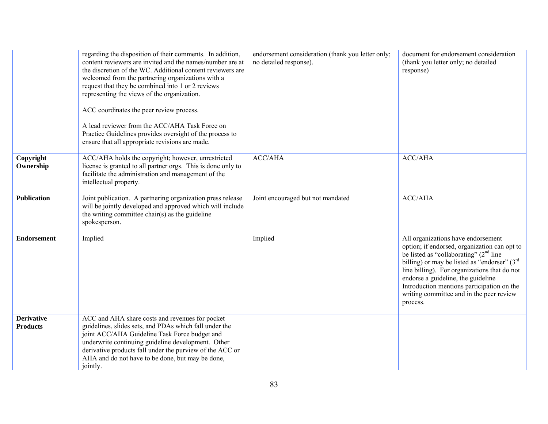|                                      | regarding the disposition of their comments. In addition,<br>content reviewers are invited and the names/number are at<br>the discretion of the WC. Additional content reviewers are<br>welcomed from the partnering organizations with a<br>request that they be combined into 1 or 2 reviews<br>representing the views of the organization.<br>ACC coordinates the peer review process.<br>A lead reviewer from the ACC/AHA Task Force on<br>Practice Guidelines provides oversight of the process to<br>ensure that all appropriate revisions are made. | endorsement consideration (thank you letter only;<br>no detailed response). | document for endorsement consideration<br>(thank you letter only; no detailed<br>response)                                                                                                                                                                                                                                                                                             |
|--------------------------------------|------------------------------------------------------------------------------------------------------------------------------------------------------------------------------------------------------------------------------------------------------------------------------------------------------------------------------------------------------------------------------------------------------------------------------------------------------------------------------------------------------------------------------------------------------------|-----------------------------------------------------------------------------|----------------------------------------------------------------------------------------------------------------------------------------------------------------------------------------------------------------------------------------------------------------------------------------------------------------------------------------------------------------------------------------|
| Copyright<br>Ownership               | ACC/AHA holds the copyright; however, unrestricted<br>license is granted to all partner orgs. This is done only to<br>facilitate the administration and management of the<br>intellectual property.                                                                                                                                                                                                                                                                                                                                                        | <b>ACC/AHA</b>                                                              | <b>ACC/AHA</b>                                                                                                                                                                                                                                                                                                                                                                         |
| <b>Publication</b>                   | Joint publication. A partnering organization press release<br>will be jointly developed and approved which will include<br>the writing committee chair(s) as the guideline<br>spokesperson.                                                                                                                                                                                                                                                                                                                                                                | Joint encouraged but not mandated                                           | <b>ACC/AHA</b>                                                                                                                                                                                                                                                                                                                                                                         |
| <b>Endorsement</b>                   | Implied                                                                                                                                                                                                                                                                                                                                                                                                                                                                                                                                                    | Implied                                                                     | All organizations have endorsement<br>option; if endorsed, organization can opt to<br>be listed as "collaborating" (2 <sup>nd</sup> line<br>billing) or may be listed as "endorser" $(3rd$<br>line billing). For organizations that do not<br>endorse a guideline, the guideline<br>Introduction mentions participation on the<br>writing committee and in the peer review<br>process. |
| <b>Derivative</b><br><b>Products</b> | ACC and AHA share costs and revenues for pocket<br>guidelines, slides sets, and PDAs which fall under the<br>joint ACC/AHA Guideline Task Force budget and<br>underwrite continuing guideline development. Other<br>derivative products fall under the purview of the ACC or<br>AHA and do not have to be done, but may be done,<br>jointly.                                                                                                                                                                                                               |                                                                             |                                                                                                                                                                                                                                                                                                                                                                                        |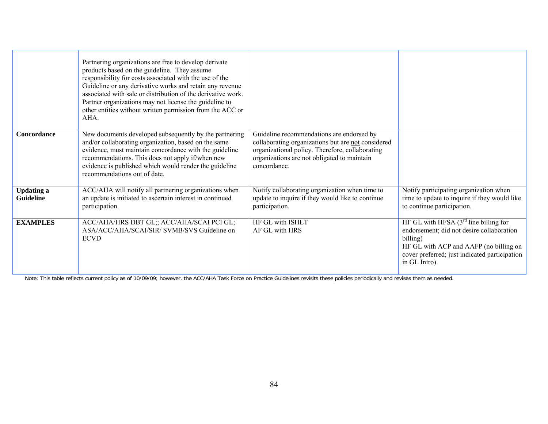|                                       | Partnering organizations are free to develop derivate<br>products based on the guideline. They assume<br>responsibility for costs associated with the use of the<br>Guideline or any derivative works and retain any revenue<br>associated with sale or distribution of the derivative work.<br>Partner organizations may not license the guideline to<br>other entities without written permission from the ACC or<br>AHA. |                                                                                                                                                                                                                   |                                                                                                                                                                                                             |
|---------------------------------------|-----------------------------------------------------------------------------------------------------------------------------------------------------------------------------------------------------------------------------------------------------------------------------------------------------------------------------------------------------------------------------------------------------------------------------|-------------------------------------------------------------------------------------------------------------------------------------------------------------------------------------------------------------------|-------------------------------------------------------------------------------------------------------------------------------------------------------------------------------------------------------------|
| Concordance                           | New documents developed subsequently by the partnering<br>and/or collaborating organization, based on the same<br>evidence, must maintain concordance with the guideline<br>recommendations. This does not apply if/when new<br>evidence is published which would render the guideline<br>recommendations out of date.                                                                                                      | Guideline recommendations are endorsed by<br>collaborating organizations but are not considered<br>organizational policy. Therefore, collaborating<br>organizations are not obligated to maintain<br>concordance. |                                                                                                                                                                                                             |
| <b>Updating a</b><br><b>Guideline</b> | ACC/AHA will notify all partnering organizations when<br>an update is initiated to ascertain interest in continued<br>participation.                                                                                                                                                                                                                                                                                        | Notify collaborating organization when time to<br>update to inquire if they would like to continue<br>participation.                                                                                              | Notify participating organization when<br>time to update to inquire if they would like<br>to continue participation.                                                                                        |
| <b>EXAMPLES</b>                       | ACC/AHA/HRS DBT GL;; ACC/AHA/SCAI PCI GL;<br>ASA/ACC/AHA/SCAI/SIR/ SVMB/SVS Guideline on<br><b>ECVD</b>                                                                                                                                                                                                                                                                                                                     | HF GL with ISHLT<br>AF GL with HRS                                                                                                                                                                                | HF GL with HFSA $(3rd$ line billing for<br>endorsement; did not desire collaboration<br>billing)<br>HF GL with ACP and AAFP (no billing on<br>cover preferred; just indicated participation<br>in GL Intro) |

Note: This table reflects current policy as of 10/09/09; however, the ACC/AHA Task Force on Practice Guidelines revisits these policies periodically and revises them as needed.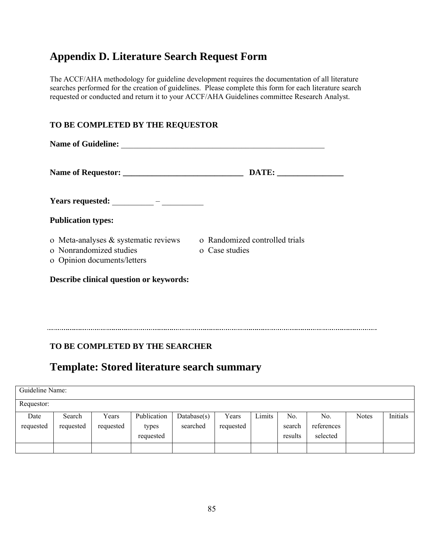# **Appendix D. Literature Search Request Form**

The ACCF/AHA methodology for guideline development requires the documentation of all literature searches performed for the creation of guidelines. Please complete this form for each literature search requested or conducted and return it to your ACCF/AHA Guidelines committee Research Analyst.

### **TO BE COMPLETED BY THE REQUESTOR**

| Name of Guideline:                                                                                |                                                  |
|---------------------------------------------------------------------------------------------------|--------------------------------------------------|
|                                                                                                   | $\textbf{DATE:}\_\textcolor{red}{\textbf{[}}$    |
|                                                                                                   |                                                  |
| <b>Publication types:</b>                                                                         |                                                  |
| o Meta-analyses $\&$ systematic reviews<br>o Nonrandomized studies<br>o Opinion documents/letters | o Randomized controlled trials<br>o Case studies |
| <b>Describe clinical question or keywords:</b>                                                    |                                                  |

# **TO BE COMPLETED BY THE SEARCHER**

# **Template: Stored literature search summary**

| Guideline Name: |           |           |             |                |           |        |         |            |              |          |
|-----------------|-----------|-----------|-------------|----------------|-----------|--------|---------|------------|--------------|----------|
| Requestor:      |           |           |             |                |           |        |         |            |              |          |
| Date            | Search    | Years     | Publication | Database $(s)$ | Years     | Limits | No.     | No.        | <b>Notes</b> | Initials |
| requested       | requested | requested | types       | searched       | requested |        | search  | references |              |          |
|                 |           |           | requested   |                |           |        | results | selected   |              |          |
|                 |           |           |             |                |           |        |         |            |              |          |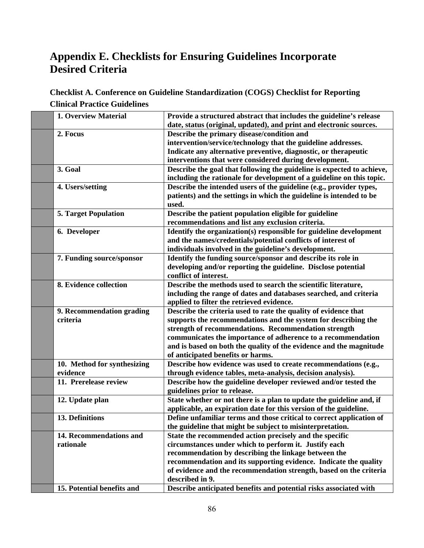# **Appendix E. Checklists for Ensuring Guidelines Incorporate Desired Criteria**

# **Checklist A. Conference on Guideline Standardization (COGS) Checklist for Reporting Clinical Practice Guidelines**

| 1. Overview Material        | Provide a structured abstract that includes the guideline's release    |
|-----------------------------|------------------------------------------------------------------------|
|                             | date, status (original, updated), and print and electronic sources.    |
| 2. Focus                    | Describe the primary disease/condition and                             |
|                             | intervention/service/technology that the guideline addresses.          |
|                             | Indicate any alternative preventive, diagnostic, or therapeutic        |
|                             | interventions that were considered during development.                 |
| 3. Goal                     | Describe the goal that following the guideline is expected to achieve, |
|                             | including the rationale for development of a guideline on this topic.  |
| 4. Users/setting            | Describe the intended users of the guideline (e.g., provider types,    |
|                             | patients) and the settings in which the guideline is intended to be    |
|                             | used.                                                                  |
| <b>5. Target Population</b> | Describe the patient population eligible for guideline                 |
|                             | recommendations and list any exclusion criteria.                       |
| 6. Developer                | Identify the organization(s) responsible for guideline development     |
|                             | and the names/credentials/potential conflicts of interest of           |
|                             | individuals involved in the guideline's development.                   |
| 7. Funding source/sponsor   | Identify the funding source/sponsor and describe its role in           |
|                             | developing and/or reporting the guideline. Disclose potential          |
|                             | conflict of interest.                                                  |
| 8. Evidence collection      | Describe the methods used to search the scientific literature,         |
|                             | including the range of dates and databases searched, and criteria      |
|                             | applied to filter the retrieved evidence.                              |
| 9. Recommendation grading   | Describe the criteria used to rate the quality of evidence that        |
| criteria                    | supports the recommendations and the system for describing the         |
|                             | strength of recommendations. Recommendation strength                   |
|                             | communicates the importance of adherence to a recommendation           |
|                             | and is based on both the quality of the evidence and the magnitude     |
|                             | of anticipated benefits or harms.                                      |
| 10. Method for synthesizing | Describe how evidence was used to create recommendations (e.g.,        |
| evidence                    | through evidence tables, meta-analysis, decision analysis).            |
| 11. Prerelease review       | Describe how the guideline developer reviewed and/or tested the        |
|                             | guidelines prior to release.                                           |
| 12. Update plan             | State whether or not there is a plan to update the guideline and, if   |
|                             | applicable, an expiration date for this version of the guideline.      |
| 13. Definitions             | Define unfamiliar terms and those critical to correct application of   |
|                             | the guideline that might be subject to misinterpretation.              |
| 14. Recommendations and     | State the recommended action precisely and the specific                |
| rationale                   | circumstances under which to perform it. Justify each                  |
|                             | recommendation by describing the linkage between the                   |
|                             | recommendation and its supporting evidence. Indicate the quality       |
|                             | of evidence and the recommendation strength, based on the criteria     |
|                             | described in 9.                                                        |
| 15. Potential benefits and  | Describe anticipated benefits and potential risks associated with      |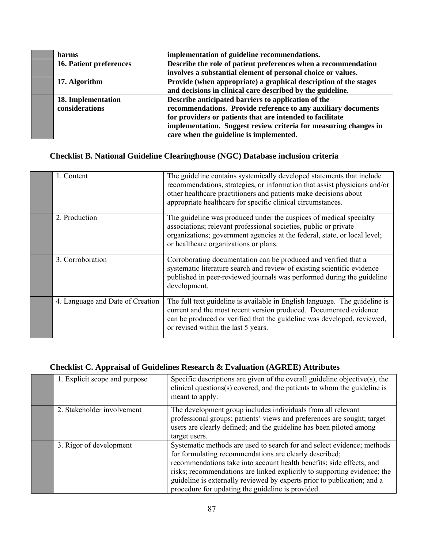| harms                     | implementation of guideline recommendations.                     |
|---------------------------|------------------------------------------------------------------|
| 16. Patient preferences   | Describe the role of patient preferences when a recommendation   |
|                           | involves a substantial element of personal choice or values.     |
| 17. Algorithm             | Provide (when appropriate) a graphical description of the stages |
|                           | and decisions in clinical care described by the guideline.       |
| <b>18. Implementation</b> | Describe anticipated barriers to application of the              |
| considerations            | recommendations. Provide reference to any auxiliary documents    |
|                           | for providers or patients that are intended to facilitate        |
|                           | implementation. Suggest review criteria for measuring changes in |
|                           | care when the guideline is implemented.                          |

# **Checklist B. National Guideline Clearinghouse (NGC) Database inclusion criteria**

| 1. Content                       | The guideline contains systemically developed statements that include<br>recommendations, strategies, or information that assist physicians and/or<br>other healthcare practitioners and patients make decisions about<br>appropriate healthcare for specific clinical circumstances. |
|----------------------------------|---------------------------------------------------------------------------------------------------------------------------------------------------------------------------------------------------------------------------------------------------------------------------------------|
| 2. Production                    | The guideline was produced under the auspices of medical specialty<br>associations; relevant professional societies, public or private<br>organizations; government agencies at the federal, state, or local level;<br>or healthcare organizations or plans.                          |
| 3. Corroboration                 | Corroborating documentation can be produced and verified that a<br>systematic literature search and review of existing scientific evidence<br>published in peer-reviewed journals was performed during the guideline<br>development.                                                  |
| 4. Language and Date of Creation | The full text guideline is available in English language. The guideline is<br>current and the most recent version produced. Documented evidence<br>can be produced or verified that the guideline was developed, reviewed,<br>or revised within the last 5 years.                     |

# **Checklist C. Appraisal of Guidelines Research & Evaluation (AGREE) Attributes**

| 1. Explicit scope and purpose | Specific descriptions are given of the overall guideline objective(s), the<br>clinical questions(s) covered, and the patients to whom the guideline is<br>meant to apply.                                                                                                                                                                                                                                            |
|-------------------------------|----------------------------------------------------------------------------------------------------------------------------------------------------------------------------------------------------------------------------------------------------------------------------------------------------------------------------------------------------------------------------------------------------------------------|
| 2. Stakeholder involvement    | The development group includes individuals from all relevant<br>professional groups; patients' views and preferences are sought; target<br>users are clearly defined; and the guideline has been piloted among<br>target users.                                                                                                                                                                                      |
| 3. Rigor of development       | Systematic methods are used to search for and select evidence; methods<br>for formulating recommendations are clearly described;<br>recommendations take into account health benefits; side effects; and<br>risks; recommendations are linked explicitly to supporting evidence; the<br>guideline is externally reviewed by experts prior to publication; and a<br>procedure for updating the guideline is provided. |